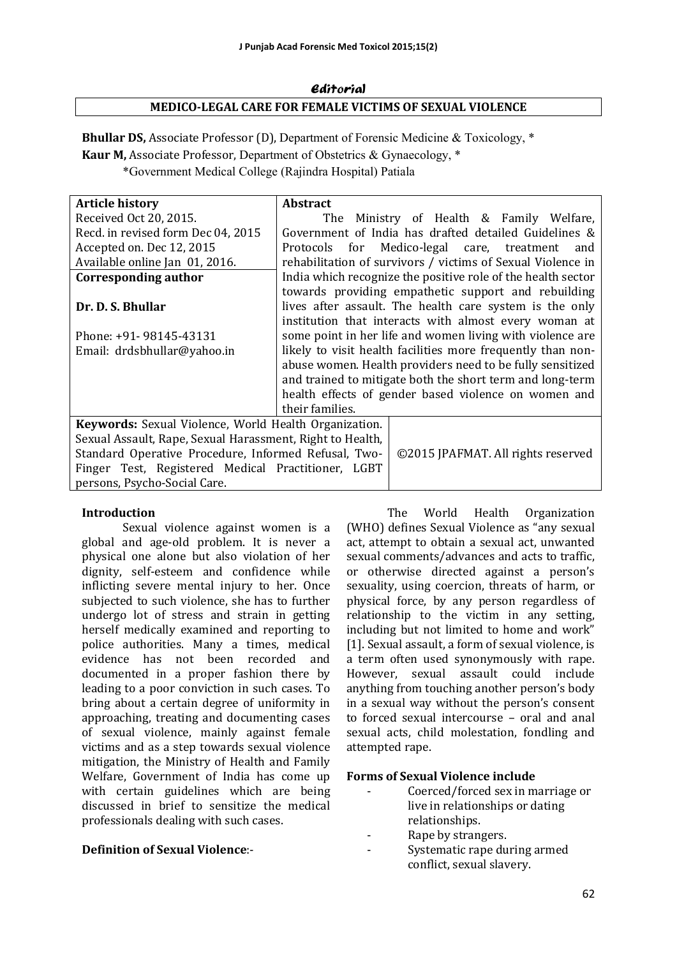# Editorial **MEDICO-LEGAL CARE FOR FEMALE VICTIMS OF SEXUAL VIOLENCE**

**Bhullar DS,** Associate Professor (D), Department of Forensic Medicine & Toxicology, \* **Kaur M, Associate Professor, Department of Obstetrics & Gynaecology, \*** \*Government Medical College (Rajindra Hospital) Patiala

| <b>Article history</b>                                    | <b>Abstract</b>                                             |                                                              |  |
|-----------------------------------------------------------|-------------------------------------------------------------|--------------------------------------------------------------|--|
| Received Oct 20, 2015.                                    |                                                             | The Ministry of Health & Family Welfare,                     |  |
| Recd. in revised form Dec 04, 2015                        |                                                             | Government of India has drafted detailed Guidelines &        |  |
| Accepted on. Dec 12, 2015                                 | Protocols for                                               | Medico-legal care, treatment<br>and                          |  |
| Available online Jan 01, 2016.                            |                                                             | rehabilitation of survivors / victims of Sexual Violence in  |  |
| Corresponding author                                      |                                                             | India which recognize the positive role of the health sector |  |
|                                                           |                                                             | towards providing empathetic support and rebuilding          |  |
| Dr. D. S. Bhullar                                         |                                                             | lives after assault. The health care system is the only      |  |
|                                                           |                                                             | institution that interacts with almost every woman at        |  |
| Phone: +91- 98145-43131                                   | some point in her life and women living with violence are   |                                                              |  |
| Email: drdsbhullar@yahoo.in                               | likely to visit health facilities more frequently than non- |                                                              |  |
|                                                           |                                                             | abuse women. Health providers need to be fully sensitized    |  |
|                                                           |                                                             | and trained to mitigate both the short term and long-term    |  |
|                                                           |                                                             | health effects of gender based violence on women and         |  |
|                                                           | their families.                                             |                                                              |  |
| Keywords: Sexual Violence, World Health Organization.     |                                                             |                                                              |  |
| Sexual Assault, Rape, Sexual Harassment, Right to Health, |                                                             |                                                              |  |
| Standard Operative Procedure, Informed Refusal, Two-      |                                                             | ©2015 JPAFMAT. All rights reserved                           |  |
| Finger Test, Registered Medical Practitioner, LGBT        |                                                             |                                                              |  |
| persons, Psycho-Social Care.                              |                                                             |                                                              |  |

#### **Introduction**

Sexual violence against women is a global and age-old problem. It is never a physical one alone but also violation of her dignity, self-esteem and confidence while inflicting severe mental injury to her. Once subjected to such violence, she has to further undergo lot of stress and strain in getting herself medically examined and reporting to police authorities. Many a times, medical evidence has not been recorded and documented in a proper fashion there by leading to a poor conviction in such cases. To bring about a certain degree of uniformity in approaching, treating and documenting cases of sexual violence, mainly against female victims and as a step towards sexual violence mitigation, the Ministry of Health and Family Welfare, Government of India has come up with certain guidelines which are being discussed in brief to sensitize the medical professionals dealing with such cases.

#### **Definition of Sexual Violence**:-

The World Health Organization (WHO) defines Sexual Violence as "any sexual act, attempt to obtain a sexual act, unwanted sexual comments/advances and acts to traffic, or otherwise directed against a person's sexuality, using coercion, threats of harm, or physical force, by any person regardless of relationship to the victim in any setting, including but not limited to home and work" [1]. Sexual assault, a form of sexual violence, is a term often used synonymously with rape. However, sexual assault could include anything from touching another person's body in a sexual way without the person's consent to forced sexual intercourse – oral and anal sexual acts, child molestation, fondling and attempted rape.

#### **Forms of Sexual Violence include**

- Coerced/forced sex in marriage or live in relationships or dating relationships.
- Rape by strangers.
- Systematic rape during armed conflict, sexual slavery.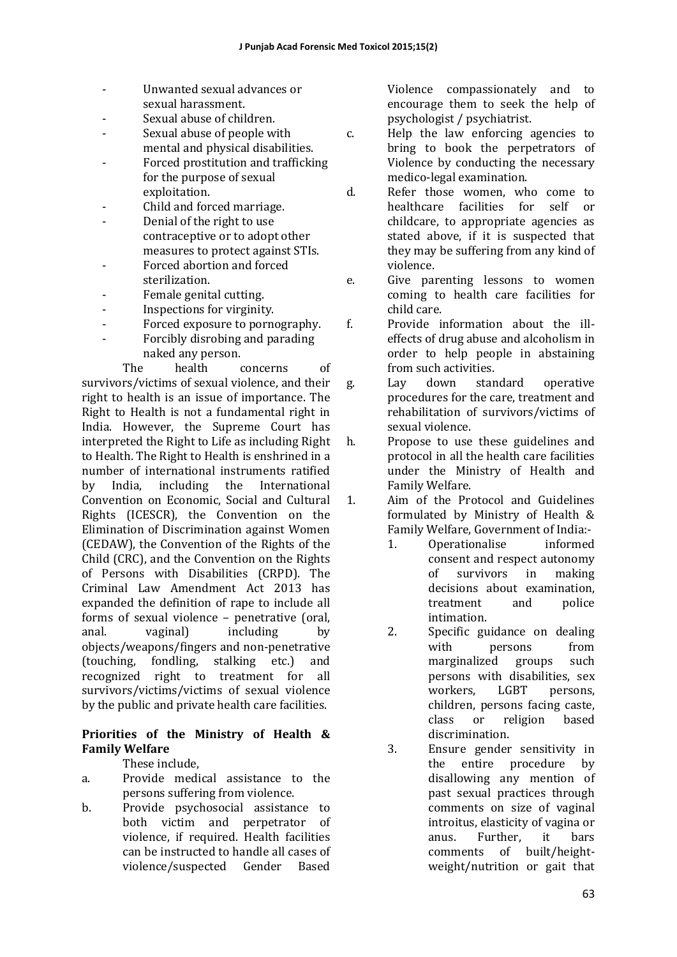- Unwanted sexual advances or sexual harassment.
- Sexual abuse of children.
- Sexual abuse of people with mental and physical disabilities.
- Forced prostitution and trafficking for the purpose of sexual exploitation.
- Child and forced marriage.
- Denial of the right to use contraceptive or to adopt other measures to protect against STIs.
- Forced abortion and forced sterilization.
- Female genital cutting.
- Inspections for virginity.
- Forced exposure to pornography.
- Forcibly disrobing and parading naked any person.

The health concerns of survivors/victims of sexual violence, and their right to health is an issue of importance. The Right to Health is not a fundamental right in India. However, the Supreme Court has interpreted the Right to Life as including Right to Health. The Right to Health is enshrined in a number of international instruments ratified by India, including the International Convention on Economic, Social and Cultural Rights (ICESCR), the Convention on the Elimination of Discrimination against Women (CEDAW), the Convention of the Rights of the Child (CRC), and the Convention on the Rights of Persons with Disabilities (CRPD). The Criminal Law Amendment Act 2013 has expanded the definition of rape to include all forms of sexual violence - penetrative (oral, anal. vaginal) including by objects/weapons/fingers and non-penetrative (touching, fondling, stalking etc.) and recognized right to treatment for all survivors/victims/victims of sexual violence by the public and private health care facilities.

# **Priorities of the Ministry of Health & Family Welfare**

These include.

- a. Provide medical assistance to the persons suffering from violence.
- b. Provide psychosocial assistance to both victim and perpetrator of violence, if required. Health facilities can be instructed to handle all cases of violence/suspected Gender Based

Violence compassionately and to encourage them to seek the help of psychologist / psychiatrist. 

- c. Help the law enforcing agencies to bring to book the perpetrators of Violence by conducting the necessary medico-legal examination.
- d. Refer those women, who come to healthcare facilities for self or childcare, to appropriate agencies as stated above, if it is suspected that they may be suffering from any kind of violence.
- e. Give parenting lessons to women coming to health care facilities for child care.
- f. Provide information about the illeffects of drug abuse and alcoholism in order to help people in abstaining from such activities.
- g. Lay down standard operative procedures for the care, treatment and rehabilitation of survivors/victims of sexual violence.
- h. Propose to use these guidelines and protocol in all the health care facilities under the Ministry of Health and Family Welfare.

1. Aim of the Protocol and Guidelines formulated by Ministry of Health & Family Welfare, Government of India:-

- 1. Operationalise informed consent and respect autonomy of survivors in making decisions about examination. treatment and police intimation.
- 2. Specific guidance on dealing with persons from marginalized groups such persons with disabilities, sex workers, LGBT persons, children, persons facing caste, class or religion based discrimination.
- 3. Ensure gender sensitivity in the entire procedure by disallowing any mention of past sexual practices through comments on size of vaginal introitus, elasticity of vagina or anus. Further, it bars comments of built/heightweight/nutrition or gait that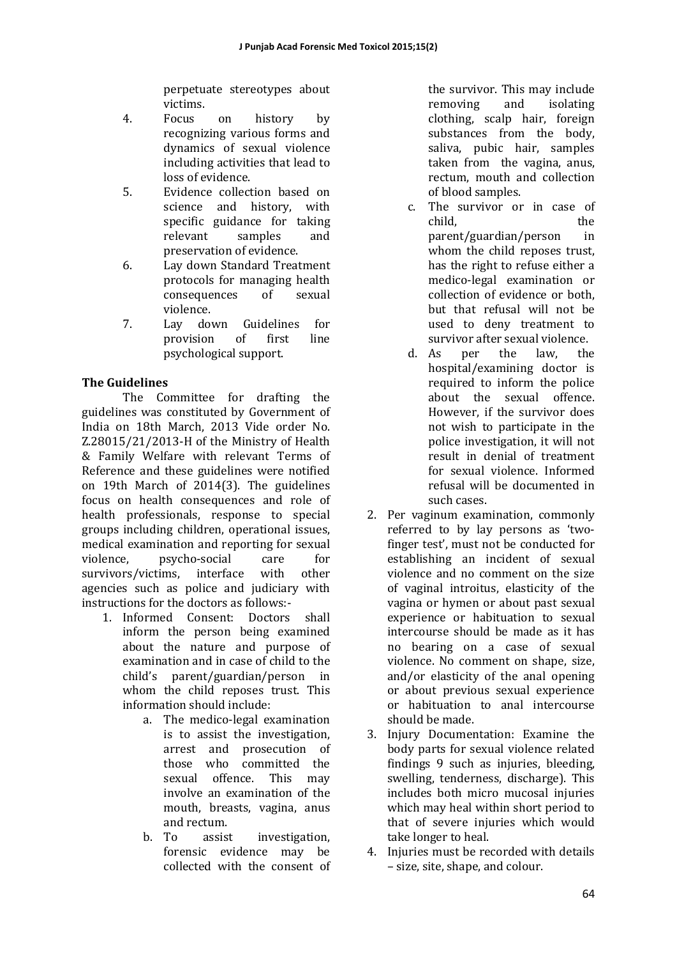perpetuate stereotypes about victims. 

- 4. Focus on history by recognizing various forms and dynamics of sexual violence including activities that lead to loss of evidence.
- 5. Evidence collection based on science and history, with specific guidance for taking relevant samples and preservation of evidence.
- 6. Lay down Standard Treatment protocols for managing health consequences of sexual violence.
- 7. Lay down Guidelines for provision of first line psychological support.

# **The Guidelines**

The Committee for drafting the guidelines was constituted by Government of India on 18th March, 2013 Vide order No.  $Z.28015/21/2013-H$  of the Ministry of Health & Family Welfare with relevant Terms of Reference and these guidelines were notified on 19th March of 2014(3). The guidelines focus on health consequences and role of health professionals, response to special groups including children, operational issues, medical examination and reporting for sexual violence, psycho-social care for survivors/victims, interface with other agencies such as police and judiciary with instructions for the doctors as follows:-

- 1. Informed Consent: Doctors shall inform the person being examined about the nature and purpose of examination and in case of child to the child's parent/guardian/person in whom the child reposes trust. This information should include:
	- a. The medico-legal examination is to assist the investigation, arrest and prosecution of those who committed the sexual offence. This may involve an examination of the mouth, breasts, vagina, anus and rectum.
	- b. To assist investigation, forensic evidence may be collected with the consent of

the survivor. This may include removing and isolating clothing, scalp hair, foreign substances from the body. saliva, pubic hair, samples taken from the vagina, anus, rectum, mouth and collection of blood samples.

- c. The survivor or in case of child, the parent/guardian/person in whom the child reposes trust, has the right to refuse either a medico-legal examination or collection of evidence or both. but that refusal will not be used to deny treatment to survivor after sexual violence.
- d. As per the law, the hospital/examining doctor is required to inform the police about the sexual offence. However, if the survivor does not wish to participate in the police investigation, it will not result in denial of treatment for sexual violence. Informed refusal will be documented in such cases.
- 2. Per vaginum examination, commonly referred to by lay persons as 'twofinger test', must not be conducted for establishing an incident of sexual violence and no comment on the size of vaginal introitus, elasticity of the vagina or hymen or about past sexual experience or habituation to sexual intercourse should be made as it has no bearing on a case of sexual violence. No comment on shape, size, and/or elasticity of the anal opening or about previous sexual experience or habituation to anal intercourse should be made.
- 3. Injury Documentation: Examine the body parts for sexual violence related findings 9 such as injuries, bleeding, swelling, tenderness, discharge). This includes both micro mucosal injuries which may heal within short period to that of severe injuries which would take longer to heal.
- 4. Injuries must be recorded with details – size, site, shape, and colour.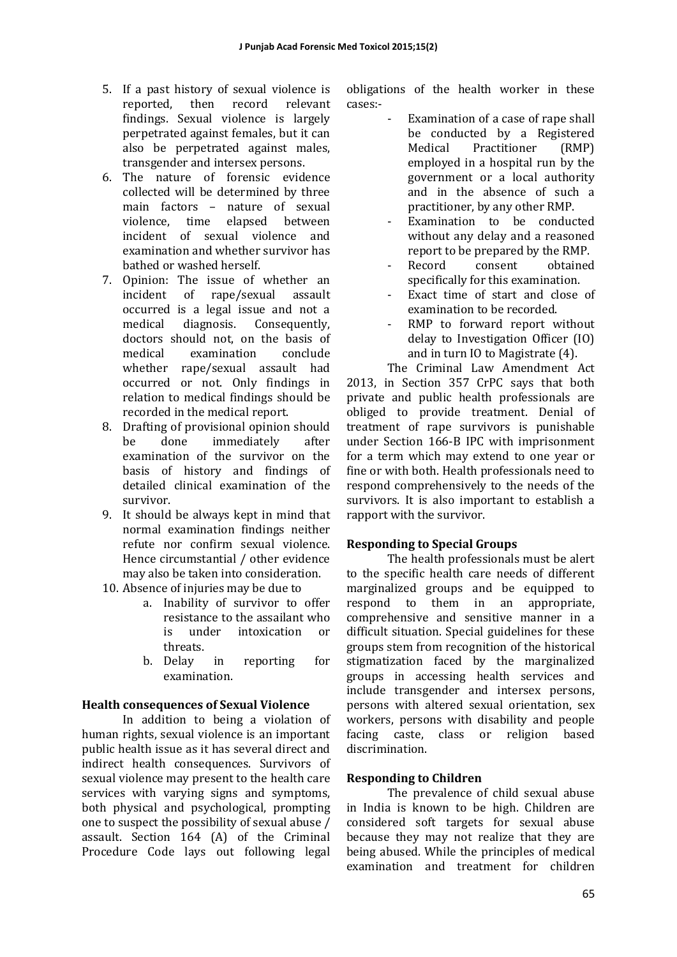- 5. If a past history of sexual violence is reported, then record relevant findings. Sexual violence is largely perpetrated against females, but it can also be perpetrated against males, transgender and intersex persons.
- 6. The nature of forensic evidence collected will be determined by three main factors – nature of sexual violence, time elapsed between incident of sexual violence and examination and whether survivor has bathed or washed herself.
- 7. Opinion: The issue of whether an incident of rape/sexual assault occurred is a legal issue and not a medical diagnosis. Consequently, doctors should not, on the basis of medical examination conclude whether rape/sexual assault had occurred or not. Only findings in relation to medical findings should be recorded in the medical report.
- 8. Drafting of provisional opinion should be done immediately after examination of the survivor on the basis of history and findings of detailed clinical examination of the survivor.
- 9. It should be always kept in mind that normal examination findings neither refute nor confirm sexual violence. Hence circumstantial / other evidence may also be taken into consideration.
- 10. Absence of injuries may be due to
	- a. Inability of survivor to offer resistance to the assailant who is under intoxication or threats.
	- b. Delay in reporting for examination.

## **Health consequences of Sexual Violence**

In addition to being a violation of human rights, sexual violence is an important public health issue as it has several direct and indirect health consequences. Survivors of sexual violence may present to the health care services with varying signs and symptoms, both physical and psychological, prompting one to suspect the possibility of sexual abuse / assault. Section 164 (A) of the Criminal Procedure Code lays out following legal

obligations of the health worker in these cases:- 

- Examination of a case of rape shall be conducted by a Registered Medical Practitioner (RMP) employed in a hospital run by the government or a local authority and in the absence of such a practitioner, by any other RMP.
- Examination to be conducted without any delay and a reasoned report to be prepared by the RMP.
- Record consent obtained specifically for this examination.
- Exact time of start and close of examination to be recorded.
- RMP to forward report without delay to Investigation Officer  $(10)$ and in turn IO to Magistrate  $(4)$ .

The Criminal Law Amendment Act 2013, in Section 357 CrPC says that both private and public health professionals are obliged to provide treatment. Denial of treatment of rape survivors is punishable under Section 166-B IPC with imprisonment for a term which may extend to one year or fine or with both. Health professionals need to respond comprehensively to the needs of the survivors. It is also important to establish a rapport with the survivor.

## **Responding to Special Groups**

The health professionals must be alert to the specific health care needs of different marginalized groups and be equipped to respond to them in an appropriate, comprehensive and sensitive manner in a difficult situation. Special guidelines for these groups stem from recognition of the historical stigmatization faced by the marginalized groups in accessing health services and include transgender and intersex persons, persons with altered sexual orientation, sex workers, persons with disability and people facing caste, class or religion based discrimination. 

#### **Responding to Children**

The prevalence of child sexual abuse in India is known to be high. Children are considered soft targets for sexual abuse because they may not realize that they are being abused. While the principles of medical examination and treatment for children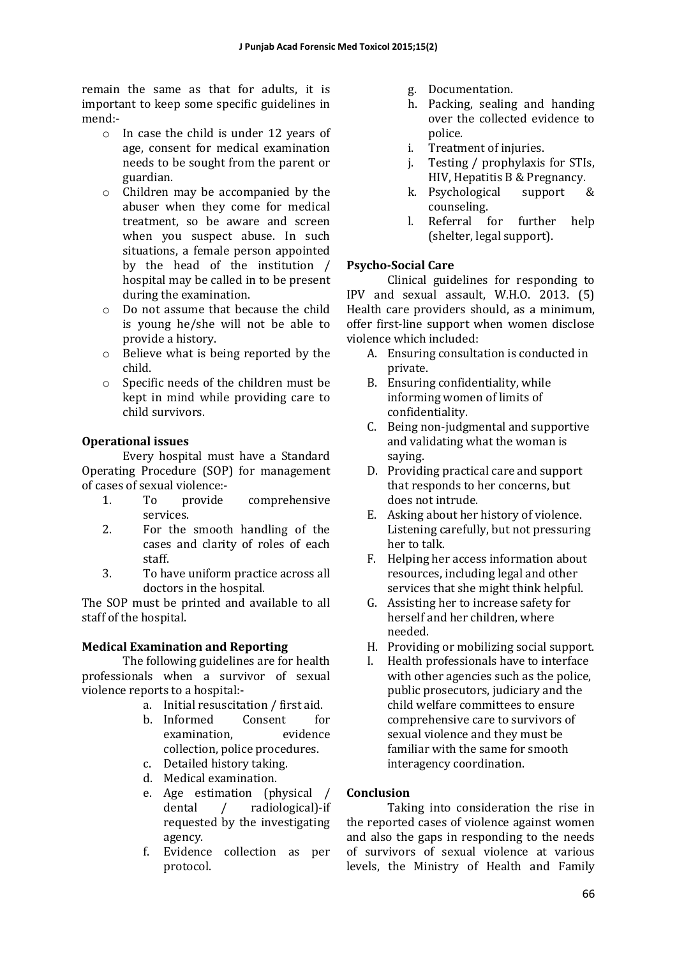remain the same as that for adults, it is important to keep some specific guidelines in mend:- 

- $\circ$  In case the child is under 12 years of age, consent for medical examination needs to be sought from the parent or guardian.
- $\circ$  Children may be accompanied by the abuser when they come for medical treatment, so be aware and screen when you suspect abuse. In such situations, a female person appointed by the head of the institution / hospital may be called in to be present during the examination.
- $\circ$  Do not assume that because the child is young he/she will not be able to provide a history.
- $\circ$  Believe what is being reported by the child.
- $\circ$  Specific needs of the children must be kept in mind while providing care to child survivors.

# **Operational issues**

Every hospital must have a Standard Operating Procedure (SOP) for management of cases of sexual violence:-

- 1. To provide comprehensive services.
- 2. For the smooth handling of the cases and clarity of roles of each staff.
- 3. To have uniform practice across all doctors in the hospital.

The SOP must be printed and available to all staff of the hospital.

## **Medical Examination and Reporting**

The following guidelines are for health professionals when a survivor of sexual violence reports to a hospital:-

- a. Initial resuscitation / first aid.
- b. Informed Consent for examination. evidence collection, police procedures.
- c. Detailed history taking.
- d. Medical examination.
- e. Age estimation (physical / dental / radiological)-if requested by the investigating agency.
- f. Evidence collection as per protocol.
- g. Documentation.
- h. Packing, sealing and handing over the collected evidence to police.
- i. Treatment of injuries.
- j. Testing / prophylaxis for STIs, HIV, Hepatitis B & Pregnancy.
- k. Psychological support & counseling.
- l. Referral for further help (shelter, legal support).

# **Psycho-Social Care**

Clinical guidelines for responding to IPV and sexual assault, W.H.O. 2013. (5) Health care providers should, as a minimum, offer first-line support when women disclose violence which included:

- A. Ensuring consultation is conducted in private.
- B. Ensuring confidentiality, while informing women of limits of confidentiality.
- C. Being non-judgmental and supportive and validating what the woman is saying.
- D. Providing practical care and support that responds to her concerns, but does not intrude.
- E. Asking about her history of violence. Listening carefully, but not pressuring her to talk.
- F. Helping her access information about resources, including legal and other services that she might think helpful.
- G. Assisting her to increase safety for herself and her children, where needed.
- H. Providing or mobilizing social support.
- I. Health professionals have to interface with other agencies such as the police, public prosecutors, judiciary and the child welfare committees to ensure comprehensive care to survivors of sexual violence and they must be familiar with the same for smooth interagency coordination.

# **Conclusion**

Taking into consideration the rise in the reported cases of violence against women and also the gaps in responding to the needs of survivors of sexual violence at various levels, the Ministry of Health and Family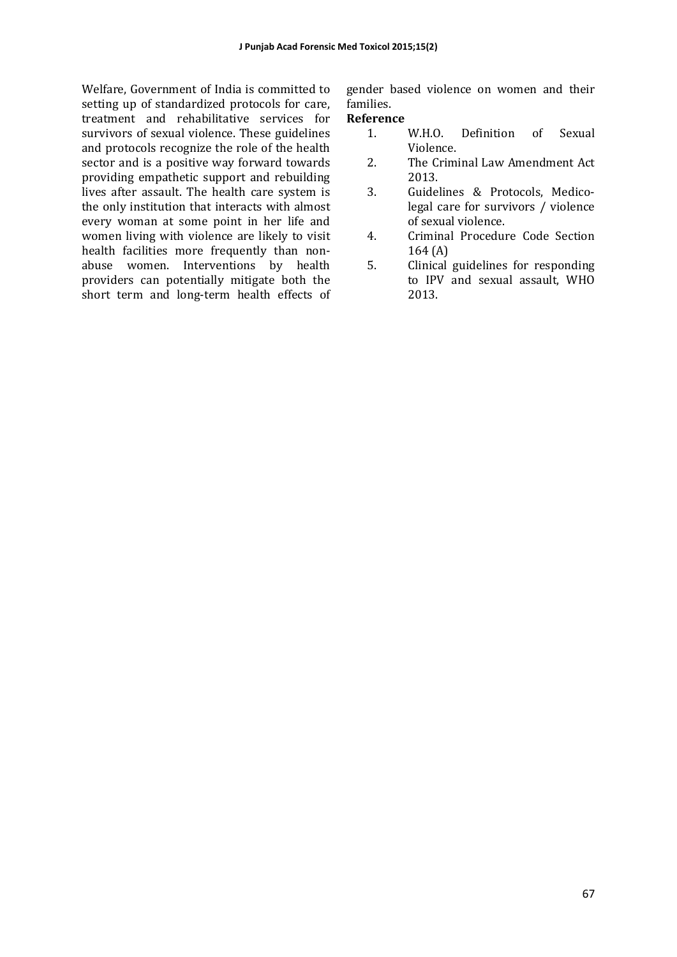Welfare, Government of India is committed to setting up of standardized protocols for care, treatment and rehabilitative services for survivors of sexual violence. These guidelines and protocols recognize the role of the health sector and is a positive way forward towards providing empathetic support and rebuilding lives after assault. The health care system is the only institution that interacts with almost every woman at some point in her life and women living with violence are likely to visit health facilities more frequently than nonabuse women. Interventions by health providers can potentially mitigate both the short term and long-term health effects of gender based violence on women and their families. 

#### **Reference**

- 1. W.H.O. Definition of Sexual Violence.
- 2. The Criminal Law Amendment Act 2013.
- 3. Guidelines & Protocols, Medicolegal care for survivors / violence of sexual violence.
- 4. Criminal Procedure Code Section  $164(A)$
- 5. Clinical guidelines for responding to IPV and sexual assault, WHO 2013.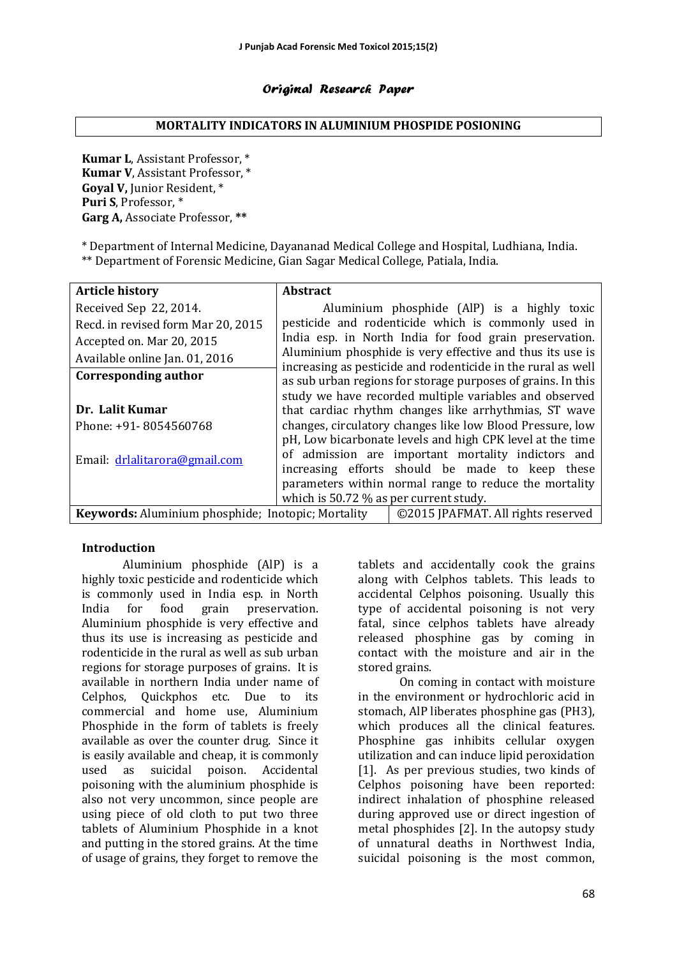#### Original Research Paper

#### **MORTALITY INDICATORS IN ALUMINIUM PHOSPIDE POSIONING**

**Kumar L**, Assistant Professor, \* **Kumar V**, Assistant Professor, \* **Goval V.** Junior Resident.<sup>\*</sup> Puri S, Professor, \* Garg A, Associate Professor, \*\*

\* Department of Internal Medicine, Dayananad Medical College and Hospital, Ludhiana, India. \*\* Department of Forensic Medicine, Gian Sagar Medical College, Patiala, India.

| <b>Article history</b>                             | <b>Abstract</b>                                                                                                                                                                        |                                                           |  |
|----------------------------------------------------|----------------------------------------------------------------------------------------------------------------------------------------------------------------------------------------|-----------------------------------------------------------|--|
| Received Sep 22, 2014.                             |                                                                                                                                                                                        | Aluminium phosphide (AlP) is a highly toxic               |  |
| Recd. in revised form Mar 20, 2015                 |                                                                                                                                                                                        | pesticide and rodenticide which is commonly used in       |  |
| Accepted on. Mar 20, 2015                          |                                                                                                                                                                                        | India esp. in North India for food grain preservation.    |  |
| Available online Jan. 01, 2016                     |                                                                                                                                                                                        | Aluminium phosphide is very effective and thus its use is |  |
| Corresponding author                               | increasing as pesticide and rodenticide in the rural as well<br>as sub urban regions for storage purposes of grains. In this<br>study we have recorded multiple variables and observed |                                                           |  |
| Dr. Lalit Kumar                                    | that cardiac rhythm changes like arrhythmias, ST wave                                                                                                                                  |                                                           |  |
| Phone: +91-8054560768                              |                                                                                                                                                                                        | changes, circulatory changes like low Blood Pressure, low |  |
|                                                    |                                                                                                                                                                                        | pH, Low bicarbonate levels and high CPK level at the time |  |
| Email: drlalitarora@gmail.com                      |                                                                                                                                                                                        | of admission are important mortality indictors and        |  |
|                                                    |                                                                                                                                                                                        | increasing efforts should be made to keep these           |  |
|                                                    | parameters within normal range to reduce the mortality                                                                                                                                 |                                                           |  |
|                                                    | which is 50.72 % as per current study.                                                                                                                                                 |                                                           |  |
| Keywords: Aluminium phosphide; Inotopic; Mortality | ©2015 JPAFMAT. All rights reserved                                                                                                                                                     |                                                           |  |

#### **Introduction**

Aluminium phosphide (AlP) is a highly toxic pesticide and rodenticide which is commonly used in India esp. in North India for food grain preservation. Aluminium phosphide is very effective and thus its use is increasing as pesticide and rodenticide in the rural as well as sub urban regions for storage purposes of grains. It is available in northern India under name of Celphos, Quickphos etc. Due to its commercial and home use, Aluminium Phosphide in the form of tablets is freely available as over the counter drug. Since it is easily available and cheap, it is commonly used as suicidal poison. Accidental poisoning with the aluminium phosphide is also not very uncommon, since people are using piece of old cloth to put two three tablets of Aluminium Phosphide in a knot and putting in the stored grains. At the time of usage of grains, they forget to remove the

tablets and accidentally cook the grains along with Celphos tablets. This leads to accidental Celphos poisoning. Usually this type of accidental poisoning is not very fatal, since celphos tablets have already released phosphine gas by coming in contact with the moisture and air in the stored grains.

On coming in contact with moisture in the environment or hydrochloric acid in stomach, AlP liberates phosphine gas (PH3), which produces all the clinical features. Phosphine gas inhibits cellular oxygen utilization and can induce lipid peroxidation [1]. As per previous studies, two kinds of Celphos poisoning have been reported: indirect inhalation of phosphine released during approved use or direct ingestion of metal phosphides [2]. In the autopsy study of unnatural deaths in Northwest India, suicidal poisoning is the most common,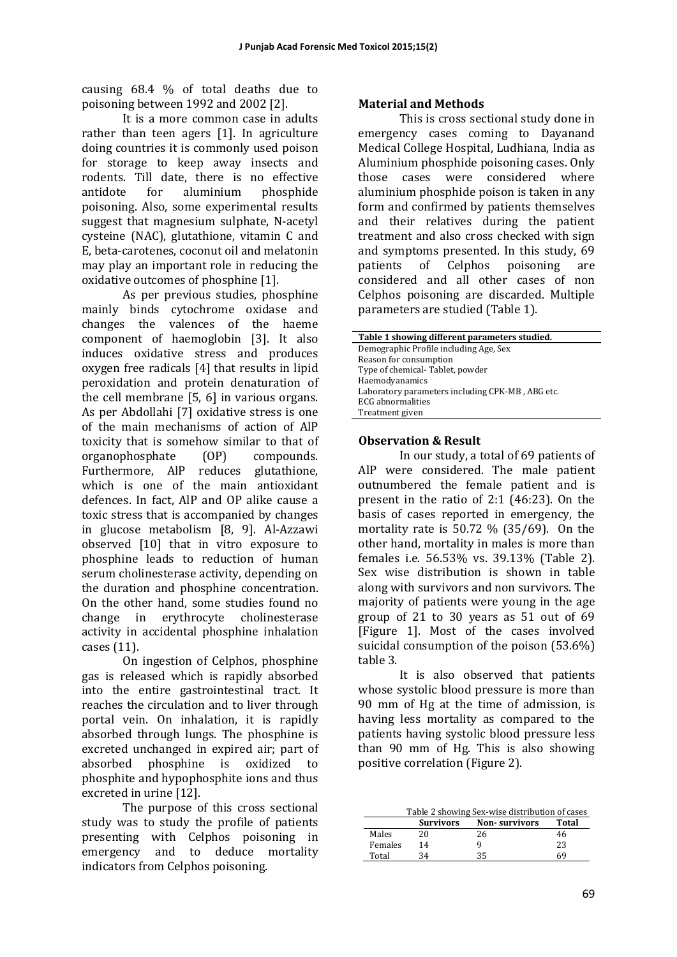causing  $68.4\%$  of total deaths due to poisoning between 1992 and 2002 [2].

It is a more common case in adults rather than teen agers [1]. In agriculture doing countries it is commonly used poison for storage to keep away insects and rodents. Till date, there is no effective antidote for aluminium phosphide poisoning. Also, some experimental results suggest that magnesium sulphate, N-acetyl cysteine (NAC), glutathione, vitamin C and E, beta-carotenes, coconut oil and melatonin may play an important role in reducing the oxidative outcomes of phosphine [1].

As per previous studies, phosphine mainly binds cytochrome oxidase and changes the valences of the haeme component of haemoglobin [3]. It also induces oxidative stress and produces oxygen free radicals  $[4]$  that results in lipid peroxidation and protein denaturation of the cell membrane  $[5, 6]$  in various organs. As per Abdollahi [7] oxidative stress is one of the main mechanisms of action of AlP toxicity that is somehow similar to that of organophosphate (OP) compounds. Furthermore, AlP reduces glutathione, which is one of the main antioxidant defences. In fact, AlP and OP alike cause a toxic stress that is accompanied by changes in glucose metabolism [8, 9]. Al-Azzawi observed [10] that in vitro exposure to phosphine leads to reduction of human serum cholinesterase activity, depending on the duration and phosphine concentration. On the other hand, some studies found no change in erythrocyte cholinesterase activity in accidental phosphine inhalation cases  $(11)$ .

On ingestion of Celphos, phosphine gas is released which is rapidly absorbed into the entire gastrointestinal tract. It reaches the circulation and to liver through portal vein. On inhalation, it is rapidly absorbed through lungs. The phosphine is excreted unchanged in expired air; part of absorbed phosphine is oxidized to phosphite and hypophosphite ions and thus excreted in urine [12].

The purpose of this cross sectional study was to study the profile of patients presenting with Celphos poisoning in emergency and to deduce mortality indicators from Celphos poisoning.

# **Material and Methods**

This is cross sectional study done in emergency cases coming to Dayanand Medical College Hospital, Ludhiana, India as Aluminium phosphide poisoning cases. Only those cases were considered where aluminium phosphide poison is taken in any form and confirmed by patients themselves and their relatives during the patient treatment and also cross checked with sign and symptoms presented. In this study,  $69$ patients of Celphos poisoning are considered and all other cases of non Celphos poisoning are discarded. Multiple parameters are studied (Table 1).

| Table 1 showing different parameters studied.    |
|--------------------------------------------------|
| Demographic Profile including Age, Sex           |
| Reason for consumption                           |
| Type of chemical-Tablet, powder                  |
| Haemodyanamics                                   |
| Laboratory parameters including CPK-MB, ABG etc. |
| <b>ECG</b> abnormalities                         |
| Treatment given                                  |

#### **Observation & Result**

In our study, a total of 69 patients of AlP were considered. The male patient outnumbered the female patient and is present in the ratio of  $2:1$  (46:23). On the basis of cases reported in emergency, the mortality rate is  $50.72\%$  (35/69). On the other hand, mortality in males is more than females i.e. 56.53% vs. 39.13% (Table 2). Sex wise distribution is shown in table along with survivors and non survivors. The majority of patients were young in the age group of  $21$  to  $30$  years as  $51$  out of  $69$ [Figure 1]. Most of the cases involved suicidal consumption of the poison  $(53.6%)$ table 3.

It is also observed that patients whose systolic blood pressure is more than 90 mm of Hg at the time of admission, is having less mortality as compared to the patients having systolic blood pressure less than 90 mm of Hg. This is also showing positive correlation (Figure 2).

| Curvivore | Non-curvivore                                  | Total |
|-----------|------------------------------------------------|-------|
|           | Table 2 showing Sex-wise distribution of cases |       |

|         | <b>Survivors</b> | <b>Non-survivors</b> | Total |
|---------|------------------|----------------------|-------|
| Males   | 20               | 26                   | 46    |
| Females | 14               | q                    | 23    |
| Total   | 34               | 35                   | 69    |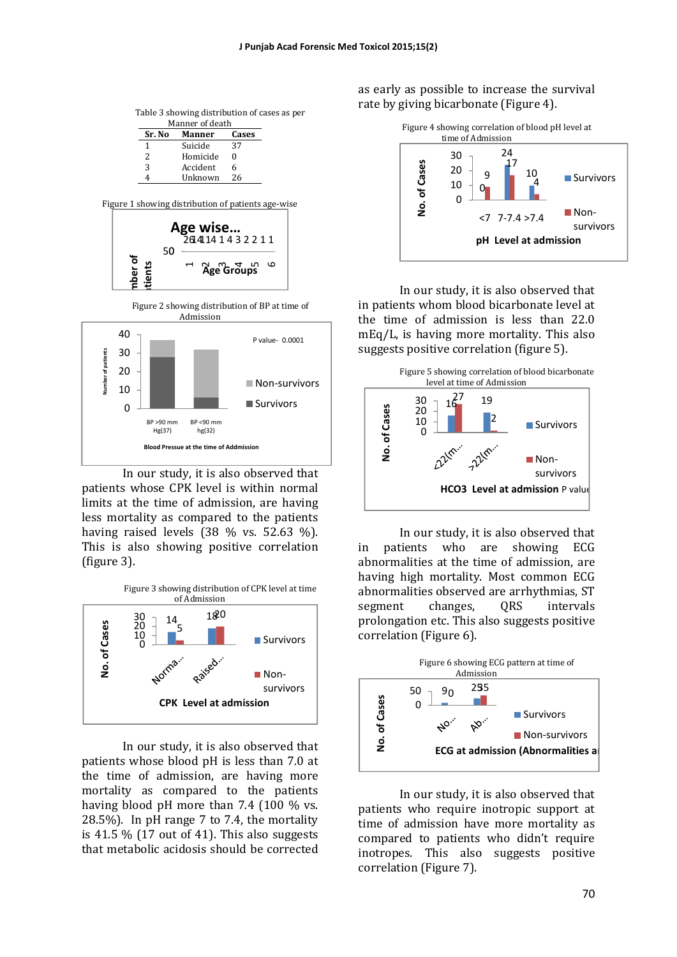| Table 3 showing distribution of cases as per |  |  |
|----------------------------------------------|--|--|
|                                              |  |  |

|               | Manner of death |
|---------------|-----------------|
| <b>Manner</b> | Cases           |
| Suicide       | 37              |
| Homicide      | 0               |
| Accident      | 6               |
| Unknown       | 26              |
|               |                 |









In our study, it is also observed that patients whose CPK level is within normal limits at the time of admission, are having less mortality as compared to the patients having raised levels  $(38\%$  vs. 52.63 %). This is also showing positive correlation (figure 3).



In our study, it is also observed that patients whose blood pH is less than 7.0 at the time of admission, are having more mortality as compared to the patients having blood pH more than  $7.4$  (100 % vs. 28.5%). In pH range  $7$  to  $7.4$ , the mortality is  $41.5\%$  (17 out of 41). This also suggests that metabolic acidosis should be corrected

as early as possible to increase the survival rate by giving bicarbonate (Figure 4).



In our study, it is also observed that in patients whom blood bicarbonate level at the time of admission is less than  $22.0$  $mEq/L$ , is having more mortality. This also suggests positive correlation (figure 5).



In our study, it is also observed that in patients who are showing ECG abnormalities at the time of admission, are having high mortality. Most common ECG abnormalities observed are arrhythmias, ST segment changes, ORS intervals prolongation etc. This also suggests positive correlation (Figure 6).



In our study, it is also observed that patients who require inotropic support at time of admission have more mortality as compared to patients who didn't require inotropes. This also suggests positive correlation (Figure 7).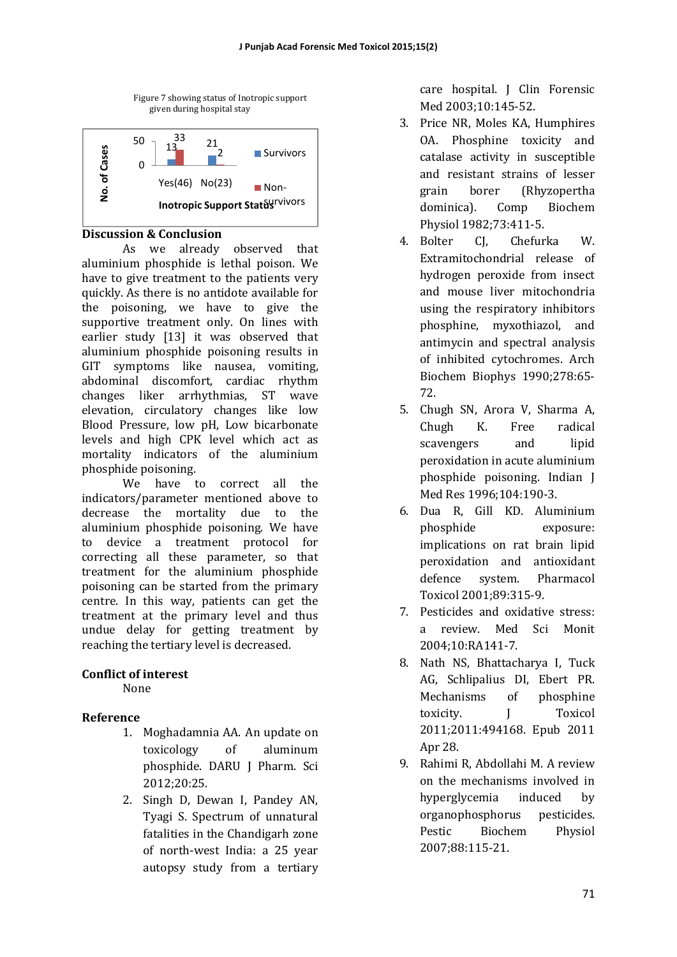

#### **Discussion & Conclusion**

As we already observed that aluminium phosphide is lethal poison. We have to give treatment to the patients very quickly. As there is no antidote available for the poisoning, we have to give the supportive treatment only. On lines with earlier study [13] it was observed that aluminium phosphide poisoning results in GIT symptoms like nausea, vomiting, abdominal discomfort, cardiac rhythm changes liker arrhythmias, ST wave elevation, circulatory changes like low Blood Pressure, low pH, Low bicarbonate levels and high CPK level which act as mortality indicators of the aluminium phosphide poisoning.

We have to correct all the indicators/parameter mentioned above to decrease the mortality due to the aluminium phosphide poisoning. We have to device a treatment protocol for correcting all these parameter, so that treatment for the aluminium phosphide poisoning can be started from the primary centre. In this way, patients can get the treatment at the primary level and thus undue delay for getting treatment by reaching the tertiary level is decreased.

## **Conflict of interest**

None 

## **Reference**

- 1. Moghadamnia AA. An update on toxicology of aluminum phosphide. DARU J Pharm. Sci 2012;20:25.
- 2. Singh D, Dewan I, Pandey AN, Tyagi S. Spectrum of unnatural fatalities in the Chandigarh zone of north-west India: a 25 year autopsy study from a tertiary

care hospital. J Clin Forensic Med 2003;10:145-52. 

- 3. Price NR, Moles KA, Humphires OA. Phosphine toxicity and catalase activity in susceptible and resistant strains of lesser grain borer (Rhyzopertha dominica). Comp Biochem Physiol 1982;73:411-5.
- 4. Bolter CJ, Chefurka W. Extramitochondrial release of hydrogen peroxide from insect and mouse liver mitochondria using the respiratory inhibitors phosphine, myxothiazol, and antimycin and spectral analysis of inhibited cytochromes. Arch Biochem Biophys 1990:278:65-72.
- 5. Chugh SN, Arora V, Sharma A, Chugh K. Free radical scavengers and lipid peroxidation in acute aluminium phosphide poisoning. Indian J Med Res 1996;104:190-3.
- 6. Dua R, Gill KD. Aluminium phosphide exposure: implications on rat brain lipid peroxidation and antioxidant defence system. Pharmacol Toxicol 2001;89:315-9.
- 7. Pesticides and oxidative stress: a review. Med Sci Monit 2004;10:RA141-7.
- 8. Nath NS, Bhattacharya I, Tuck AG. Schlipalius DI, Ebert PR. Mechanisms of phosphine toxicity. **I** Toxicol 2011;2011:494168. Epub 2011 Apr 28.
- 9. Rahimi R, Abdollahi M. A review on the mechanisms involved in hyperglycemia induced by organophosphorus pesticides. Pestic Biochem Physiol 2007;88:115-21.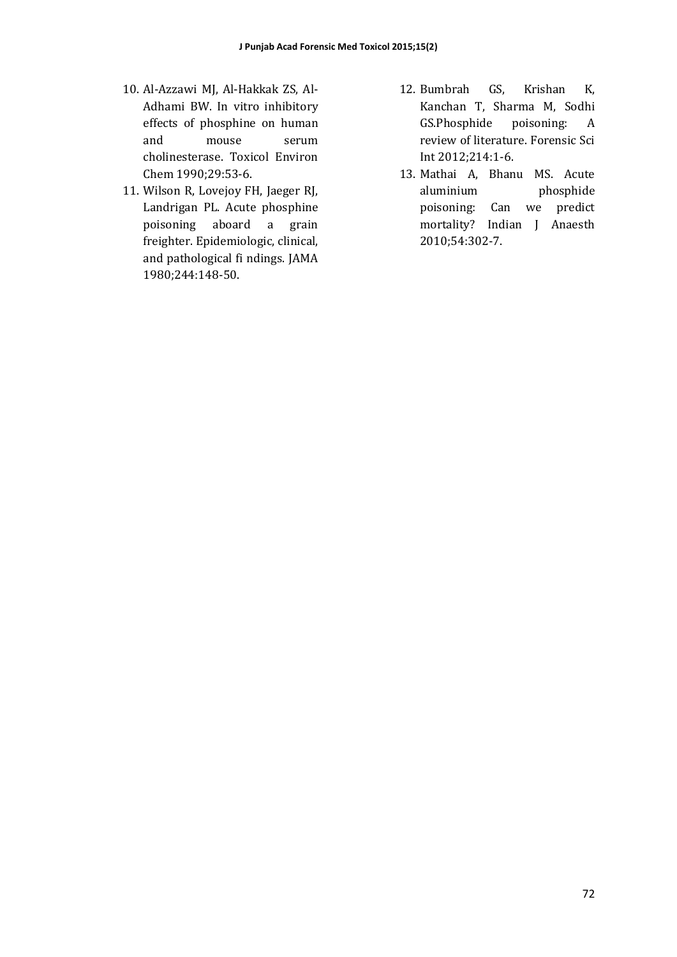- 10. Al-Azzawi MJ, Al-Hakkak ZS, Al-Adhami BW. In vitro inhibitory effects of phosphine on human and mouse serum cholinesterase. Toxicol Environ Chem 1990;29:53-6.
- 11. Wilson R, Lovejoy FH, Jaeger RJ, Landrigan PL. Acute phosphine poisoning aboard a grain freighter. Epidemiologic, clinical, and pathological fi ndings. JAMA 1980;244:148-50.
- 12. Bumbrah GS, Krishan K, Kanchan T, Sharma M, Sodhi GS.Phosphide poisoning: A review of literature. Forensic Sci Int 2012;214:1-6.
- 13. Mathai A, Bhanu MS. Acute aluminium phosphide poisoning: Can we predict mortality? Indian J Anaesth 2010;54:302-7.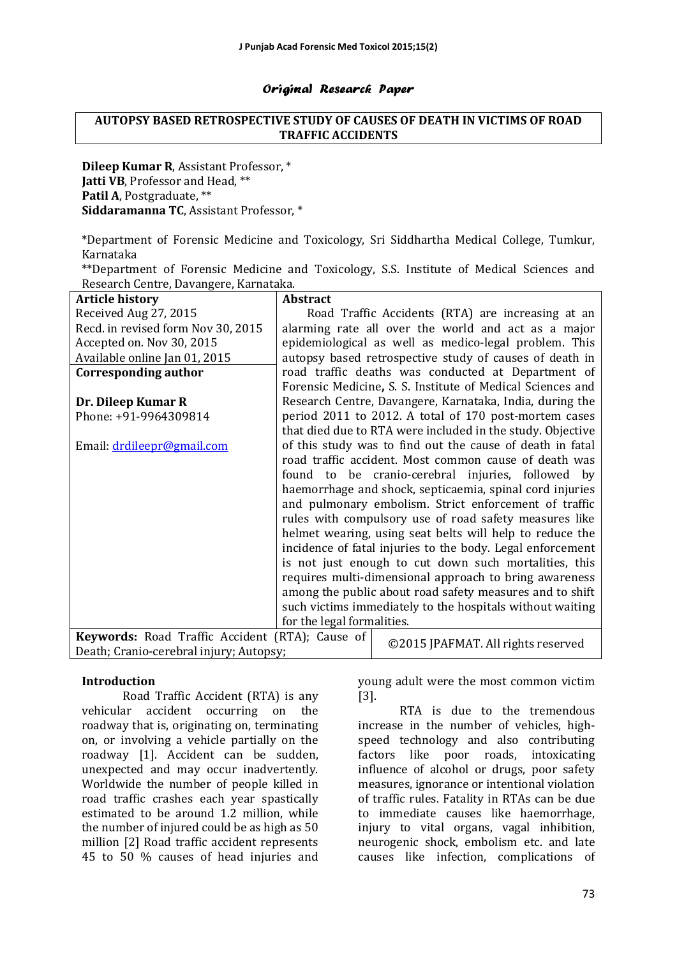#### Original Research Paper

#### **AUTOPSY BASED RETROSPECTIVE STUDY OF CAUSES OF DEATH IN VICTIMS OF ROAD TRAFFIC ACCIDENTS**

**Dileep Kumar R, Assistant Professor,** \* **Jatti VB**, Professor and Head, \*\* **Patil A**, Postgraduate, \*\* **Siddaramanna TC**, Assistant Professor, \*

\*Department of Forensic Medicine and Toxicology, Sri Siddhartha Medical College, Tumkur, Karnataka 

\*\*Department of Forensic Medicine and Toxicology, S.S. Institute of Medical Sciences and Research Centre, Davangere, Karnataka.

| <b>Article history</b>                          | <b>Abstract</b>                                           |                                                            |  |
|-------------------------------------------------|-----------------------------------------------------------|------------------------------------------------------------|--|
| Received Aug 27, 2015                           |                                                           | Road Traffic Accidents (RTA) are increasing at an          |  |
| Recd. in revised form Nov 30, 2015              |                                                           | alarming rate all over the world and act as a major        |  |
| Accepted on. Nov 30, 2015                       |                                                           | epidemiological as well as medico-legal problem. This      |  |
| Available online Jan 01, 2015                   |                                                           | autopsy based retrospective study of causes of death in    |  |
| Corresponding author                            |                                                           | road traffic deaths was conducted at Department of         |  |
|                                                 |                                                           | Forensic Medicine, S. S. Institute of Medical Sciences and |  |
| Dr. Dileep Kumar R                              |                                                           | Research Centre, Davangere, Karnataka, India, during the   |  |
| Phone: +91-9964309814                           |                                                           | period 2011 to 2012. A total of 170 post-mortem cases      |  |
|                                                 |                                                           | that died due to RTA were included in the study. Objective |  |
| Email: drdileepr@gmail.com                      |                                                           | of this study was to find out the cause of death in fatal  |  |
|                                                 |                                                           | road traffic accident. Most common cause of death was      |  |
|                                                 |                                                           | found to be cranio-cerebral injuries, followed by          |  |
|                                                 | haemorrhage and shock, septicaemia, spinal cord injuries  |                                                            |  |
|                                                 | and pulmonary embolism. Strict enforcement of traffic     |                                                            |  |
|                                                 |                                                           | rules with compulsory use of road safety measures like     |  |
|                                                 |                                                           | helmet wearing, using seat belts will help to reduce the   |  |
|                                                 |                                                           | incidence of fatal injuries to the body. Legal enforcement |  |
|                                                 |                                                           | is not just enough to cut down such mortalities, this      |  |
|                                                 | requires multi-dimensional approach to bring awareness    |                                                            |  |
|                                                 | among the public about road safety measures and to shift  |                                                            |  |
|                                                 | such victims immediately to the hospitals without waiting |                                                            |  |
|                                                 | for the legal formalities.                                |                                                            |  |
| Keywords: Road Traffic Accident (RTA); Cause of |                                                           |                                                            |  |
| Death; Cranio-cerebral injury; Autopsy;         |                                                           | ©2015 JPAFMAT. All rights reserved                         |  |

#### **Introduction**

Road Traffic Accident (RTA) is any vehicular accident occurring on the roadway that is, originating on, terminating on, or involving a vehicle partially on the roadway [1]. Accident can be sudden, unexpected and may occur inadvertently. Worldwide the number of people killed in road traffic crashes each year spastically estimated to be around 1.2 million, while the number of injured could be as high as  $50$ million [2] Road traffic accident represents 45 to 50 % causes of head injuries and

young adult were the most common victim [3]. 

RTA is due to the tremendous increase in the number of vehicles, highspeed technology and also contributing factors like poor roads, intoxicating influence of alcohol or drugs, poor safety measures, ignorance or intentional violation of traffic rules. Fatality in RTAs can be due to immediate causes like haemorrhage, injury to vital organs, vagal inhibition, neurogenic shock, embolism etc. and late causes like infection, complications of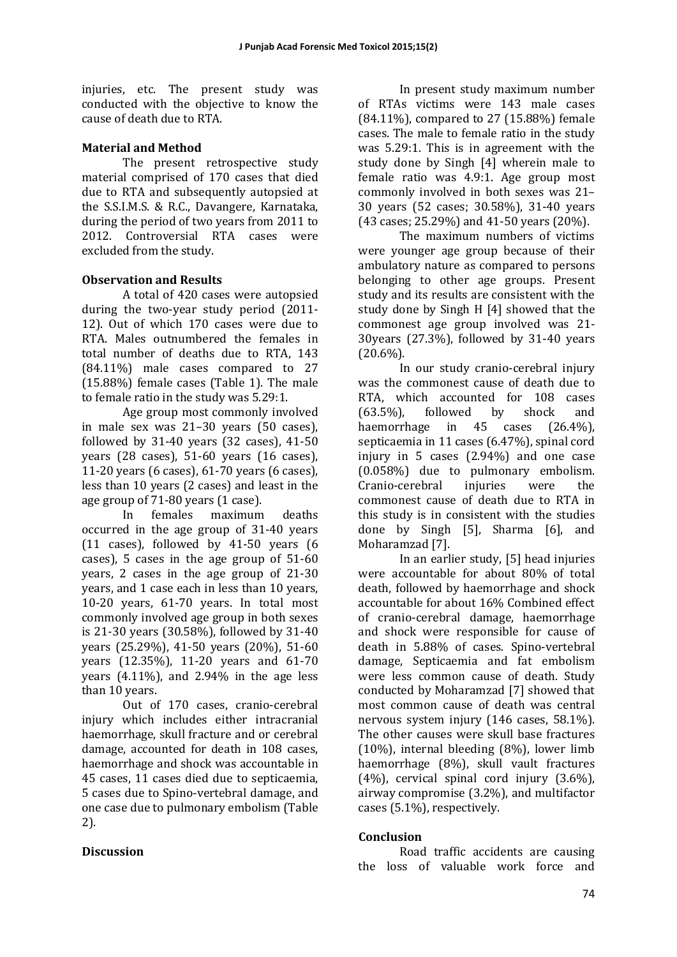injuries, etc. The present study was conducted with the objective to know the cause of death due to RTA.

## **Material and Method**

The present retrospective study material comprised of 170 cases that died due to RTA and subsequently autopsied at the S.S.I.M.S. & R.C., Davangere, Karnataka, during the period of two years from 2011 to 2012. Controversial RTA cases were excluded from the study.

# **Observation and Results**

A total of 420 cases were autopsied during the two-year study period  $(2011 -$ 12). Out of which 170 cases were due to RTA. Males outnumbered the females in total number of deaths due to RTA, 143  $(84.11\%)$  male cases compared to 27  $(15.88\%)$  female cases (Table 1). The male to female ratio in the study was 5.29:1.

Age group most commonly involved in male sex was  $21-30$  years  $(50 \text{ cases})$ , followed by  $31-40$  years  $(32 \text{ cases})$ ,  $41-50$ years  $(28 \text{ cases})$ , 51-60 years  $(16 \text{ cases})$ . 11-20 years  $(6 \text{ cases})$ ,  $61-70 \text{ years}$   $(6 \text{ cases})$ , less than 10 years (2 cases) and least in the age group of 71-80 years (1 case).

In females maximum deaths occurred in the age group of  $31-40$  years (11 cases), followed by  $41-50$  years  $(6$ cases), 5 cases in the age group of  $51-60$ years, 2 cases in the age group of  $21-30$ years, and 1 case each in less than 10 years, 10-20 years, 61-70 years. In total most commonly involved age group in both sexes is  $21-30$  years  $(30.58\%)$ , followed by  $31-40$ years (25.29%), 41-50 years (20%), 51-60 years (12.35%), 11-20 years and 61-70 years  $(4.11\%)$ , and  $2.94\%$  in the age less than 10 years.

Out of 170 cases, cranio-cerebral injury which includes either intracranial haemorrhage, skull fracture and or cerebral damage, accounted for death in 108 cases, haemorrhage and shock was accountable in 45 cases, 11 cases died due to septicaemia, 5 cases due to Spino-vertebral damage, and one case due to pulmonary embolism (Table 2). 

## **Discussion**

In present study maximum number of RTAs victims were 143 male cases  $(84.11\%)$ , compared to 27  $(15.88\%)$  female cases. The male to female ratio in the study was  $5.29:1$ . This is in agreement with the study done by Singh [4] wherein male to female ratio was 4.9:1. Age group most commonly involved in both sexes was 21-30 years (52 cases; 30.58%), 31-40 years  $(43 \text{ cases}; 25.29\%)$  and  $41-50 \text{ years}$  (20%).

The maximum numbers of victims were younger age group because of their ambulatory nature as compared to persons belonging to other age groups. Present study and its results are consistent with the study done by Singh H  $[4]$  showed that the commonest age group involved was 21-  $30$ years  $(27.3%)$ , followed by  $31-40$  years  $(20.6\%)$ .

In our study cranio-cerebral injury was the commonest cause of death due to RTA, which accounted for 108 cases  $(63.5\%)$ , followed by shock and haemorrhage in  $45$  cases  $(26.4\%)$ , septicaemia in 11 cases  $(6.47%)$ , spinal cord injury in 5 cases  $(2.94\%)$  and one case  $(0.058\%)$  due to pulmonary embolism. Cranio-cerebral injuries were the commonest cause of death due to RTA in this study is in consistent with the studies done by Singh [5], Sharma [6], and Moharamzad [7].

In an earlier study, [5] head injuries were accountable for about 80% of total death, followed by haemorrhage and shock accountable for about 16% Combined effect of cranio-cerebral damage, haemorrhage and shock were responsible for cause of death in 5.88% of cases. Spino-vertebral damage, Septicaemia and fat embolism were less common cause of death. Study conducted by Moharamzad [7] showed that most common cause of death was central nervous system injury (146 cases, 58.1%). The other causes were skull base fractures  $(10\%)$ , internal bleeding  $(8\%)$ , lower limb haemorrhage (8%), skull vault fractures  $(4%)$ , cervical spinal cord injury  $(3.6%)$ . airway compromise  $(3.2\%)$ , and multifactor cases (5.1%), respectively.

## **Conclusion**

Road traffic accidents are causing the loss of valuable work force and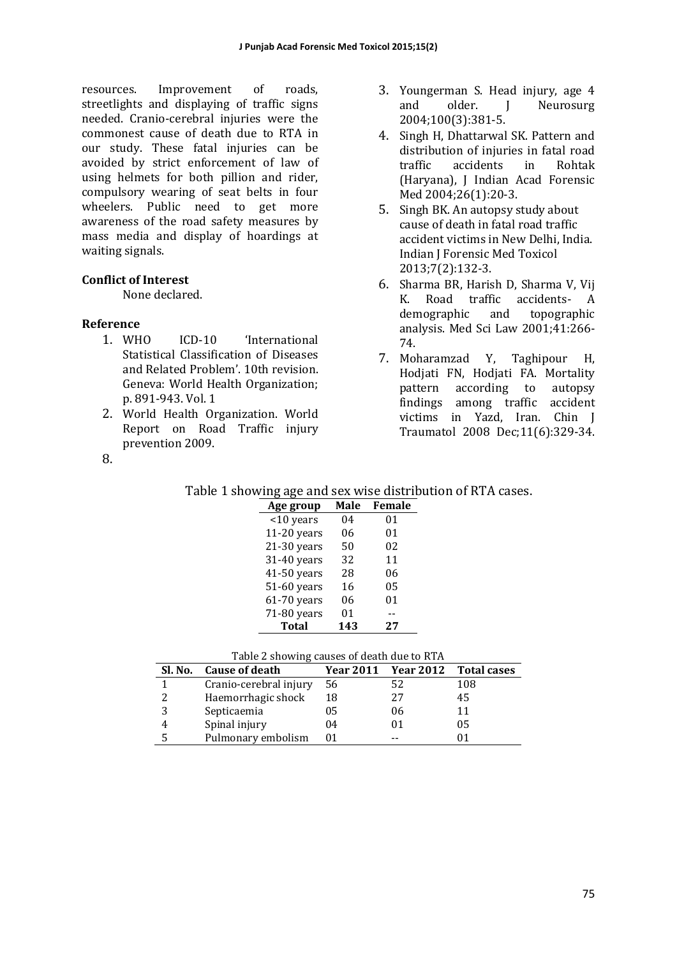resources. Improvement of roads, streetlights and displaying of traffic signs needed. Cranio-cerebral injuries were the commonest cause of death due to RTA in our study. These fatal injuries can be avoided by strict enforcement of law of using helmets for both pillion and rider, compulsory wearing of seat belts in four wheelers. Public need to get more awareness of the road safety measures by mass media and display of hoardings at waiting signals.

# **Conflict of Interest**

None declared.

# **Reference**

- 1. WHO ICD-10 'International Statistical Classification of Diseases and Related Problem'. 10th revision. Geneva: World Health Organization; p. 891-943. Vol. 1
- 2. World Health Organization. World Report on Road Traffic injury prevention 2009.
- 3. Youngerman S. Head injury, age 4 and older. J Neurosurg 2004;100(3):381-5.
- 4. Singh H, Dhattarwal SK. Pattern and distribution of injuries in fatal road traffic accidents in Rohtak (Haryana), J Indian Acad Forensic Med 2004;26(1):20-3.
- 5. Singh BK. An autopsy study about cause of death in fatal road traffic accident victims in New Delhi, India. Indian J Forensic Med Toxicol 2013;7(2):132-3.
- 6. Sharma BR, Harish D, Sharma V, Vij K. Road traffic accidents- A demographic and topographic analysis. Med Sci Law 2001;41:266-74.
- 7. Moharamzad Y, Taghipour H, Hodjati FN, Hodjati FA. Mortality pattern according to autopsy findings among traffic accident victims in Yazd, Iran. Chin J Traumatol 2008 Dec;11(6):329-34.

| .,           |  |
|--------------|--|
| ×<br>۰.<br>× |  |

| Table 1 showing age and sex wise distribution of RTA cases. |  |
|-------------------------------------------------------------|--|
|-------------------------------------------------------------|--|

| Age group     | Male | Female |
|---------------|------|--------|
| <10 years     | 04   | 01     |
| $11-20$ years | 06   | 01     |
| $21-30$ years | 50   | 02     |
| 31-40 years   | 32   | 11     |
| 41-50 years   | 28   | 06     |
| 51-60 years   | 16   | 05     |
| $61-70$ years | 06   | 01     |
| 71-80 years   | 01   |        |
| <b>Total</b>  | 143  | 27     |

| Table 2 showing causes of death due to KTA |                        |    |                      |                    |
|--------------------------------------------|------------------------|----|----------------------|--------------------|
| Sl. No.                                    | Cause of death         |    | Year 2011  Year 2012 | <b>Total cases</b> |
|                                            | Cranio-cerebral injury | 56 | 52                   | 108                |
|                                            | Haemorrhagic shock     | 18 | 27                   | 45                 |
|                                            | Septicaemia            | 05 | 06                   | 11                 |
| $\overline{4}$                             | Spinal injury          | 04 |                      | 05                 |
|                                            | Pulmonary embolism     | 01 |                      |                    |

| Table 2 showing causes of death due to RTA |  |  |
|--------------------------------------------|--|--|
|                                            |  |  |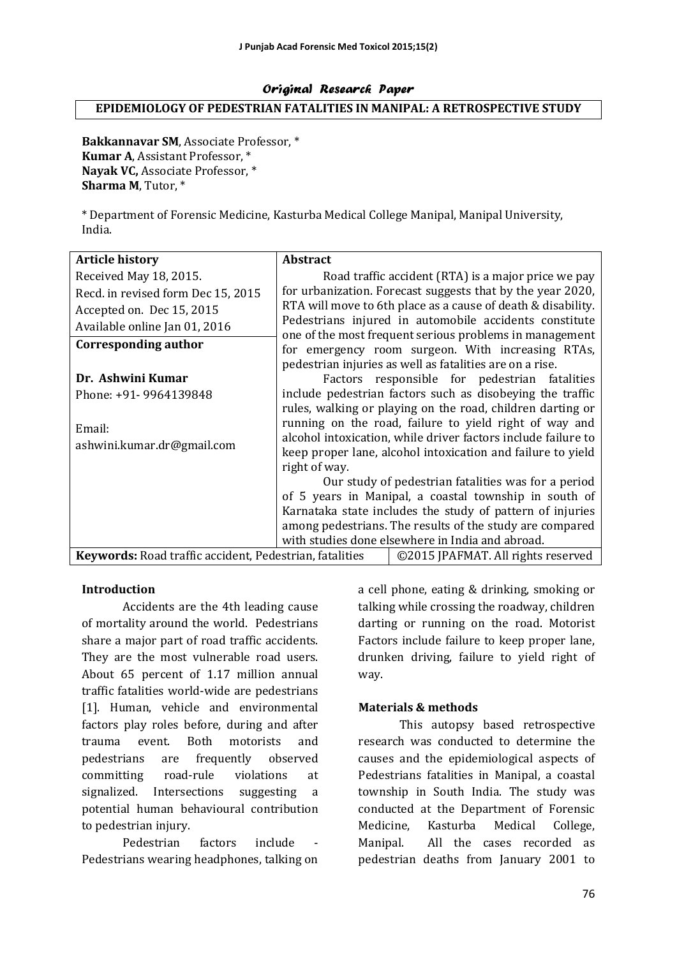#### Original Research Paper **EPIDEMIOLOGY OF PEDESTRIAN FATALITIES IN MANIPAL: A RETROSPECTIVE STUDY**

Bakkannavar SM, Associate Professor.<sup>\*</sup> **Kumar A.** Assistant Professor. \* Nayak VC, Associate Professor, \* **Sharma M**, Tutor,  $*$ 

\* Department of Forensic Medicine, Kasturba Medical College Manipal, Manipal University, India. 

| <b>Article history</b>                                                                               | <b>Abstract</b>                                                                                              |                                                                                                                                                                                                                                                      |  |  |
|------------------------------------------------------------------------------------------------------|--------------------------------------------------------------------------------------------------------------|------------------------------------------------------------------------------------------------------------------------------------------------------------------------------------------------------------------------------------------------------|--|--|
| Received May 18, 2015.                                                                               |                                                                                                              | Road traffic accident (RTA) is a major price we pay                                                                                                                                                                                                  |  |  |
| Recd. in revised form Dec 15, 2015                                                                   |                                                                                                              | for urbanization. Forecast suggests that by the year 2020,                                                                                                                                                                                           |  |  |
| Accepted on. Dec 15, 2015                                                                            |                                                                                                              | RTA will move to 6th place as a cause of death & disability.                                                                                                                                                                                         |  |  |
| Available online Jan 01, 2016                                                                        |                                                                                                              | Pedestrians injured in automobile accidents constitute                                                                                                                                                                                               |  |  |
| Corresponding author                                                                                 |                                                                                                              | one of the most frequent serious problems in management<br>for emergency room surgeon. With increasing RTAs,<br>pedestrian injuries as well as fatalities are on a rise.                                                                             |  |  |
| Dr. Ashwini Kumar                                                                                    |                                                                                                              | Factors responsible for pedestrian fatalities                                                                                                                                                                                                        |  |  |
| Phone: +91- 9964139848                                                                               | include pedestrian factors such as disobeying the traffic                                                    |                                                                                                                                                                                                                                                      |  |  |
| Email:<br>ashwini.kumar.dr@gmail.com                                                                 | right of way.                                                                                                | rules, walking or playing on the road, children darting or<br>running on the road, failure to yield right of way and<br>alcohol intoxication, while driver factors include failure to<br>keep proper lane, alcohol intoxication and failure to yield |  |  |
|                                                                                                      | Our study of pedestrian fatalities was for a period                                                          |                                                                                                                                                                                                                                                      |  |  |
|                                                                                                      | of 5 years in Manipal, a coastal township in south of                                                        |                                                                                                                                                                                                                                                      |  |  |
|                                                                                                      |                                                                                                              | Karnataka state includes the study of pattern of injuries                                                                                                                                                                                            |  |  |
|                                                                                                      | among pedestrians. The results of the study are compared<br>with studies done elsewhere in India and abroad. |                                                                                                                                                                                                                                                      |  |  |
| <b>Keywords: Road traffic accident, Pedestrian, fatalities</b><br>©2015 JPAFMAT. All rights reserved |                                                                                                              |                                                                                                                                                                                                                                                      |  |  |

## **Introduction**

Accidents are the 4th leading cause of mortality around the world. Pedestrians share a major part of road traffic accidents. They are the most vulnerable road users. About 65 percent of 1.17 million annual traffic fatalities world-wide are pedestrians [1]. Human, vehicle and environmental factors play roles before, during and after trauma event. Both motorists and pedestrians are frequently observed committing road-rule violations at signalized. Intersections suggesting a potential human behavioural contribution to pedestrian injury.

Pedestrian factors include Pedestrians wearing headphones, talking on

a cell phone, eating & drinking, smoking or talking while crossing the roadway, children darting or running on the road. Motorist Factors include failure to keep proper lane, drunken driving, failure to vield right of way. 

## **Materials & methods**

This autopsy based retrospective research was conducted to determine the causes and the epidemiological aspects of Pedestrians fatalities in Manipal, a coastal township in South India. The study was conducted at the Department of Forensic Medicine, Kasturba Medical College, Manipal. All the cases recorded as pedestrian deaths from January 2001 to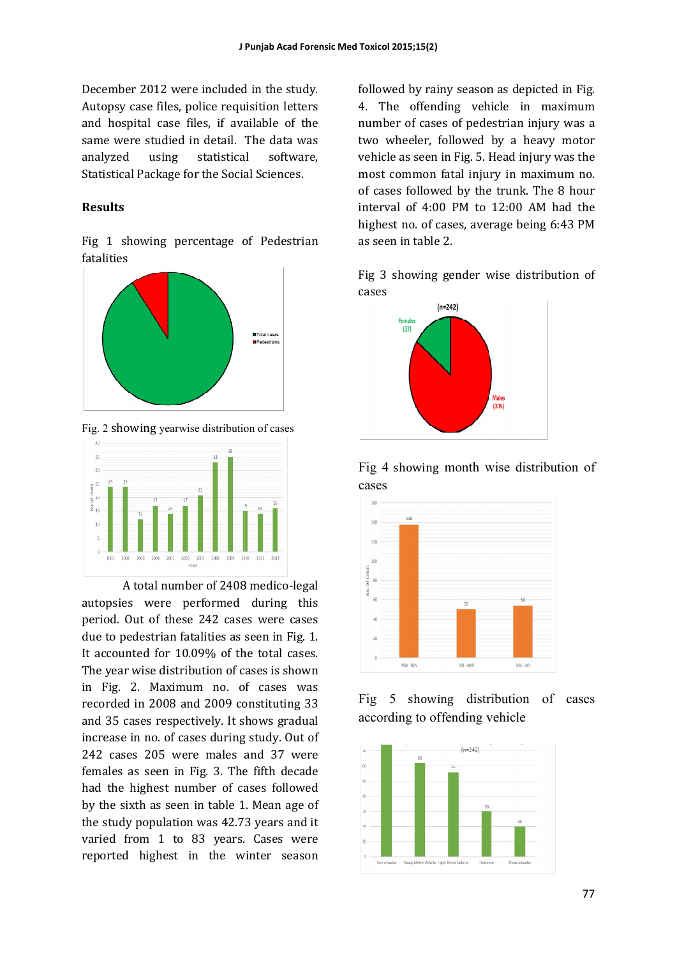December 2012 were included in the study. Autopsy case files, police requisition letters Autopsy case files, police requisition letters and hospital case files, if available of the same were studied in detail. The data was analyzed using statistical software, Statistical Package for the Social Sciences.

#### **Results**

Fig 1 showing percentage of Pedestrian fatalities 



Fig. 2 showing yearwise distribution of cases



A total number of 2408 medico-legal autopsies were performed during this autopsies were performed during this<br>period. Out of these 242 cases were cases due to pedestrian fatalities as seen in Fig. 1. It accounted for  $10.09\%$  of the total cases. The year wise distribution of cases is shown in Fig. 2. Maximum no. of cases was recorded in 2008 and 2009 constituting 33 and 35 cases respectively. It shows gradual and 35 cases respectively. It shows gradual increase in no. of cases during study. Out of 242 cases 205 were males and 37 were females as seen in Fig. 3. The fifth decade had the highest number of cases followed by the sixth as seen in table 1. Mean age of the study population was 42.73 years and it varied from 1 to 83 years. Cases were reported highest in the winter season

followed by rainy season as depicted in Fig. 4. The offending vehicle in maximum number of cases of pedestrian injury was a two wheeler, followed by a heavy motor 4. The offending vehicle in maximum<br>number of cases of pedestrian injury was a<br>two wheeler, followed by a heavy motor<br>vehicle as seen in Fig. 5. Head injury was the most common fatal injury in maximum no. most common fatal injury in maximum no.<br>of cases followed by the trunk. The 8 hour interval of  $4:00$  PM to  $12:00$  AM had the highest no. of cases, average being 6:43 PM<br>as seen in table 2.<br>Fig 3 showing gender wise distribution of as seen in table 2.

Fig 3 showing gender wise distribution of cases 







Fig 5 showing distribution of cases according to offending vehicle

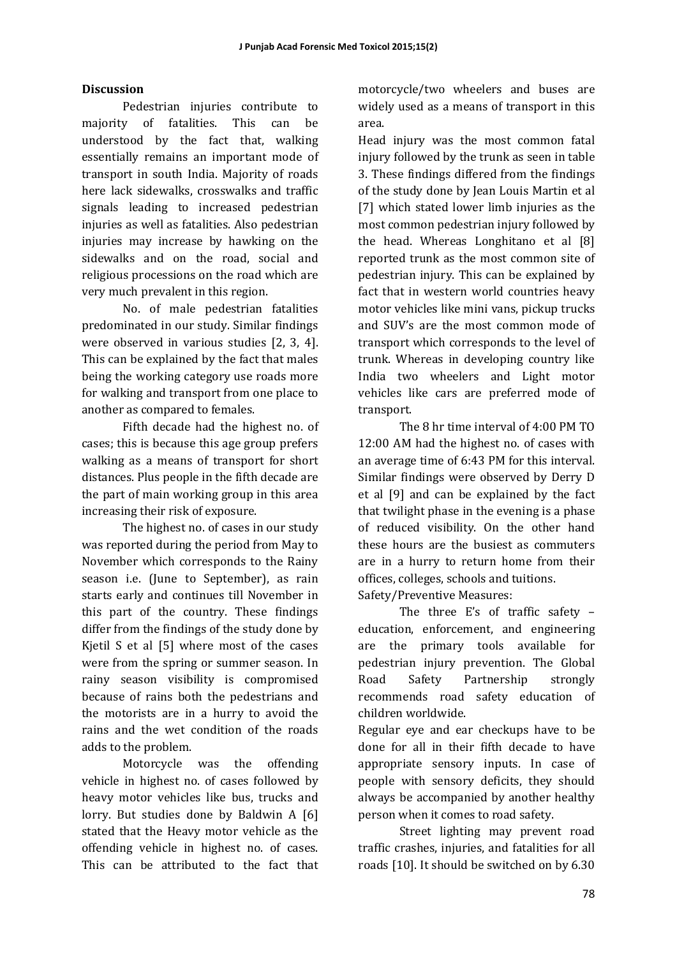## **Discussion**

Pedestrian injuries contribute to majority of fatalities. This can be understood by the fact that, walking essentially remains an important mode of transport in south India. Majority of roads here lack sidewalks, crosswalks and traffic signals leading to increased pedestrian injuries as well as fatalities. Also pedestrian injuries may increase by hawking on the sidewalks and on the road, social and religious processions on the road which are very much prevalent in this region.

No. of male pedestrian fatalities predominated in our study. Similar findings were observed in various studies  $[2, 3, 4]$ . This can be explained by the fact that males being the working category use roads more for walking and transport from one place to another as compared to females.

Fifth decade had the highest no. of cases; this is because this age group prefers walking as a means of transport for short distances. Plus people in the fifth decade are the part of main working group in this area increasing their risk of exposure.

The highest no. of cases in our study was reported during the period from May to November which corresponds to the Rainy season i.e. (June to September), as rain starts early and continues till November in this part of the country. These findings differ from the findings of the study done by Kjetil  $S$  et al  $[5]$  where most of the cases were from the spring or summer season. In rainy season visibility is compromised because of rains both the pedestrians and the motorists are in a hurry to avoid the rains and the wet condition of the roads adds to the problem.

Motorcycle was the offending vehicle in highest no. of cases followed by heavy motor vehicles like bus, trucks and lorry. But studies done by Baldwin A  $[6]$ stated that the Heavy motor vehicle as the offending vehicle in highest no. of cases. This can be attributed to the fact that

motorcycle/two wheelers and buses are widely used as a means of transport in this area. 

Head injury was the most common fatal injury followed by the trunk as seen in table 3. These findings differed from the findings of the study done by Jean Louis Martin et al [7] which stated lower limb injuries as the most common pedestrian injury followed by the head. Whereas Longhitano et al  $[8]$ reported trunk as the most common site of pedestrian injury. This can be explained by fact that in western world countries heavy motor vehicles like mini vans, pickup trucks and SUV's are the most common mode of transport which corresponds to the level of trunk. Whereas in developing country like India two wheelers and Light motor vehicles like cars are preferred mode of transport.

The 8 hr time interval of 4:00 PM TO 12:00 AM had the highest no. of cases with an average time of 6:43 PM for this interval. Similar findings were observed by Derry D et al  $[9]$  and can be explained by the fact that twilight phase in the evening is a phase of reduced visibility. On the other hand these hours are the busiest as commuters are in a hurry to return home from their offices, colleges, schools and tuitions.

Safety/Preventive Measures:

The three E's of traffic safety  $$ education, enforcement, and engineering are the primary tools available for pedestrian injury prevention. The Global Road Safety Partnership strongly recommends road safety education of children worldwide. 

Regular eye and ear checkups have to be done for all in their fifth decade to have appropriate sensory inputs. In case of people with sensory deficits, they should always be accompanied by another healthy person when it comes to road safety.

Street lighting may prevent road traffic crashes, injuries, and fatalities for all roads [10]. It should be switched on by 6.30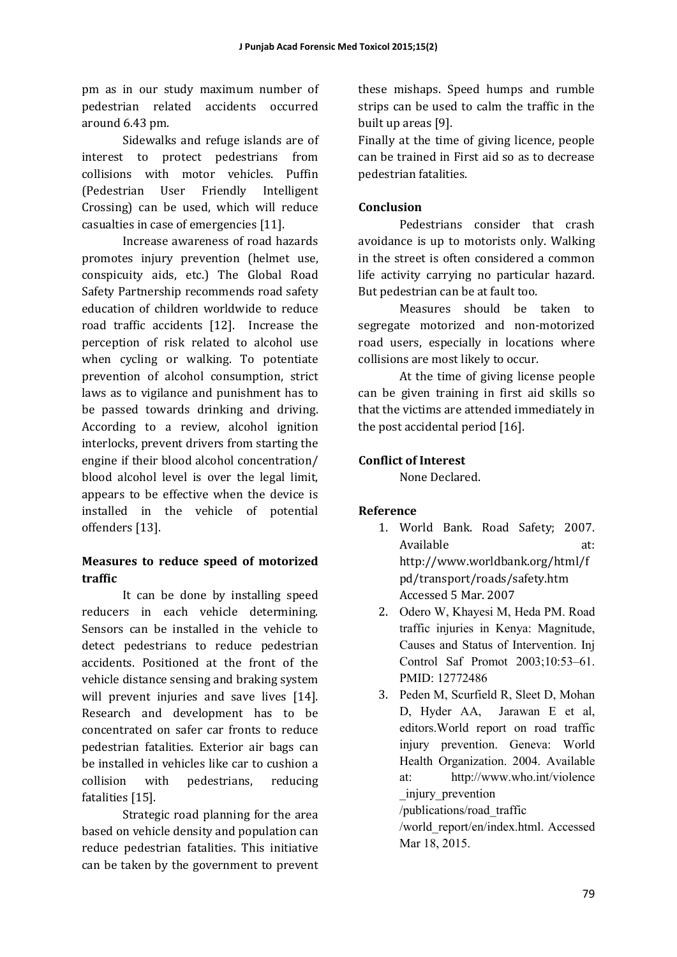pm as in our study maximum number of pedestrian related accidents occurred around 6.43 pm. 

Sidewalks and refuge islands are of interest to protect pedestrians from collisions with motor vehicles. Puffin (Pedestrian User Friendly Intelligent Crossing) can be used, which will reduce casualties in case of emergencies [11].

Increase awareness of road hazards promotes injury prevention (helmet use, conspicuity aids, etc.) The Global Road Safety Partnership recommends road safety education of children worldwide to reduce road traffic accidents [12]. Increase the perception of risk related to alcohol use when cycling or walking. To potentiate prevention of alcohol consumption, strict laws as to vigilance and punishment has to be passed towards drinking and driving. According to a review, alcohol ignition interlocks, prevent drivers from starting the engine if their blood alcohol concentration/ blood alcohol level is over the legal limit, appears to be effective when the device is installed in the vehicle of potential offenders [13].

# **Measures to reduce speed of motorized traffic**

It can be done by installing speed reducers in each vehicle determining. Sensors can be installed in the vehicle to detect pedestrians to reduce pedestrian accidents. Positioned at the front of the vehicle distance sensing and braking system will prevent injuries and save lives [14]. Research and development has to be concentrated on safer car fronts to reduce pedestrian fatalities. Exterior air bags can be installed in vehicles like car to cushion a collision with pedestrians, reducing fatalities [15].

Strategic road planning for the area based on vehicle density and population can reduce pedestrian fatalities. This initiative can be taken by the government to prevent

these mishaps. Speed humps and rumble strips can be used to calm the traffic in the built up areas [9].

Finally at the time of giving licence, people can be trained in First aid so as to decrease pedestrian fatalities. 

# **Conclusion**

Pedestrians consider that crash avoidance is up to motorists only. Walking in the street is often considered a common life activity carrying no particular hazard. But pedestrian can be at fault too.

Measures should be taken to segregate motorized and non-motorized road users, especially in locations where collisions are most likely to occur.

At the time of giving license people can be given training in first aid skills so that the victims are attended immediately in the post accidental period  $[16]$ .

# **Conflict of Interest**

None Declared.

## **Reference**

- 1. World Bank. Road Safety; 2007. Available at: http://www.worldbank.org/html/f pd/transport/roads/safety.htm Accessed 5 Mar. 2007
- 2. Odero W, Khayesi M, Heda PM. Road traffic injuries in Kenya: Magnitude, Causes and Status of Intervention. Inj Control Saf Promot 2003;10:53–61. PMID: 12772486
- 3. Peden M, Scurfield R, Sleet D, Mohan D, Hyder AA, Jarawan E et al, editors.World report on road traffic injury prevention. Geneva: World Health Organization. 2004. Available at: http://www.who.int/violence \_injury\_prevention

/publications/road\_traffic

/world\_report/en/index.html. Accessed Mar 18, 2015.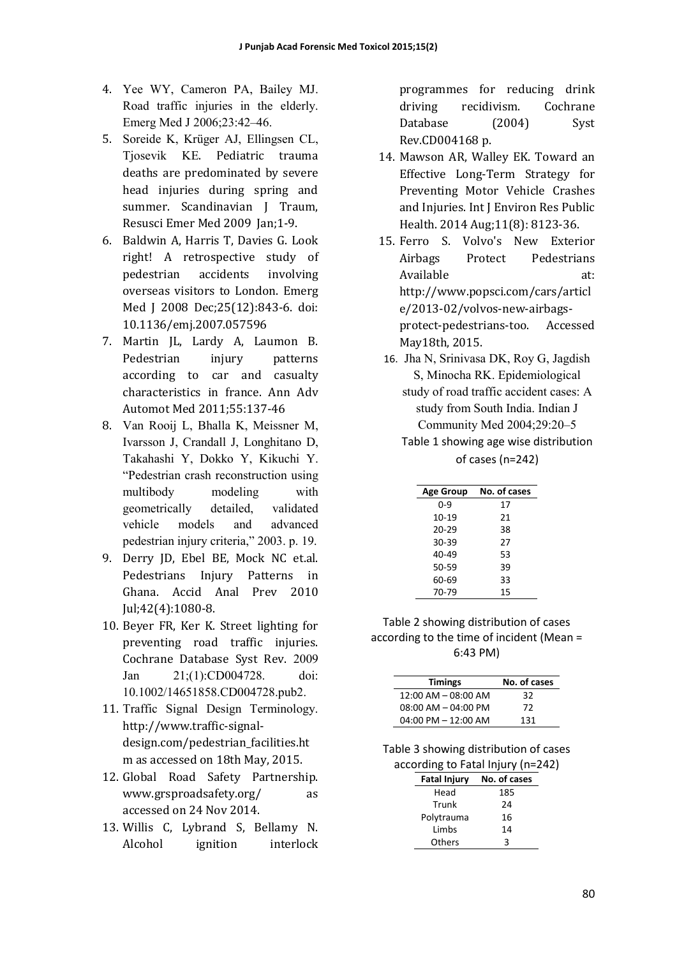- 4. Yee WY, Cameron PA, Bailey MJ. Road traffic injuries in the elderly. Emerg Med J 2006;23:42–46.
- 5. Soreide K, Krüger AJ, Ellingsen CL, Tjosevik KE. Pediatric trauma deaths are predominated by severe head injuries during spring and summer. Scandinavian I Traum. Resusci Emer Med 2009 Jan;1-9.
- 6. Baldwin A, Harris T, Davies G. Look right! A retrospective study of pedestrian accidents involving overseas visitors to London. Emerg Med J 2008 Dec; 25(12): 843-6. doi: 10.1136/emj.2007.057596
- 7. Martin JL, Lardy A, Laumon B. Pedestrian injury patterns according to car and casualty characteristics in france. Ann Adv Automot Med 2011;55:137-46
- 8. Van Rooij L, Bhalla K, Meissner M, Ivarsson J, Crandall J, Longhitano D, Takahashi Y, Dokko Y, Kikuchi Y. "Pedestrian crash reconstruction using multibody modeling with geometrically detailed, validated vehicle models and advanced pedestrian injury criteria," 2003. p. 19.
- 9. Derry JD, Ebel BE, Mock NC et.al. Pedestrians Injury Patterns in Ghana. Accid Anal Prev 2010 Jul;42(4):1080-8.
- 10. Beyer FR, Ker K. Street lighting for preventing road traffic injuries. Cochrane Database Syst Rev. 2009 Jan 21;(1):CD004728. doi: 10.1002/14651858.CD004728.pub2.
- 11. Traffic Signal Design Terminology. http://www.traffic-signaldesign.com/pedestrian\_facilities.ht m as accessed on 18th May, 2015.
- 12. Global Road Safety Partnership. www.grsproadsafety.org/ as accessed on 24 Nov 2014.
- 13. Willis C, Lybrand S, Bellamy N. Alcohol ignition interlock

programmes for reducing drink driving recidivism. Cochrane Database (2004) Syst Rev.CD004168 p. 

- 14. Mawson AR, Walley EK. Toward an Effective Long-Term Strategy for Preventing Motor Vehicle Crashes and Injuries. Int I Environ Res Public Health. 2014 Aug; 11(8): 8123-36.
- 15. Ferro S. Volvo's New Exterior Airbags Protect Pedestrians Available at: http://www.popsci.com/cars/articl e/2013-02/volvos-new-airbagsprotect-pedestrians-too. Accessed May18th, 2015.
- 16. Jha N, Srinivasa DK, Roy G, Jagdish S, Minocha RK. Epidemiological study of road traffic accident cases: A study from South India. Indian J Community Med 2004;29:20–5
	- Table 1 showing age wise distribution of cases (n=242)

| <b>Age Group</b> | No. of cases |
|------------------|--------------|
| $0 - 9$          | 17           |
| $10-19$          | 21           |
| $20 - 29$        | 38           |
| 30-39            | 27           |
| 40-49            | 53           |
| 50-59            | 39           |
| 60-69            | 33           |
| 70-79            | 15           |

Table 2 showing distribution of cases according to the time of incident (Mean = 6:43 PM)

| <b>Timings</b>          | No. of cases |
|-------------------------|--------------|
| $12:00$ AM $-$ 08:00 AM | 32           |
| $08:00$ AM $- 04:00$ PM | 72           |
| $04:00$ PM $- 12:00$ AM | 131          |

Table 3 showing distribution of cases according to Fatal Injury (n=242)

| <b>Fatal Injury</b> | No. of cases |
|---------------------|--------------|
| Head                | 185          |
| Trunk               | 24           |
| Polytrauma          | 16           |
| Limbs               | 14           |
| <b>Others</b>       | ς            |
|                     |              |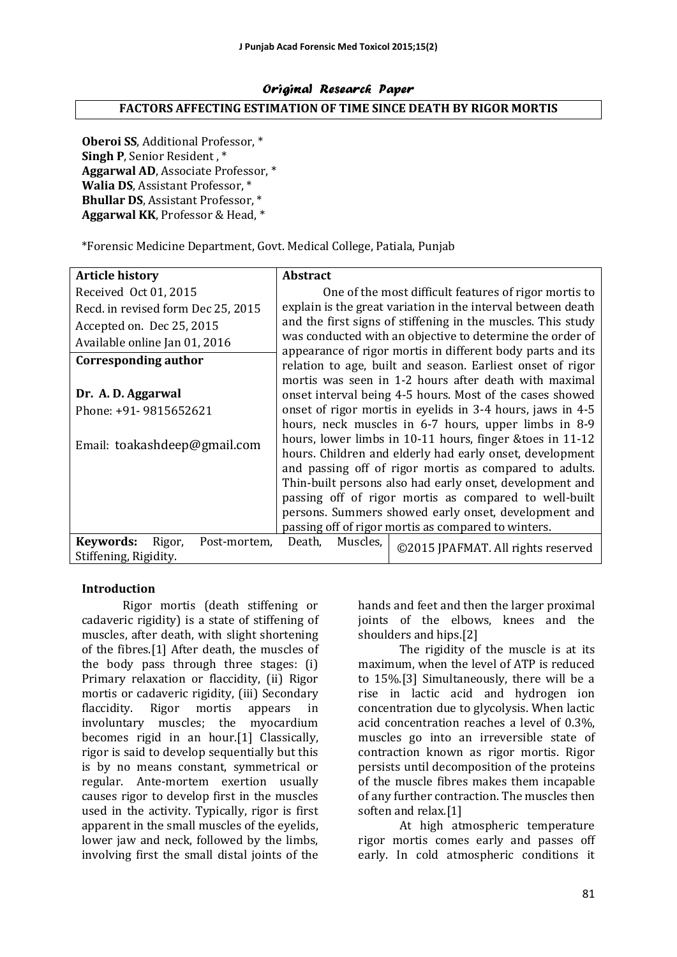#### Original Research Paper **FACTORS AFFECTING ESTIMATION OF TIME SINCE DEATH BY RIGOR MORTIS**

**Oberoi SS, Additional Professor,** \* **Singh P. Senior Resident.** \* **Aggarwal AD, Associate Professor,** \* **Walia DS**, Assistant Professor, \* **Bhullar DS**, Assistant Professor, \* Aggarwal KK, Professor & Head, \*

\*Forensic Medicine Department, Govt. Medical College, Patiala, Punjab 

| <b>Article history</b>                                       | <b>Abstract</b>                                            |                                                                                                                                                                                   |  |  |
|--------------------------------------------------------------|------------------------------------------------------------|-----------------------------------------------------------------------------------------------------------------------------------------------------------------------------------|--|--|
| Received Oct 01, 2015                                        |                                                            | One of the most difficult features of rigor mortis to                                                                                                                             |  |  |
| Recd. in revised form Dec 25, 2015                           |                                                            | explain is the great variation in the interval between death                                                                                                                      |  |  |
| Accepted on. Dec 25, 2015                                    |                                                            | and the first signs of stiffening in the muscles. This study                                                                                                                      |  |  |
| Available online Jan 01, 2016                                |                                                            | was conducted with an objective to determine the order of                                                                                                                         |  |  |
| Corresponding author                                         |                                                            | appearance of rigor mortis in different body parts and its<br>relation to age, built and season. Earliest onset of rigor<br>mortis was seen in 1-2 hours after death with maximal |  |  |
| Dr. A. D. Aggarwal                                           |                                                            | onset interval being 4-5 hours. Most of the cases showed                                                                                                                          |  |  |
| Phone: +91- 9815652621                                       | onset of rigor mortis in eyelids in 3-4 hours, jaws in 4-5 |                                                                                                                                                                                   |  |  |
|                                                              |                                                            | hours, neck muscles in 6-7 hours, upper limbs in 8-9                                                                                                                              |  |  |
| Email: toakashdeep@gmail.com                                 | hours, lower limbs in 10-11 hours, finger & toes in 11-12  |                                                                                                                                                                                   |  |  |
|                                                              | hours. Children and elderly had early onset, development   |                                                                                                                                                                                   |  |  |
|                                                              |                                                            | and passing off of rigor mortis as compared to adults.                                                                                                                            |  |  |
|                                                              | Thin-built persons also had early onset, development and   |                                                                                                                                                                                   |  |  |
|                                                              | passing off of rigor mortis as compared to well-built      |                                                                                                                                                                                   |  |  |
|                                                              | persons. Summers showed early onset, development and       |                                                                                                                                                                                   |  |  |
|                                                              |                                                            | passing off of rigor mortis as compared to winters.                                                                                                                               |  |  |
| Keywords:<br>Rigor,<br>Post-mortem.<br>Stiffening, Rigidity. | Muscles.<br>Death,                                         | ©2015 JPAFMAT. All rights reserved                                                                                                                                                |  |  |

## **Introduction**

Rigor mortis (death stiffening or cadaveric rigidity) is a state of stiffening of muscles, after death, with slight shortening of the fibres.[1] After death, the muscles of the body pass through three stages:  $(i)$ Primary relaxation or flaccidity, (ii) Rigor mortis or cadaveric rigidity, (iii) Secondary flaccidity. Rigor mortis appears in involuntary muscles; the myocardium becomes rigid in an hour.[1] Classically, rigor is said to develop sequentially but this is by no means constant, symmetrical or regular. Ante-mortem exertion usually causes rigor to develop first in the muscles used in the activity. Typically, rigor is first apparent in the small muscles of the eyelids, lower jaw and neck, followed by the limbs, involving first the small distal joints of the

hands and feet and then the larger proximal joints of the elbows, knees and the shoulders and hips.[2]

The rigidity of the muscle is at its maximum, when the level of ATP is reduced to 15%.<sup>[3]</sup> Simultaneously, there will be a rise in lactic acid and hydrogen ion concentration due to glycolysis. When lactic acid concentration reaches a level of  $0.3\%$ , muscles go into an irreversible state of contraction known as rigor mortis. Rigor persists until decomposition of the proteins of the muscle fibres makes them incapable of any further contraction. The muscles then soften and relax.<sup>[1]</sup>

At high atmospheric temperature rigor mortis comes early and passes off early. In cold atmospheric conditions it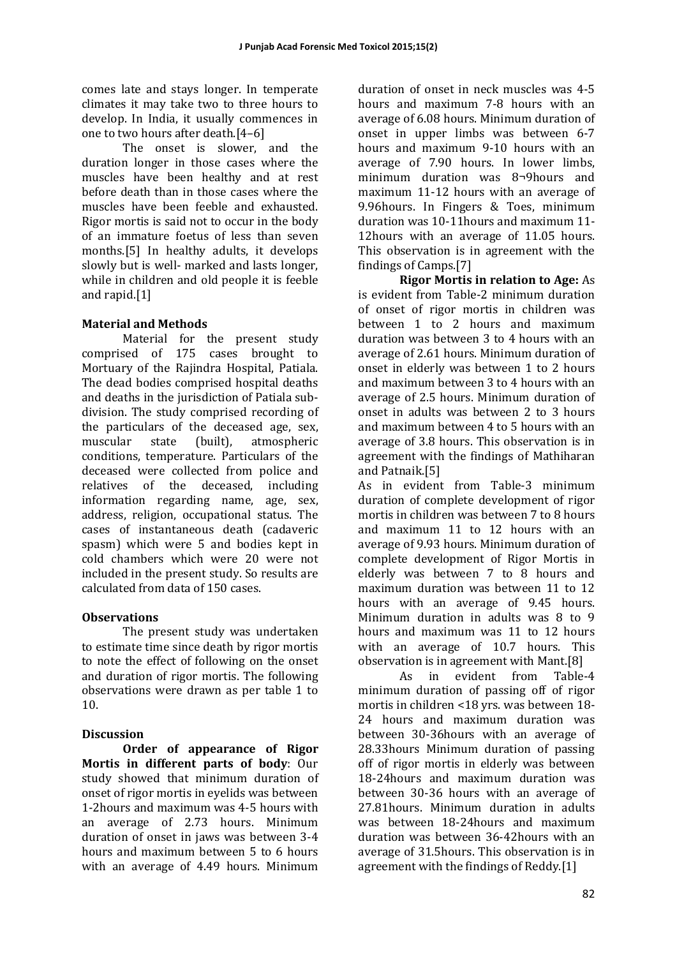comes late and stays longer. In temperate climates it may take two to three hours to develop. In India, it usually commences in one to two hours after death.<sup>[4-6]</sup>

The onset is slower, and the duration longer in those cases where the muscles have been healthy and at rest before death than in those cases where the muscles have been feeble and exhausted. Rigor mortis is said not to occur in the body of an immature foetus of less than seven months.[5] In healthy adults, it develops slowly but is well- marked and lasts longer, while in children and old people it is feeble and rapid.<sup>[1]</sup>

## **Material and Methods**

Material for the present study comprised of 175 cases brought to Mortuary of the Rajindra Hospital, Patiala. The dead bodies comprised hospital deaths and deaths in the jurisdiction of Patiala subdivision. The study comprised recording of the particulars of the deceased age, sex, muscular state (built), atmospheric conditions, temperature. Particulars of the deceased were collected from police and relatives of the deceased, including information regarding name, age, sex, address, religion, occupational status. The cases of instantaneous death (cadaveric spasm) which were 5 and bodies kept in cold chambers which were 20 were not included in the present study. So results are calculated from data of 150 cases.

## **Observations**

The present study was undertaken to estimate time since death by rigor mortis to note the effect of following on the onset and duration of rigor mortis. The following observations were drawn as per table 1 to 10. 

## **Discussion**

**Order of appearance of Rigor Mortis in different parts of body:** Our study showed that minimum duration of onset of rigor mortis in eyelids was between 1-2hours and maximum was 4-5 hours with an average of 2.73 hours. Minimum duration of onset in jaws was between 3-4 hours and maximum between 5 to 6 hours with an average of 4.49 hours. Minimum

duration of onset in neck muscles was 4-5 hours and maximum 7-8 hours with an average of 6.08 hours. Minimum duration of onset in upper limbs was between 6-7 hours and maximum 9-10 hours with an average of 7.90 hours. In lower limbs, minimum duration was 8¬9hours and maximum 11-12 hours with an average of 9.96hours. In Fingers & Toes, minimum duration was 10-11 hours and maximum 11-12hours with an average of 11.05 hours. This observation is in agreement with the findings of Camps.[7] 

**Rigor Mortis in relation to Age:** As is evident from Table-2 minimum duration of onset of rigor mortis in children was between 1 to 2 hours and maximum duration was between 3 to 4 hours with an average of 2.61 hours. Minimum duration of onset in elderly was between  $1$  to  $2$  hours and maximum between 3 to 4 hours with an average of 2.5 hours. Minimum duration of onset in adults was between  $2$  to  $3$  hours and maximum between 4 to 5 hours with an average of 3.8 hours. This observation is in agreement with the findings of Mathiharan and Patnaik.<sup>[5]</sup>

As in evident from Table-3 minimum duration of complete development of rigor mortis in children was between 7 to 8 hours and maximum 11 to 12 hours with an average of 9.93 hours. Minimum duration of complete development of Rigor Mortis in elderly was between 7 to 8 hours and maximum duration was between 11 to 12 hours with an average of 9.45 hours. Minimum duration in adults was  $8$  to  $9$ hours and maximum was 11 to 12 hours with an average of 10.7 hours. This observation is in agreement with Mant. $[8]$ 

As in evident from Table-4 minimum duration of passing off of rigor mortis in children <18 vrs. was between  $18$ -24 hours and maximum duration was between 30-36hours with an average of 28.33 hours Minimum duration of passing off of rigor mortis in elderly was between 18-24hours and maximum duration was between 30-36 hours with an average of 27.81 hours. Minimum duration in adults was between 18-24 hours and maximum duration was between 36-42hours with an average of 31.5hours. This observation is in agreement with the findings of Reddy.[1]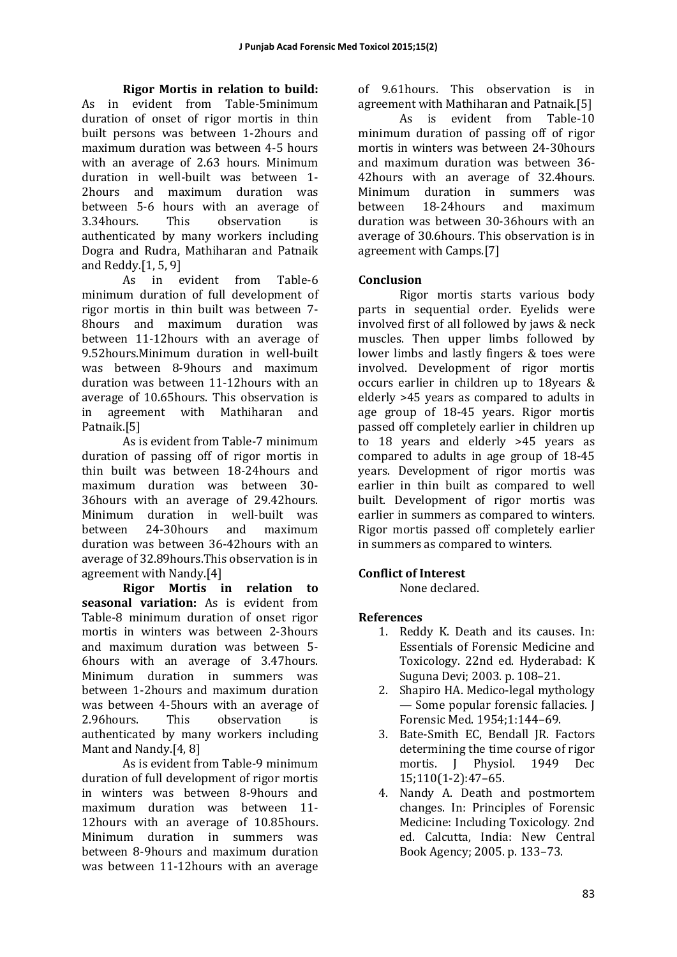**Rigor Mortis in relation to build:**  As in evident from Table-5minimum duration of onset of rigor mortis in thin built persons was between 1-2hours and maximum duration was between 4-5 hours with an average of 2.63 hours. Minimum duration in well-built was between 1-2hours and maximum duration was between 5-6 hours with an average of 3.34hours. This observation is authenticated by many workers including Dogra and Rudra, Mathiharan and Patnaik and Reddy. $[1, 5, 9]$ 

As in evident from Table-6 minimum duration of full development of rigor mortis in thin built was between 7-8hours and maximum duration was between 11-12hours with an average of 9.52hours.Minimum duration in well-built was between 8-9hours and maximum duration was between 11-12hours with an average of 10.65hours. This observation is in agreement with Mathiharan and Patnaik.[5] 

As is evident from Table-7 minimum duration of passing off of rigor mortis in thin built was between 18-24hours and maximum duration was between 30-36hours with an average of 29.42hours. Minimum duration in well-built was between 24-30hours and maximum duration was between 36-42hours with an average of 32.89hours. This observation is in agreement with Nandy.[4]

**Rigor Mortis in relation to**  seasonal variation: As is evident from Table-8 minimum duration of onset rigor mortis in winters was between 2-3hours and maximum duration was between 5-6hours with an average of 3.47hours. Minimum duration in summers was between 1-2hours and maximum duration was between 4-5hours with an average of 2.96 hours. This observation is authenticated by many workers including Mant and Nandy.[4, 8]

As is evident from Table-9 minimum duration of full development of rigor mortis in winters was between 8-9hours and maximum duration was between 11-12hours with an average of 10.85hours. Minimum duration in summers was between 8-9hours and maximum duration was between 11-12hours with an average of 9.61hours. This observation is in agreement with Mathiharan and Patnaik.[5]

As is evident from Table-10 minimum duration of passing off of rigor mortis in winters was between 24-30hours and maximum duration was between 36-42hours with an average of 32.4hours. Minimum duration in summers was between 18-24hours and maximum duration was between 30-36hours with an average of 30.6hours. This observation is in agreement with Camps.[7]

# **Conclusion**

Rigor mortis starts various body parts in sequential order. Eyelids were involved first of all followed by jaws & neck muscles. Then upper limbs followed by lower limbs and lastly fingers & toes were involved. Development of rigor mortis occurs earlier in children up to 18years  $\&$ elderly >45 years as compared to adults in age group of 18-45 years. Rigor mortis passed off completely earlier in children up to 18 years and elderly >45 years as compared to adults in age group of 18-45 years. Development of rigor mortis was earlier in thin built as compared to well built. Development of rigor mortis was earlier in summers as compared to winters. Rigor mortis passed off completely earlier in summers as compared to winters.

# **Conflict of Interest**

None declared.

# **References**

- 1. Reddy K. Death and its causes. In: Essentials of Forensic Medicine and Toxicology. 22nd ed. Hyderabad: K Suguna Devi; 2003. p. 108-21.
- 2. Shapiro HA. Medico-legal mythology — Some popular forensic fallacies. J Forensic Med. 1954;1:144–69.
- 3. Bate-Smith EC, Bendall JR. Factors determining the time course of rigor mortis. J Physiol. 1949 Dec 15;110(1-2):47–65.
- 4. Nandy A. Death and postmortem changes. In: Principles of Forensic Medicine: Including Toxicology. 2nd ed. Calcutta, India: New Central Book Agency; 2005. p. 133-73.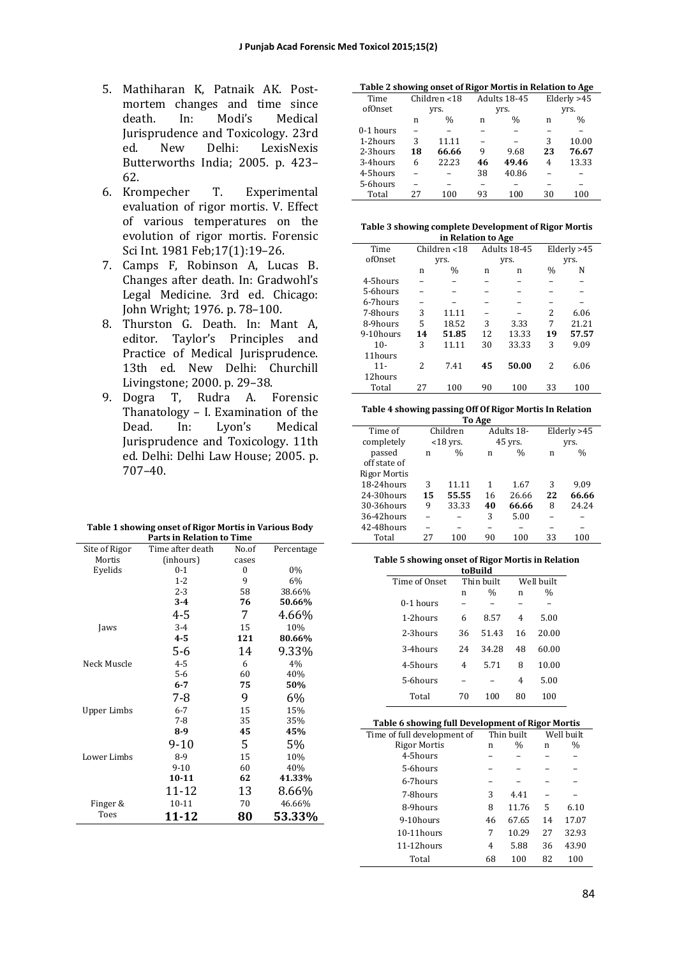- 5. Mathiharan K, Patnaik AK. Postmortem changes and time since death. In: Modi's Medical Jurisprudence and Toxicology. 23rd ed. New Delhi: LexisNexis Butterworths India; 2005. p. 423-62.
- 6. Krompecher T. Experimental evaluation of rigor mortis. V. Effect of various temperatures on the evolution of rigor mortis. Forensic Sci Int. 1981 Feb;17(1):19-26.
- 7. Camps F, Robinson A, Lucas B. Changes after death. In: Gradwohl's Legal Medicine. 3rd ed. Chicago: John Wright; 1976. p. 78-100.
- 8. Thurston G. Death. In: Mant A, editor. Taylor's Principles and Practice of Medical Jurisprudence. 13th ed. New Delhi: Churchill Livingstone; 2000. p. 29-38.
- 9. Dogra T, Rudra A. Forensic Thanatology  $-$  I. Examination of the Dead. In: Lyon's Medical Jurisprudence and Toxicology. 11th ed. Delhi: Delhi Law House; 2005. p. 707–40.

| Table 1 showing onset of Rigor Mortis in Various Body |
|-------------------------------------------------------|
| <b>Parts in Relation to Time</b>                      |

| Site of Rigor | Time after death | No.of | Percentage |
|---------------|------------------|-------|------------|
| Mortis        | (inhours)        | cases |            |
| Eyelids       | $0 - 1$          | 0     | 0%         |
|               | $1 - 2$          | 9     | 6%         |
|               | $2 - 3$          | 58    | 38.66%     |
|               | $3-4$            | 76    | 50.66%     |
|               | 4-5              | 7     | 4.66%      |
| Jaws          | $3 - 4$          | 15    | 10%        |
|               | $4 - 5$          | 121   | 80.66%     |
|               | 5-6              | 14    | 9.33%      |
| Neck Muscle   | $4 - 5$          | 6     | 4%         |
|               | $5 - 6$          | 60    | 40%        |
|               | $6 - 7$          | 75    | 50%        |
|               | 7-8              | 9     | 6%         |
| Upper Limbs   | $6 - 7$          | 15    | 15%        |
|               | $7 - 8$          | 35    | 35%        |
|               | $8-9$            | 45    | 45%        |
|               | 9-10             | 5     | 5%         |
| Lower Limbs   | $8-9$            | 15    | 10%        |
|               | $9 - 10$         | 60    | 40%        |
|               | $10 - 11$        | 62    | 41.33%     |
|               | 11-12            | 13    | 8.66%      |
| Finger &      | $10 - 11$        | 70    | 46.66%     |
| Toes          | 11-12            | 80    | 53.33%     |

| Table 2 showing onset of Rigor Mortis in Relation to Age |
|----------------------------------------------------------|
|----------------------------------------------------------|

|           | o            |               | -  |               |    | -             |  |
|-----------|--------------|---------------|----|---------------|----|---------------|--|
| Time      | Children <18 |               |    | Adults 18-45  |    | Elderly >45   |  |
| ofOnset   | yrs.         |               |    | yrs.          |    | yrs.          |  |
|           | n            | $\frac{0}{0}$ | n  | $\frac{0}{0}$ | n  | $\frac{0}{0}$ |  |
| 0-1 hours |              |               |    |               |    |               |  |
| 1-2hours  | 3            | 11.11         |    |               | 3  | 10.00         |  |
| 2-3hours  | 18           | 66.66         | 9  | 9.68          | 23 | 76.67         |  |
| 3-4hours  | 6            | 22.23         | 46 | 49.46         | 4  | 13.33         |  |
| 4-5hours  |              |               | 38 | 40.86         |    |               |  |
| 5-6hours  |              |               |    |               |    |               |  |
| Total     | 27           | 100           | 93 | 100           | 30 | 100           |  |

| Table 3 showing complete Development of Rigor Mortis |
|------------------------------------------------------|
|                                                      |

| in Relation to Age |              |       |              |       |               |       |  |
|--------------------|--------------|-------|--------------|-------|---------------|-------|--|
| Time               | Children <18 |       | Adults 18-45 |       | Elderly >45   |       |  |
| ofOnset            |              | yrs.  | yrs.         |       | yrs.          |       |  |
|                    | n            | $\%$  | n            | n     | $\frac{0}{0}$ | N     |  |
| 4-5hours           |              |       |              |       |               |       |  |
| 5-6hours           |              |       |              |       |               |       |  |
| 6-7hours           |              |       |              |       |               |       |  |
| 7-8hours           | 3            | 11.11 |              |       | 2             | 6.06  |  |
| 8-9hours           | 5            | 18.52 | 3            | 3.33  | 7             | 21.21 |  |
| 9-10hours          | 14           | 51.85 | 12           | 13.33 | 19            | 57.57 |  |
| $10-$              | 3            | 11.11 | 30           | 33.33 | 3             | 9.09  |  |
| 11hours            |              |       |              |       |               |       |  |
| $11 -$             | 2            | 7.41  | 45           | 50.00 | 2             | 6.06  |  |
| 12hours            |              |       |              |       |               |       |  |
| Total              | 27           | 100   | 90           | 100   | 33            | 100   |  |
|                    |              |       |              |       |               |       |  |

**Table 4 showing passing Off Of Rigor Mortis In Relation** 

| To Age              |    |               |    |               |    |               |
|---------------------|----|---------------|----|---------------|----|---------------|
| Time of             |    | Children      |    | Adults 18-    |    | Elderly >45   |
| completely          |    | $<$ 18 yrs.   |    | 45 yrs.       |    | yrs.          |
| passed              | n  | $\frac{0}{0}$ | n  | $\frac{0}{0}$ | n  | $\frac{0}{0}$ |
| off state of        |    |               |    |               |    |               |
| <b>Rigor Mortis</b> |    |               |    |               |    |               |
| 18-24hours          | 3  | 11.11         | 1  | 1.67          | 3  | 9.09          |
| $24-30$ hours       | 15 | 55.55         | 16 | 26.66         | 22 | 66.66         |
| 30-36hours          | 9  | 33.33         | 40 | 66.66         | 8  | 24.24         |
| 36-42hours          |    |               | 3  | 5.00          |    |               |
| 42-48hours          |    |               |    |               |    |               |
| Total               | 27 | 100           | 90 | 100           | 33 | 100           |

# **Table 5 showing onset of Rigor Mortis in Relation**

|               |    | toBuild    |    |            |  |
|---------------|----|------------|----|------------|--|
| Time of Onset |    | Thin built |    | Well built |  |
|               | n  | $\%$       | n  | $\%$       |  |
| 0-1 hours     |    |            |    |            |  |
| 1-2hours      | 6  | 8.57       | 4  | 5.00       |  |
| 2-3hours      | 36 | 51.43      | 16 | 20.00      |  |
| 3-4hours      | 24 | 34.28      | 48 | 60.00      |  |
| 4-5hours      | 4  | 5.71       | 8  | 10.00      |  |
| 5-6hours      |    |            | 4  | 5.00       |  |
| Total         | 70 | 100        | 80 | 100        |  |
|               |    |            |    |            |  |

| Table 6 showing full Development of Rigor Mortis |    |               |            |               |  |  |
|--------------------------------------------------|----|---------------|------------|---------------|--|--|
| Time of full development of                      |    | Thin built    | Well built |               |  |  |
| <b>Rigor Mortis</b>                              | n  | $\frac{0}{0}$ | n          | $\frac{0}{0}$ |  |  |
| 4-5hours                                         |    |               |            |               |  |  |
| 5-6hours                                         |    |               |            |               |  |  |
| 6-7hours                                         |    |               |            |               |  |  |
| 7-8hours                                         | 3  | 4.41          |            |               |  |  |
| 8-9hours                                         | 8  | 11.76         | 5          | 6.10          |  |  |
| 9-10hours                                        | 46 | 67.65         | 14         | 17.07         |  |  |
| $10-11$ hours                                    | 7  | 10.29         | 27         | 32.93         |  |  |
| $11-12$ hours                                    | 4  | 5.88          | 36         | 43.90         |  |  |
| Total                                            | 68 | 100           | 82         | 100           |  |  |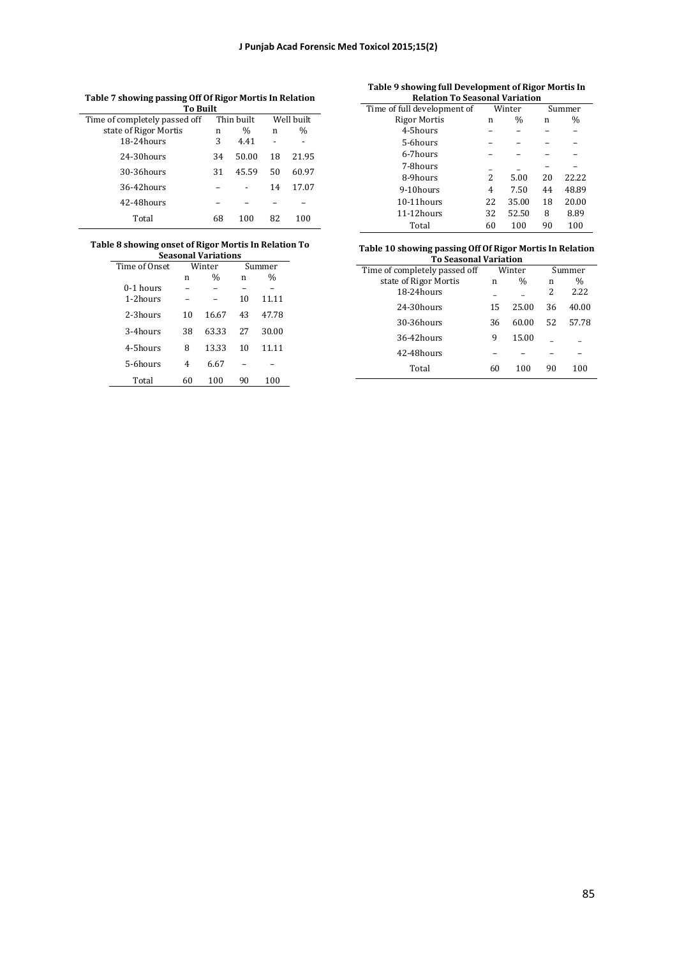| ---<br><b>To Built</b>        |    |               |    |            |  |
|-------------------------------|----|---------------|----|------------|--|
| Time of completely passed off |    | Thin built    |    | Well built |  |
| state of Rigor Mortis         | n  | $\frac{0}{0}$ | n  | $\%$       |  |
| 18-24hours                    | 3  | 4.41          |    |            |  |
| 24-30hours                    | 34 | 50.00         | 18 | 21.95      |  |
| 30-36hours                    | 31 | 45.59         | 50 | 60.97      |  |
| 36-42hours                    |    |               | 14 | 17.07      |  |
| 42-48hours                    |    |               |    |            |  |
| Total                         | 68 | 100           | 82 | 100        |  |

**Table 7 showing passing Off Of Rigor Mortis In Relation** 

#### **Table 8 showing onset of Rigor Mortis In Relation To Seasonal Variations**

|    |               |        | Summer        |  |  |
|----|---------------|--------|---------------|--|--|
| n  | $\frac{0}{0}$ | n      | $\frac{0}{0}$ |  |  |
|    |               |        |               |  |  |
|    |               | 10     | 11.11         |  |  |
| 10 | 16.67         | 43     | 47.78         |  |  |
| 38 | 63.33         | 27     | 30.00         |  |  |
| 8  | 13.33         | 10     | 11.11         |  |  |
| 4  | 6.67          |        |               |  |  |
| 60 | 100           | 90     | 100           |  |  |
|    |               | Winter |               |  |  |

#### **Table 9 showing full Development of Rigor Mortis In Relation To Seasonal Variation**

| Time of full development of | Winter |               | Summer |       |
|-----------------------------|--------|---------------|--------|-------|
| <b>Rigor Mortis</b>         | n      | $\frac{0}{0}$ | n      | $\%$  |
| 4-5hours                    |        |               |        |       |
| 5-6hours                    |        |               |        |       |
| 6-7hours                    |        |               |        |       |
| 7-8hours                    |        |               |        |       |
| 8-9hours                    | 2      | 5.00          | 20     | 22.22 |
| 9-10hours                   | 4      | 7.50          | 44     | 48.89 |
| 10-11hours                  | 22     | 35.00         | 18     | 20.00 |
| 11-12hours                  | 32     | 52.50         | 8      | 8.89  |
| Total                       | 60     | 100           | 90     | 100   |

#### **Table 10 showing passing Off Of Rigor Mortis In Relation To Seasonal Variation**

| Time of completely passed off |    | Winter        |    | Summer |
|-------------------------------|----|---------------|----|--------|
| state of Rigor Mortis         | n  | $\frac{0}{0}$ | n  | $\%$   |
| $18-24$ hours                 |    |               | 2  | 2.22   |
| $24-30$ hours                 | 15 | 25.00         | 36 | 40.00  |
| $30-36$ hours                 | 36 | 60.00         | 52 | 57.78  |
| $36-42$ hours                 | 9  | 15.00         |    |        |
| 42-48hours                    |    |               |    |        |
| Total                         | 60 | 100           | 90 | 100    |
|                               |    |               |    |        |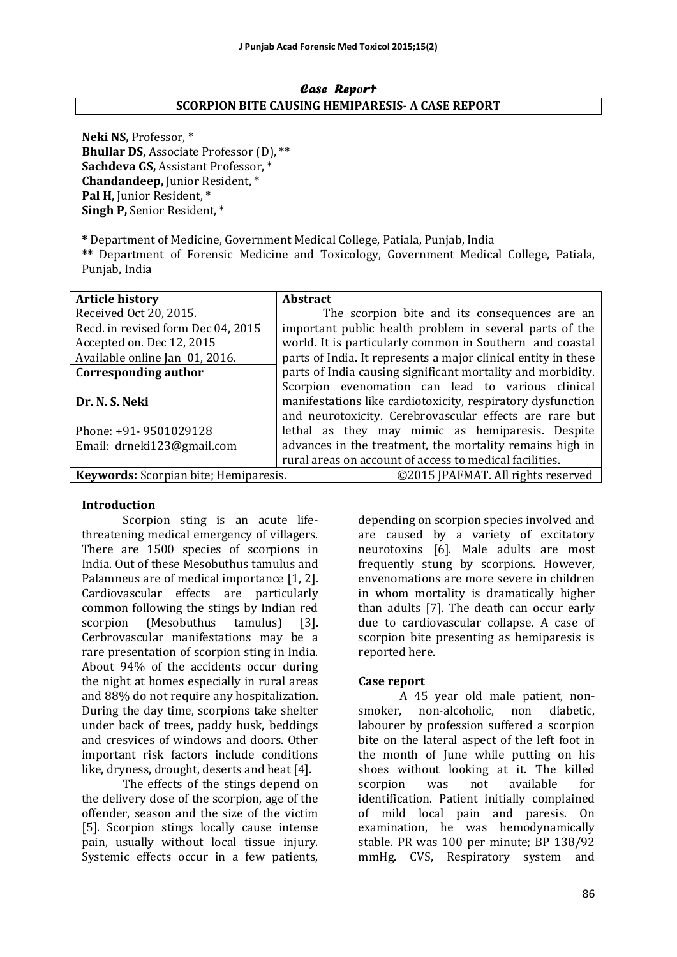#### Case Report **SCORPION BITE CAUSING HEMIPARESIS- A CASE REPORT**

Neki NS, Professor,  $*$ **Bhullar DS, Associate Professor (D), \*\* Sachdeva GS, Assistant Professor, \* Chandandeep, Junior Resident,** \* Pal H, Junior Resident, \* **Singh P, Senior Resident, \*** 

**\*** Department of Medicine, Government Medical College, Patiala, Punjab, India 

\*\* Department of Forensic Medicine and Toxicology, Government Medical College, Patiala, Punjab, India

| <b>Article history</b>                | <b>Abstract</b>                                             |                                                                |  |
|---------------------------------------|-------------------------------------------------------------|----------------------------------------------------------------|--|
| Received Oct 20, 2015.                |                                                             | The scorpion bite and its consequences are an                  |  |
| Recd. in revised form Dec 04, 2015    |                                                             | important public health problem in several parts of the        |  |
| Accepted on. Dec 12, 2015             |                                                             | world. It is particularly common in Southern and coastal       |  |
| Available online Jan 01, 2016.        |                                                             | parts of India. It represents a major clinical entity in these |  |
| <b>Corresponding author</b>           | parts of India causing significant mortality and morbidity. |                                                                |  |
|                                       |                                                             | Scorpion evenomation can lead to various clinical              |  |
| Dr. N. S. Neki                        | manifestations like cardiotoxicity, respiratory dysfunction |                                                                |  |
|                                       | and neurotoxicity. Cerebrovascular effects are rare but     |                                                                |  |
| Phone: +91- 9501029128                | lethal as they may mimic as hemiparesis. Despite            |                                                                |  |
| Email: drneki123@gmail.com            | advances in the treatment, the mortality remains high in    |                                                                |  |
|                                       | rural areas on account of access to medical facilities.     |                                                                |  |
| Keywords: Scorpian bite; Hemiparesis. |                                                             | ©2015 JPAFMAT. All rights reserved                             |  |

#### **Introduction**

Scorpion sting is an acute lifethreatening medical emergency of villagers. There are 1500 species of scorpions in India. Out of these Mesobuthus tamulus and Palamneus are of medical importance [1, 2]. Cardiovascular effects are particularly common following the stings by Indian red scorpion (Mesobuthus tamulus) [3]. Cerbrovascular manifestations may be a rare presentation of scorpion sting in India. About 94% of the accidents occur during the night at homes especially in rural areas and 88% do not require any hospitalization. During the day time, scorpions take shelter under back of trees, paddy husk, beddings and cresvices of windows and doors. Other important risk factors include conditions like, dryness, drought, deserts and heat [4].

The effects of the stings depend on the delivery dose of the scorpion, age of the offender, season and the size of the victim [5]. Scorpion stings locally cause intense pain, usually without local tissue injury. Systemic effects occur in a few patients,

depending on scorpion species involved and are caused by a variety of excitatory neurotoxins [6]. Male adults are most frequently stung by scorpions. However, envenomations are more severe in children in whom mortality is dramatically higher than adults [7]. The death can occur early due to cardiovascular collapse. A case of scorpion bite presenting as hemiparesis is reported here.

#### **Case report**

A 45 year old male patient, nonsmoker, non-alcoholic, non diabetic, labourer by profession suffered a scorpion bite on the lateral aspect of the left foot in the month of June while putting on his shoes without looking at it. The killed scorpion was not available for identification. Patient initially complained of mild local pain and paresis. On examination, he was hemodynamically stable. PR was 100 per minute: BP 138/92 mmHg. CVS, Respiratory system and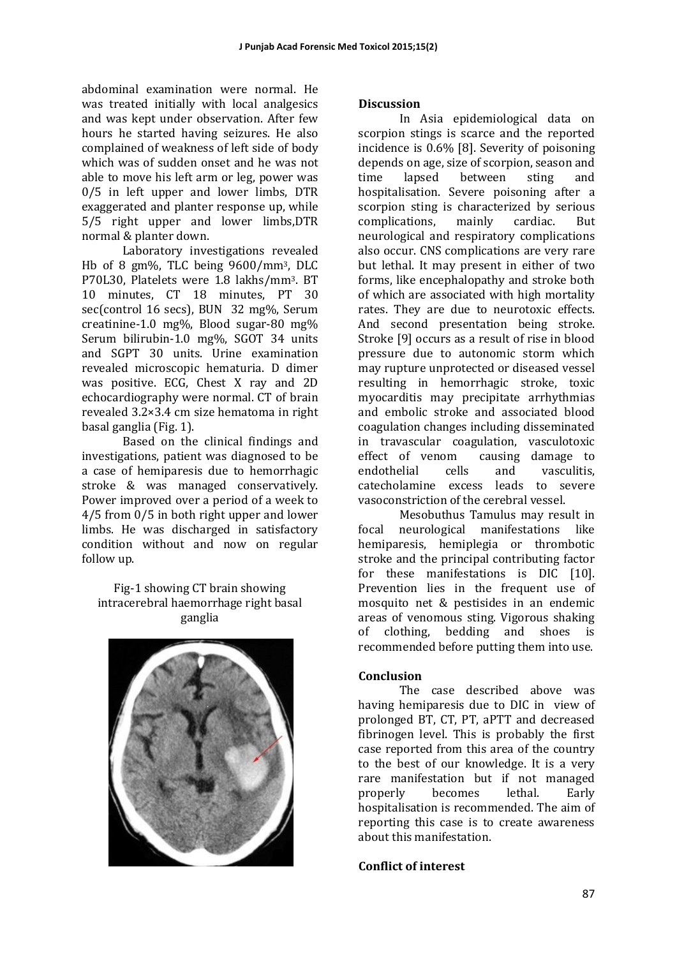abdominal examination were normal. He was treated initially with local analgesics and was kept under observation. After few hours he started having seizures. He also complained of weakness of left side of body which was of sudden onset and he was not able to move his left arm or leg, power was  $0/5$  in left upper and lower limbs, DTR exaggerated and planter response up, while 5/5 right upper and lower limbs, DTR normal & planter down.

Laboratory investigations revealed Hb of 8  $gm\%$ , TLC being  $9600/mm^3$ , DLC P70L30, Platelets were 1.8 lakhs/mm<sup>3</sup>. BT 10 minutes, CT 18 minutes, PT 30 sec(control 16 secs), BUN 32 mg%, Serum creatinine-1.0 mg%, Blood sugar-80 mg% Serum bilirubin-1.0 mg%, SGOT 34 units and SGPT 30 units. Urine examination revealed microscopic hematuria. D dimer was positive. ECG, Chest X ray and 2D echocardiography were normal. CT of brain revealed  $3.2 \times 3.4$  cm size hematoma in right basal ganglia (Fig. 1).

Based on the clinical findings and investigations, patient was diagnosed to be. a case of hemiparesis due to hemorrhagic stroke & was managed conservatively. Power improved over a period of a week to  $4/5$  from  $0/5$  in both right upper and lower limbs. He was discharged in satisfactory condition without and now on regular follow up.

Fig-1 showing CT brain showing intracerebral haemorrhage right basal ganglia 



## **Discussion**

In Asia epidemiological data on scorpion stings is scarce and the reported incidence is  $0.6\%$  [8]. Severity of poisoning depends on age, size of scorpion, season and time lapsed between sting and hospitalisation. Severe poisoning after a scorpion sting is characterized by serious complications, mainly cardiac. But neurological and respiratory complications also occur. CNS complications are very rare but lethal. It may present in either of two forms, like encephalopathy and stroke both of which are associated with high mortality rates. They are due to neurotoxic effects. And second presentation being stroke. Stroke [9] occurs as a result of rise in blood pressure due to autonomic storm which may rupture unprotected or diseased vessel resulting in hemorrhagic stroke, toxic myocarditis may precipitate arrhythmias and embolic stroke and associated blood coagulation changes including disseminated in travascular coagulation, vasculotoxic effect of venom causing damage to endothelial cells and vasculitis, catecholamine excess leads to severe vasoconstriction of the cerebral vessel.

Mesobuthus Tamulus may result in focal neurological manifestations like hemiparesis, hemiplegia or thrombotic stroke and the principal contributing factor for these manifestations is DIC [10]. Prevention lies in the frequent use of mosquito net & pestisides in an endemic areas of venomous sting. Vigorous shaking of clothing, bedding and shoes is recommended before putting them into use.

## **Conclusion**

The case described above was having hemiparesis due to DIC in view of prolonged BT, CT, PT, aPTT and decreased fibrinogen level. This is probably the first case reported from this area of the country to the best of our knowledge. It is a very rare manifestation but if not managed properly becomes lethal. Early hospitalisation is recommended. The aim of reporting this case is to create awareness about this manifestation

#### **Conflict of interest**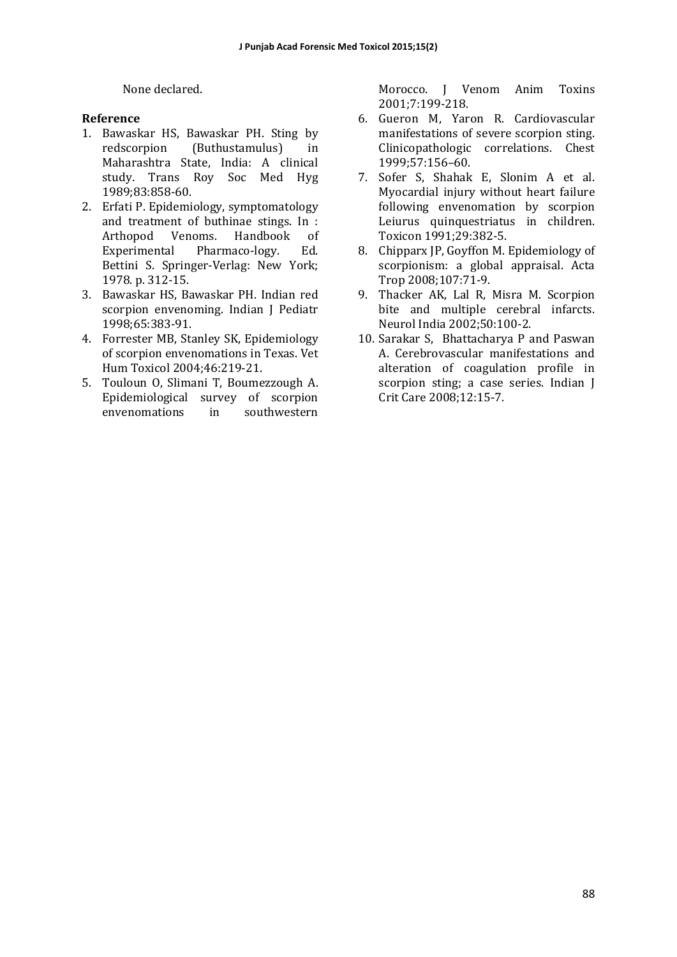None declared.

#### **Reference**

- 1. Bawaskar HS, Bawaskar PH. Sting by redscorpion (Buthustamulus) in Maharashtra State, India: A clinical study. Trans Roy Soc Med Hyg 1989;83:858-60.
- 2. Erfati P. Epidemiology, symptomatology and treatment of buthinae stings. In : Arthopod Venoms. Handbook of Experimental Pharmaco-logy. Ed. Bettini S. Springer-Verlag: New York; 1978. p. 312-15.
- 3. Bawaskar HS, Bawaskar PH. Indian red scorpion envenoming. Indian J Pediatr 1998;65:383-91.
- 4. Forrester MB, Stanley SK, Epidemiology of scorpion envenomations in Texas. Vet Hum Toxicol 2004;46:219-21.
- 5. Touloun O, Slimani T, Boumezzough A. Epidemiological survey of scorpion envenomations in southwestern

Morocco. I Venom Anim Toxins 2001;7:199-218. 

- 6. Gueron M, Yaron R. Cardiovascular manifestations of severe scorpion sting. Clinicopathologic correlations. Chest 1999;57:156–60.
- 7. Sofer S, Shahak E, Slonim A et al. Myocardial injury without heart failure following envenomation by scorpion Leiurus quinquestriatus in children. Toxicon 1991;29:382-5.
- 8. Chipparx JP, Goyffon M. Epidemiology of scorpionism: a global appraisal. Acta Trop 2008;107:71-9.
- 9. Thacker AK, Lal R, Misra M. Scorpion bite and multiple cerebral infarcts. Neurol India 2002;50:100-2.
- 10. Sarakar S, Bhattacharya P and Paswan A. Cerebrovascular manifestations and alteration of coagulation profile in scorpion sting; a case series. Indian I Crit Care 2008;12:15-7.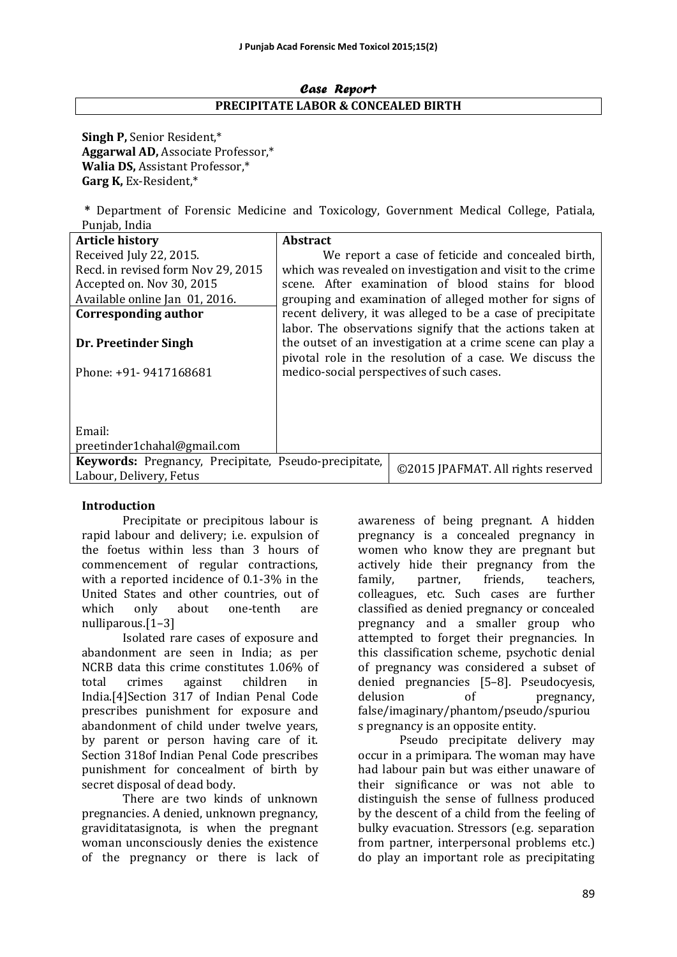#### Case Report **PRECIPITATE LABOR & CONCEALED BIRTH**

**Singh P, Senior Resident,\* Aggarwal AD, Associate Professor,\* Walia DS, Assistant Professor,\* Garg K,** Ex-Resident,\* 

**\*** Department of Forensic Medicine and Toxicology, Government Medical College, Patiala, Punjab, India

| <b>Article history</b>                                | Abstract |                                                             |
|-------------------------------------------------------|----------|-------------------------------------------------------------|
| Received July 22, 2015.                               |          | We report a case of feticide and concealed birth,           |
| Recd. in revised form Nov 29, 2015                    |          | which was revealed on investigation and visit to the crime  |
| Accepted on. Nov 30, 2015                             |          | scene. After examination of blood stains for blood          |
| Available online Jan 01, 2016.                        |          | grouping and examination of alleged mother for signs of     |
| <b>Corresponding author</b>                           |          | recent delivery, it was alleged to be a case of precipitate |
|                                                       |          | labor. The observations signify that the actions taken at   |
| Dr. Preetinder Singh                                  |          | the outset of an investigation at a crime scene can play a  |
|                                                       |          | pivotal role in the resolution of a case. We discuss the    |
| Phone: +91- 9417168681                                |          | medico-social perspectives of such cases.                   |
|                                                       |          |                                                             |
|                                                       |          |                                                             |
|                                                       |          |                                                             |
| Email:                                                |          |                                                             |
| preetinder1chahal@gmail.com                           |          |                                                             |
| Keywords: Pregnancy, Precipitate, Pseudo-precipitate, |          | ©2015 JPAFMAT. All rights reserved                          |
| Labour, Delivery, Fetus                               |          |                                                             |

#### **Introduction**

Precipitate or precipitous labour is rapid labour and delivery; i.e. expulsion of the foetus within less than 3 hours of commencement of regular contractions, with a reported incidence of  $0.1-3\%$  in the United States and other countries, out of which only about one-tenth are nulliparous.[1–3] 

Isolated rare cases of exposure and abandonment are seen in India; as per NCRB data this crime constitutes 1.06% of total crimes against children in India.<sup>[4]</sup>Section 317 of Indian Penal Code prescribes punishment for exposure and abandonment of child under twelve years, by parent or person having care of it. Section 318of Indian Penal Code prescribes punishment for concealment of birth by secret disposal of dead body.

There are two kinds of unknown pregnancies. A denied, unknown pregnancy, graviditatasignota, is when the pregnant woman unconsciously denies the existence of the pregnancy or there is lack of awareness of being pregnant. A hidden pregnancy is a concealed pregnancy in women who know they are pregnant but actively hide their pregnancy from the family, partner, friends, teachers, colleagues, etc. Such cases are further classified as denied pregnancy or concealed pregnancy and a smaller group who attempted to forget their pregnancies. In this classification scheme, psychotic denial of pregnancy was considered a subset of denied pregnancies [5-8]. Pseudocyesis, delusion of pregnancy, false/imaginary/phantom/pseudo/spuriou s pregnancy is an opposite entity.

Pseudo precipitate delivery may occur in a primipara. The woman may have had labour pain but was either unaware of their significance or was not able to distinguish the sense of fullness produced by the descent of a child from the feeling of bulky evacuation. Stressors (e.g. separation from partner, interpersonal problems etc.) do play an important role as precipitating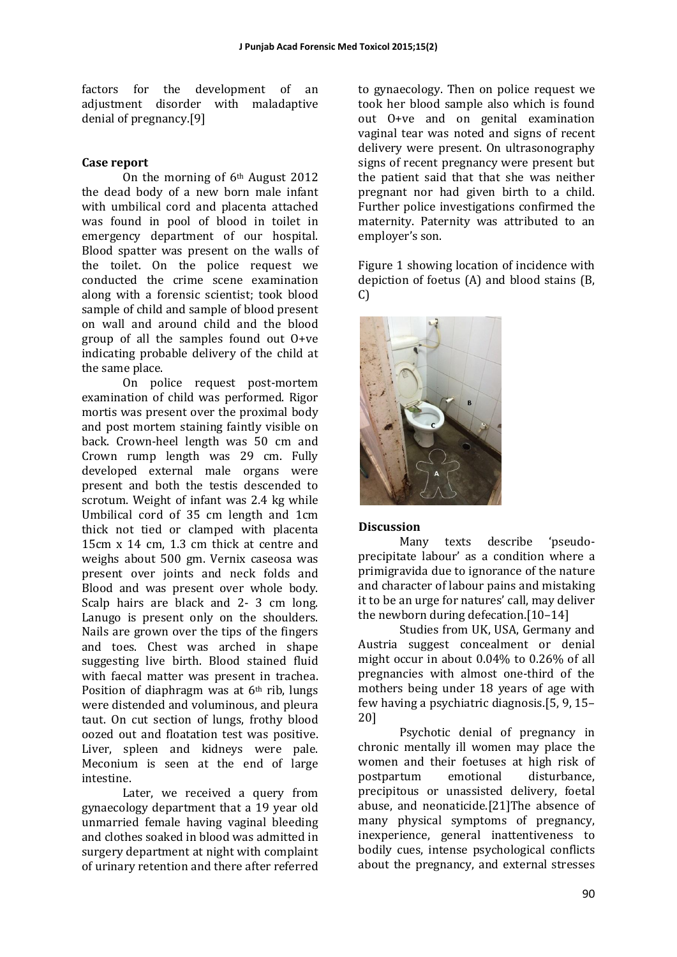factors for the development of an adjustment disorder with maladaptive denial of pregnancy.[9]

#### **Case report**

On the morning of  $6<sup>th</sup>$  August 2012 the dead body of a new born male infant with umbilical cord and placenta attached was found in pool of blood in toilet in emergency department of our hospital. Blood spatter was present on the walls of the toilet. On the police request we conducted the crime scene examination along with a forensic scientist; took blood sample of child and sample of blood present on wall and around child and the blood group of all the samples found out  $0+ve$ indicating probable delivery of the child at the same place.

On police request post-mortem examination of child was performed. Rigor mortis was present over the proximal body and post mortem staining faintly visible on back. Crown-heel length was 50 cm and Crown rump length was 29 cm. Fully developed external male organs were present and both the testis descended to scrotum. Weight of infant was 2.4 kg while Umbilical cord of 35 cm length and 1cm thick not tied or clamped with placenta  $15cm \times 14$  cm,  $1.3$  cm thick at centre and weighs about 500 gm. Vernix caseosa was present over joints and neck folds and Blood and was present over whole body. Scalp hairs are black and 2- 3 cm long. Lanugo is present only on the shoulders. Nails are grown over the tips of the fingers and toes. Chest was arched in shape suggesting live birth. Blood stained fluid with faecal matter was present in trachea. Position of diaphragm was at  $6<sup>th</sup>$  rib, lungs were distended and voluminous, and pleura taut. On cut section of lungs, frothy blood oozed out and floatation test was positive. Liver, spleen and kidneys were pale. Meconium is seen at the end of large intestine. 

Later, we received a query from gynaecology department that a 19 year old unmarried female having vaginal bleeding and clothes soaked in blood was admitted in surgery department at night with complaint of urinary retention and there after referred

to gynaecology. Then on police request we took her blood sample also which is found out O+ve and on genital examination vaginal tear was noted and signs of recent delivery were present. On ultrasonography signs of recent pregnancy were present but the patient said that that she was neither pregnant nor had given birth to a child. Further police investigations confirmed the maternity. Paternity was attributed to an employer's son.

Figure 1 showing location of incidence with depiction of foetus  $(A)$  and blood stains  $(B)$ , C) 



#### **Discussion**

Many texts describe 'pseudoprecipitate labour' as a condition where a primigravida due to ignorance of the nature and character of labour pains and mistaking it to be an urge for natures' call, may deliver the newborn during defecation. $[10-14]$ 

Studies from UK, USA, Germany and Austria suggest concealment or denial might occur in about  $0.04\%$  to  $0.26\%$  of all pregnancies with almost one-third of the mothers being under 18 years of age with few having a psychiatric diagnosis.[5, 9, 15– 20] 

Psychotic denial of pregnancy in chronic mentally ill women may place the women and their foetuses at high risk of postpartum emotional disturbance, precipitous or unassisted delivery, foetal abuse, and neonaticide.[21]The absence of many physical symptoms of pregnancy, inexperience, general inattentiveness to bodily cues, intense psychological conflicts about the pregnancy, and external stresses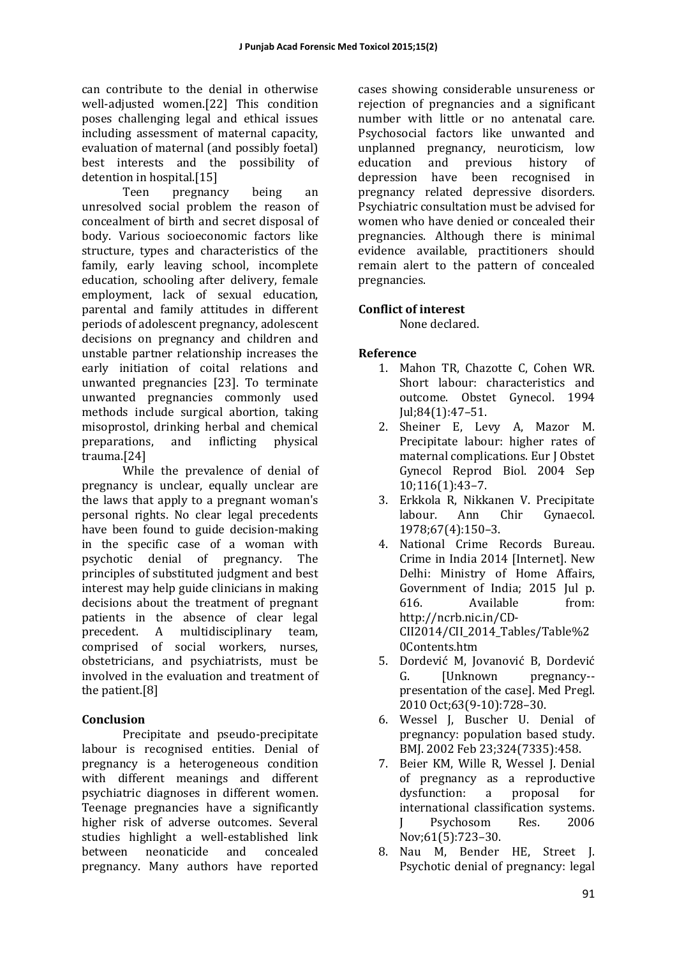can contribute to the denial in otherwise well-adjusted women.[22] This condition poses challenging legal and ethical issues including assessment of maternal capacity, evaluation of maternal (and possibly foetal) best interests and the possibility of detention in hospital.[15]

Teen pregnancy being an unresolved social problem the reason of concealment of birth and secret disposal of body. Various socioeconomic factors like structure, types and characteristics of the family, early leaving school, incomplete education, schooling after delivery, female employment, lack of sexual education, parental and family attitudes in different periods of adolescent pregnancy, adolescent decisions on pregnancy and children and unstable partner relationship increases the early initiation of coital relations and unwanted pregnancies [23]. To terminate unwanted pregnancies commonly used methods include surgical abortion, taking misoprostol, drinking herbal and chemical preparations, and inflicting physical trauma.[24] 

While the prevalence of denial of pregnancy is unclear, equally unclear are the laws that apply to a pregnant woman's personal rights. No clear legal precedents have been found to guide decision-making in the specific case of a woman with psychotic denial of pregnancy. The principles of substituted judgment and best interest may help guide clinicians in making decisions about the treatment of pregnant patients in the absence of clear legal precedent. A multidisciplinary team, comprised of social workers, nurses, obstetricians, and psychiatrists, must be involved in the evaluation and treatment of the patient.<sup>[8]</sup>

# **Conclusion**

Precipitate and pseudo-precipitate labour is recognised entities. Denial of pregnancy is a heterogeneous condition with different meanings and different psychiatric diagnoses in different women. Teenage pregnancies have a significantly higher risk of adverse outcomes. Several studies highlight a well-established link between neonaticide and concealed pregnancy. Many authors have reported

cases showing considerable unsureness or rejection of pregnancies and a significant number with little or no antenatal care. Psychosocial factors like unwanted and unplanned pregnancy, neuroticism, low education and previous history of depression have been recognised in pregnancy related depressive disorders. Psychiatric consultation must be advised for women who have denied or concealed their pregnancies. Although there is minimal evidence available, practitioners should remain alert to the pattern of concealed pregnancies. 

# **Conflict of interest**

None declared.

# **Reference**

- 1. Mahon TR, Chazotte C, Cohen WR. Short labour: characteristics and outcome. Obstet Gynecol. 1994 Jul;84(1):47–51.
- 2. Sheiner E, Levy A, Mazor M. Precipitate labour: higher rates of maternal complications. Eur I Obstet Gynecol Reprod Biol. 2004 Sep 10;116(1):43–7.
- 3. Erkkola R, Nikkanen V. Precipitate labour. Ann Chir Gynaecol. 1978;67(4):150–3.
- 4. National Crime Records Bureau. Crime in India 2014 [Internet]. New Delhi: Ministry of Home Affairs, Government of India; 2015 Jul p. 616. Available from: http://ncrb.nic.in/CD-CII2014/CII\_2014\_Tables/Table%2 0Contents.htm
- 5. Dordević M, Jovanović B, Dordević G. [Unknown pregnancy-presentation of the case]. Med Pregl. 2010 Oct;63(9-10):728–30.
- 6. Wessel J, Buscher U. Denial of pregnancy: population based study. BMJ. 2002 Feb 23:324(7335):458.
- 7. Beier KM, Wille R, Wessel J. Denial of pregnancy as a reproductive dysfunction: a proposal for international classification systems. I Psychosom Res. 2006 Nov;61(5):723–30.
- 8. Nau M, Bender HE, Street J. Psychotic denial of pregnancy: legal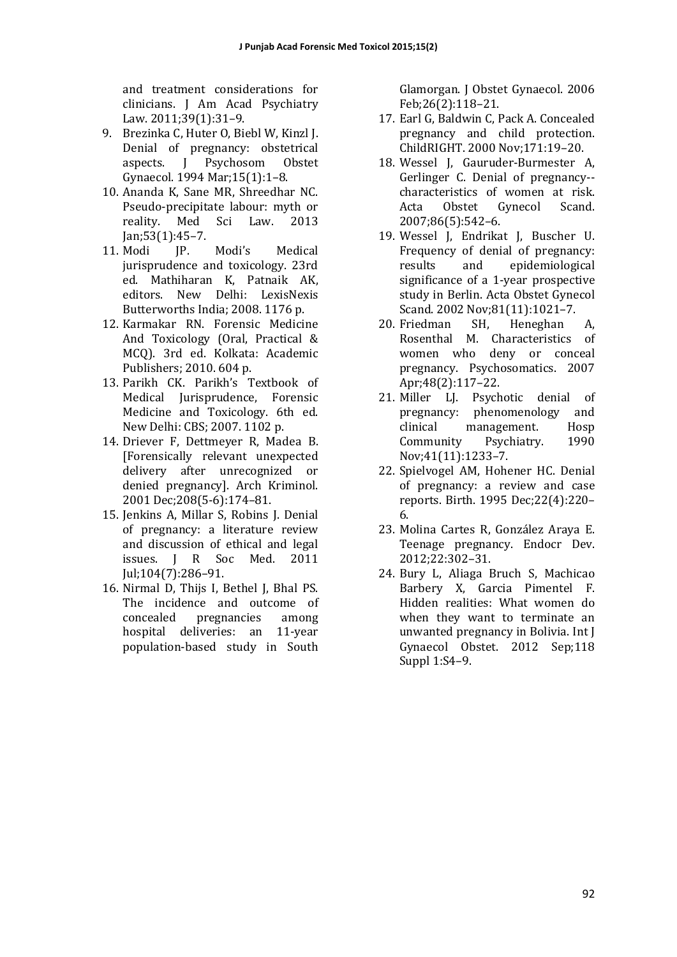and treatment considerations for clinicians. J Am Acad Psychiatry Law. 2011;39(1):31-9.

- 9. Brezinka C. Huter O. Biebl W. Kinzl I. Denial of pregnancy: obstetrical aspects. J Psychosom Obstet Gynaecol. 1994 Mar;15(1):1–8.
- 10. Ananda K, Sane MR, Shreedhar NC. Pseudo-precipitate labour: myth or reality. Med Sci Law. 2013 Jan;53(1):45–7.
- 11. Modi IP. Modi's Medical jurisprudence and toxicology. 23rd ed. Mathiharan K, Patnaik AK, editors. New Delhi: LexisNexis Butterworths India: 2008. 1176 p.
- 12. Karmakar RN. Forensic Medicine And Toxicology (Oral, Practical & MCQ). 3rd ed. Kolkata: Academic Publishers: 2010. 604 p.
- 13. Parikh CK. Parikh's Textbook of Medical Jurisprudence, Forensic Medicine and Toxicology. 6th ed. New Delhi: CBS; 2007. 1102 p.
- 14. Driever F, Dettmeyer R, Madea B. [Forensically relevant unexpected delivery after unrecognized or denied pregnancy]. Arch Kriminol. 2001 Dec;208(5-6):174–81.
- 15. Jenkins A, Millar S, Robins J. Denial of pregnancy: a literature review and discussion of ethical and legal issues. J R Soc Med. 2011 Jul;104(7):286–91.
- 16. Nirmal D, Thijs I, Bethel J, Bhal PS. The incidence and outcome of concealed pregnancies among hospital deliveries: an 11-year population-based study in South

Glamorgan. I Obstet Gynaecol. 2006 Feb;26(2):118–21. 

- 17. Earl G, Baldwin C, Pack A. Concealed pregnancy and child protection. ChildRIGHT. 2000 Nov;171:19-20.
- 18. Wessel J, Gauruder-Burmester A, Gerlinger C. Denial of pregnancy-characteristics of women at risk. Acta Obstet Gynecol Scand. 2007;86(5):542–6.
- 19. Wessel J, Endrikat J, Buscher U. Frequency of denial of pregnancy: results and epidemiological significance of a 1-year prospective study in Berlin. Acta Obstet Gynecol Scand. 2002 Nov;81(11):1021-7.
- 20. Friedman SH, Heneghan A, Rosenthal M. Characteristics of women who deny or conceal pregnancy. Psychosomatics. 2007 Apr;48(2):117–22.
- 21. Miller LJ. Psychotic denial of pregnancy: phenomenology and clinical management. Hosp Community Psychiatry. 1990 Nov;41(11):1233–7.
- 22. Spielvogel AM, Hohener HC. Denial of pregnancy: a review and case reports. Birth. 1995 Dec;22(4):220– 6.
- 23. Molina Cartes R, González Araya E. Teenage pregnancy. Endocr Dev. 2012;22:302–31.
- 24. Bury L, Aliaga Bruch S, Machicao Barbery X, Garcia Pimentel F. Hidden realities: What women do when they want to terminate an unwanted pregnancy in Bolivia. Int J Gynaecol Obstet. 2012 Sep;118 Suppl 1:S4-9.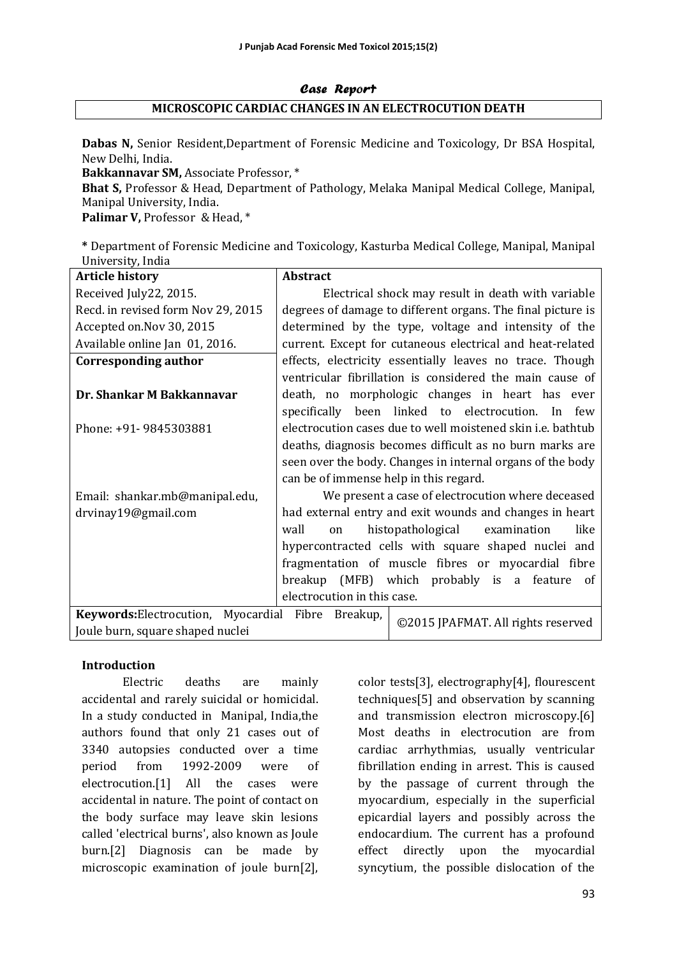## Case Report **MICROSCOPIC CARDIAC CHANGES IN AN ELECTROCUTION DEATH**

**Dabas N, Senior Resident,Department of Forensic Medicine and Toxicology, Dr BSA Hospital,** New Delhi, India.

**Bakkannavar SM, Associate Professor, \*** 

**Bhat S, Professor & Head, Department of Pathology, Melaka Manipal Medical College, Manipal,** Manipal University, India.

Palimar V, Professor & Head, \*

**\*** Department of Forensic Medicine and Toxicology, Kasturba Medical College, Manipal, Manipal University, India

| <b>Article history</b>                             | <b>Abstract</b>                                                    |  |  |  |  |
|----------------------------------------------------|--------------------------------------------------------------------|--|--|--|--|
| Received July22, 2015.                             | Electrical shock may result in death with variable                 |  |  |  |  |
| Recd. in revised form Nov 29, 2015                 | degrees of damage to different organs. The final picture is        |  |  |  |  |
| Accepted on.Nov 30, 2015                           | determined by the type, voltage and intensity of the               |  |  |  |  |
| Available online Jan 01, 2016.                     | current. Except for cutaneous electrical and heat-related          |  |  |  |  |
| <b>Corresponding author</b>                        | effects, electricity essentially leaves no trace. Though           |  |  |  |  |
|                                                    | ventricular fibrillation is considered the main cause of           |  |  |  |  |
| Dr. Shankar M Bakkannavar                          | death, no morphologic changes in heart has ever                    |  |  |  |  |
|                                                    | specifically been linked to electrocution. In few                  |  |  |  |  |
| Phone: +91-9845303881                              | electrocution cases due to well moistened skin <i>i.e.</i> bathtub |  |  |  |  |
|                                                    | deaths, diagnosis becomes difficult as no burn marks are           |  |  |  |  |
|                                                    | seen over the body. Changes in internal organs of the body         |  |  |  |  |
|                                                    | can be of immense help in this regard.                             |  |  |  |  |
| Email: shankar.mb@manipal.edu,                     | We present a case of electrocution where deceased                  |  |  |  |  |
| drvinay19@gmail.com                                | had external entry and exit wounds and changes in heart            |  |  |  |  |
|                                                    | wall<br>like<br>histopathological examination<br>on                |  |  |  |  |
|                                                    | hypercontracted cells with square shaped nuclei and                |  |  |  |  |
|                                                    | fragmentation of muscle fibres or myocardial fibre                 |  |  |  |  |
|                                                    | breakup (MFB) which probably is a feature<br>of                    |  |  |  |  |
|                                                    | electrocution in this case.                                        |  |  |  |  |
| Keywords: Electrocution, Myocardial Fibre Breakup, | ©2015 JPAFMAT. All rights reserved                                 |  |  |  |  |
| Joule burn, square shaped nuclei                   |                                                                    |  |  |  |  |

#### **Introduction**

Electric deaths are mainly accidental and rarely suicidal or homicidal. In a study conducted in Manipal, India,the authors found that only 21 cases out of 3340 autopsies conducted over a time period from 1992-2009 were of electrocution.[1] All the cases were accidental in nature. The point of contact on the body surface may leave skin lesions called 'electrical burns', also known as Joule burn.<sup>[2]</sup> Diagnosis can be made by microscopic examination of joule burn[2],

color tests[3], electrography[4], flourescent techniques<sup>[5]</sup> and observation by scanning and transmission electron microscopy.[6] Most deaths in electrocution are from cardiac arrhythmias, usually ventricular fibrillation ending in arrest. This is caused by the passage of current through the myocardium, especially in the superficial epicardial layers and possibly across the endocardium. The current has a profound effect directly upon the myocardial syncytium, the possible dislocation of the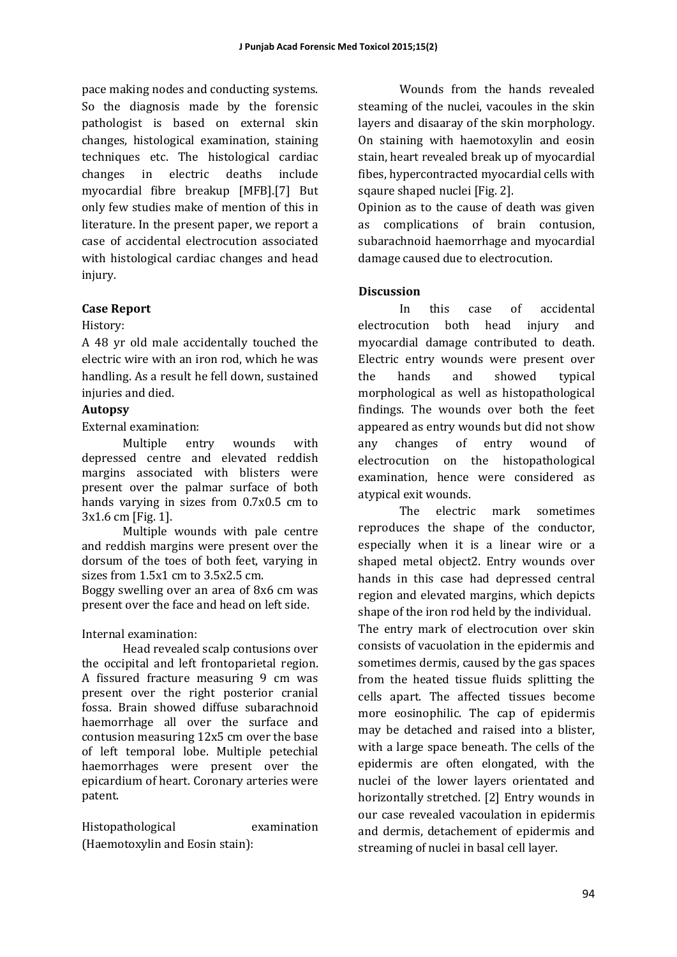pace making nodes and conducting systems. So the diagnosis made by the forensic pathologist is based on external skin changes, histological examination, staining techniques etc. The histological cardiac changes in electric deaths include myocardial fibre breakup [MFB].[7] But only few studies make of mention of this in literature. In the present paper, we report a case of accidental electrocution associated with histological cardiac changes and head injury. 

#### **Case Report**

#### History:

A 48 yr old male accidentally touched the electric wire with an iron rod, which he was handling. As a result he fell down, sustained injuries and died.

#### **Autopsy**

External examination:

Multiple entry wounds with depressed centre and elevated reddish margins associated with blisters were present over the palmar surface of both hands varying in sizes from  $0.7x0.5$  cm to 3x1.6 cm [Fig. 1].

Multiple wounds with pale centre and reddish margins were present over the dorsum of the toes of both feet, varying in sizes from  $1.5x1$  cm to  $3.5x2.5$  cm.

Boggy swelling over an area of 8x6 cm was present over the face and head on left side.

Internal examination: 

Head revealed scalp contusions over the occipital and left frontoparietal region. A fissured fracture measuring 9 cm was present over the right posterior cranial fossa. Brain showed diffuse subarachnoid haemorrhage all over the surface and contusion measuring 12x5 cm over the base of left temporal lobe. Multiple petechial haemorrhages were present over the epicardium of heart. Coronary arteries were patent. 

Histopathological examination (Haemotoxylin and Eosin stain):

Wounds from the hands revealed steaming of the nuclei, vacoules in the skin layers and disaaray of the skin morphology. On staining with haemotoxylin and eosin stain, heart revealed break up of myocardial fibes, hypercontracted myocardial cells with sqaure shaped nuclei [Fig. 2].

Opinion as to the cause of death was given as complications of brain contusion, subarachnoid haemorrhage and myocardial damage caused due to electrocution.

## **Discussion**

In this case of accidental electrocution both head injury and myocardial damage contributed to death. Electric entry wounds were present over the hands and showed typical morphological as well as histopathological findings. The wounds over both the feet appeared as entry wounds but did not show any changes of entry wound of electrocution on the histopathological examination, hence were considered as atypical exit wounds.

The electric mark sometimes reproduces the shape of the conductor, especially when it is a linear wire or a shaped metal object2. Entry wounds over hands in this case had depressed central region and elevated margins, which depicts shape of the iron rod held by the individual. The entry mark of electrocution over skin consists of vacuolation in the epidermis and sometimes dermis, caused by the gas spaces from the heated tissue fluids splitting the cells apart. The affected tissues become more eosinophilic. The cap of epidermis may be detached and raised into a blister, with a large space beneath. The cells of the epidermis are often elongated, with the nuclei of the lower layers orientated and horizontally stretched. [2] Entry wounds in our case revealed vacoulation in epidermis and dermis, detachement of epidermis and streaming of nuclei in basal cell layer.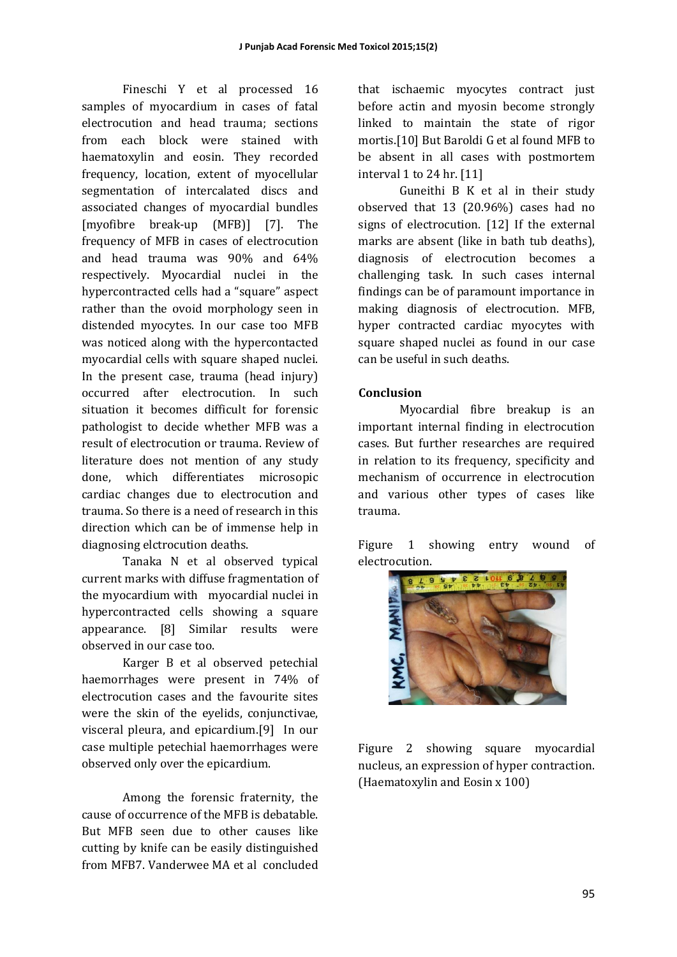Fineschi Y et al processed 16 samples of myocardium in cases of fatal electrocution and head trauma; sections from each block were stained with haematoxylin and eosin. They recorded frequency, location, extent of myocellular segmentation of intercalated discs and associated changes of myocardial bundles [myofibre break-up (MFB)] [7]. The frequency of MFB in cases of electrocution and head trauma was 90% and 64% respectively. Myocardial nuclei in the hypercontracted cells had a "square" aspect rather than the ovoid morphology seen in distended myocytes. In our case too MFB was noticed along with the hypercontacted myocardial cells with square shaped nuclei. In the present case, trauma (head injury) occurred after electrocution. In such situation it becomes difficult for forensic pathologist to decide whether MFB was a result of electrocution or trauma. Review of literature does not mention of any study done, which differentiates microsopic cardiac changes due to electrocution and trauma. So there is a need of research in this direction which can be of immense help in diagnosing elctrocution deaths.

Tanaka N et al observed typical current marks with diffuse fragmentation of the myocardium with myocardial nuclei in hypercontracted cells showing a square appearance. [8] Similar results were observed in our case too.

Karger B et al observed petechial haemorrhages were present in 74% of electrocution cases and the favourite sites were the skin of the eyelids, conjunctivae, visceral pleura, and epicardium.[9] In our case multiple petechial haemorrhages were observed only over the epicardium.

Among the forensic fraternity, the cause of occurrence of the MFB is debatable. But MFB seen due to other causes like cutting by knife can be easily distinguished from MFB7. Vanderwee MA et al concluded

that ischaemic myocytes contract just before actin and myosin become strongly linked to maintain the state of rigor mortis.<sup>[10]</sup> But Baroldi G et al found MFB to be absent in all cases with postmortem interval  $1$  to  $24$  hr.  $[11]$ 

Guneithi B K et al in their study observed that  $13$   $(20.96\%)$  cases had no signs of electrocution. [12] If the external marks are absent (like in bath tub deaths), diagnosis of electrocution becomes a challenging task. In such cases internal findings can be of paramount importance in making diagnosis of electrocution. MFB, hyper contracted cardiac myocytes with square shaped nuclei as found in our case can be useful in such deaths. 

## **Conclusion**

Myocardial fibre breakup is an important internal finding in electrocution cases. But further researches are required in relation to its frequency, specificity and mechanism of occurrence in electrocution and various other types of cases like trauma. 

Figure 1 showing entry wound of electrocution. 



Figure 2 showing square myocardial nucleus, an expression of hyper contraction. (Haematoxylin and Eosin  $x 100$ )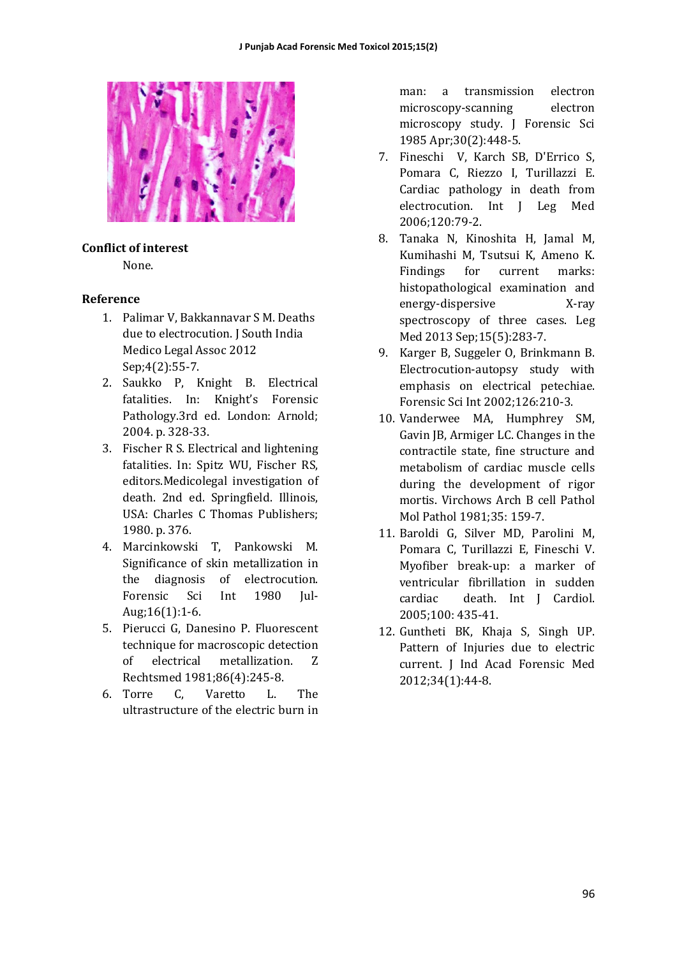

# **Conflict of interest**

None. 

## **Reference**

- 1. Palimar V, Bakkannavar S M. Deaths due to electrocution. J South India Medico Legal Assoc 2012 Sep;4(2):55-7.
- 2. Saukko P. Knight B. Electrical fatalities. In: Knight's Forensic Pathology.3rd ed. London: Arnold; 2004. p. 328-33.
- 3. Fischer R S. Electrical and lightening fatalities. In: Spitz WU, Fischer RS, editors.Medicolegal investigation of death. 2nd ed. Springfield. Illinois, USA: Charles C Thomas Publishers; 1980. p. 376.
- 4. Marcinkowski T, Pankowski M. Significance of skin metallization in the diagnosis of electrocution. Forensic Sci Int 1980 Jul-Aug;16(1):1-6.
- 5. Pierucci G. Danesino P. Fluorescent technique for macroscopic detection of electrical metallization. Z Rechtsmed 1981;86(4):245-8.
- 6. Torre C, Varetto L. The ultrastructure of the electric burn in

man: a transmission electron microscopy-scanning electron microscopy study. J Forensic Sci 1985 Apr;30(2):448-5. 

- 7. Fineschi V, Karch SB, D'Errico S, Pomara C, Riezzo I, Turillazzi E. Cardiac pathology in death from electrocution. Int I Leg Med 2006;120:79-2.
- 8. Tanaka N, Kinoshita H, Jamal M, Kumihashi M, Tsutsui K, Ameno K. Findings for current marks: histopathological examination and energy-dispersive X-ray spectroscopy of three cases. Leg Med 2013 Sep;15(5):283-7.
- 9. Karger B, Suggeler O, Brinkmann B. Electrocution-autopsy study with emphasis on electrical petechiae. Forensic Sci Int 2002;126:210-3.
- 10. Vanderwee MA, Humphrey SM, Gavin JB, Armiger LC. Changes in the contractile state, fine structure and metabolism of cardiac muscle cells during the development of rigor mortis. Virchows Arch B cell Pathol Mol Pathol 1981:35: 159-7.
- 11. Baroldi G, Silver MD, Parolini M, Pomara C, Turillazzi E, Fineschi V. Myofiber break-up: a marker of ventricular fibrillation in sudden cardiac death. Int I Cardiol. 2005;100: 435-41.
- 12. Guntheti BK, Khaja S, Singh UP. Pattern of Injuries due to electric current. J Ind Acad Forensic Med 2012;34(1):44-8.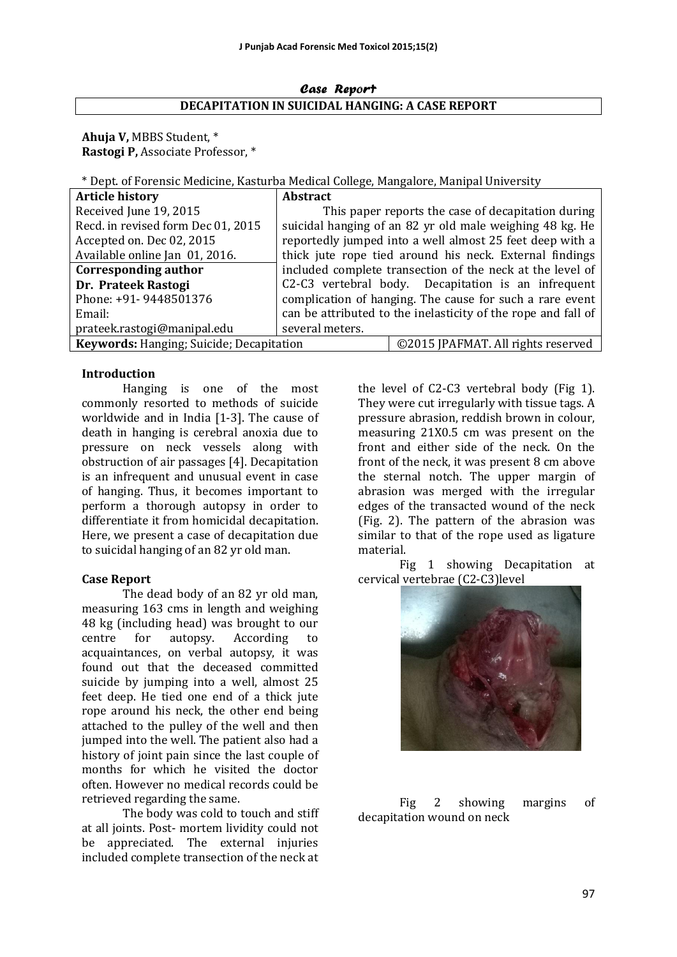#### Case Report **DECAPITATION IN SUICIDAL HANGING: A CASE REPORT**

Ahuja V, MBBS Student,  $*$ **Rastogi P, Associate Professor, \*** 

\* Dept. of Forensic Medicine, Kasturba Medical College, Mangalore, Manipal University 

| <b>Article history</b>                   | <b>Abstract</b>                                               |                                                          |  |  |
|------------------------------------------|---------------------------------------------------------------|----------------------------------------------------------|--|--|
| Received June 19, 2015                   |                                                               | This paper reports the case of decapitation during       |  |  |
| Recd. in revised form Dec 01, 2015       |                                                               | suicidal hanging of an 82 yr old male weighing 48 kg. He |  |  |
| Accepted on. Dec 02, 2015                | reportedly jumped into a well almost 25 feet deep with a      |                                                          |  |  |
| Available online Jan 01, 2016.           | thick jute rope tied around his neck. External findings       |                                                          |  |  |
| Corresponding author                     | included complete transection of the neck at the level of     |                                                          |  |  |
| Dr. Prateek Rastogi                      | C2-C3 vertebral body. Decapitation is an infrequent           |                                                          |  |  |
| Phone: +91- 9448501376                   | complication of hanging. The cause for such a rare event      |                                                          |  |  |
| Email:                                   | can be attributed to the inelasticity of the rope and fall of |                                                          |  |  |
| prateek.rastogi@manipal.edu              | several meters.                                               |                                                          |  |  |
| Keywords: Hanging; Suicide; Decapitation |                                                               | ©2015 JPAFMAT. All rights reserved                       |  |  |

#### **Introduction**

Hanging is one of the most commonly resorted to methods of suicide worldwide and in India  $[1-3]$ . The cause of death in hanging is cerebral anoxia due to pressure on neck vessels along with obstruction of air passages [4]. Decapitation is an infrequent and unusual event in case of hanging. Thus, it becomes important to perform a thorough autopsy in order to differentiate it from homicidal decapitation. Here, we present a case of decapitation due to suicidal hanging of an 82 yr old man.

## **Case Report**

The dead body of an 82 yr old man, measuring 163 cms in length and weighing 48 kg (including head) was brought to our centre for autopsy. According to acquaintances, on verbal autopsy, it was found out that the deceased committed suicide by jumping into a well, almost 25 feet deep. He tied one end of a thick jute rope around his neck, the other end being attached to the pulley of the well and then jumped into the well. The patient also had a history of joint pain since the last couple of months for which he visited the doctor often. However no medical records could be retrieved regarding the same.

The body was cold to touch and stiff at all joints. Post- mortem lividity could not be appreciated. The external injuries included complete transection of the neck at

the level of  $C2-C3$  vertebral body (Fig 1). They were cut irregularly with tissue tags. A pressure abrasion, reddish brown in colour, measuring 21X0.5 cm was present on the front and either side of the neck. On the front of the neck, it was present 8 cm above the sternal notch. The upper margin of abrasion was merged with the irregular edges of the transacted wound of the neck (Fig. 2). The pattern of the abrasion was similar to that of the rope used as ligature material. 

Fig 1 showing Decapitation at cervical vertebrae (C2-C3)level



Fig 2 showing margins of decapitation wound on neck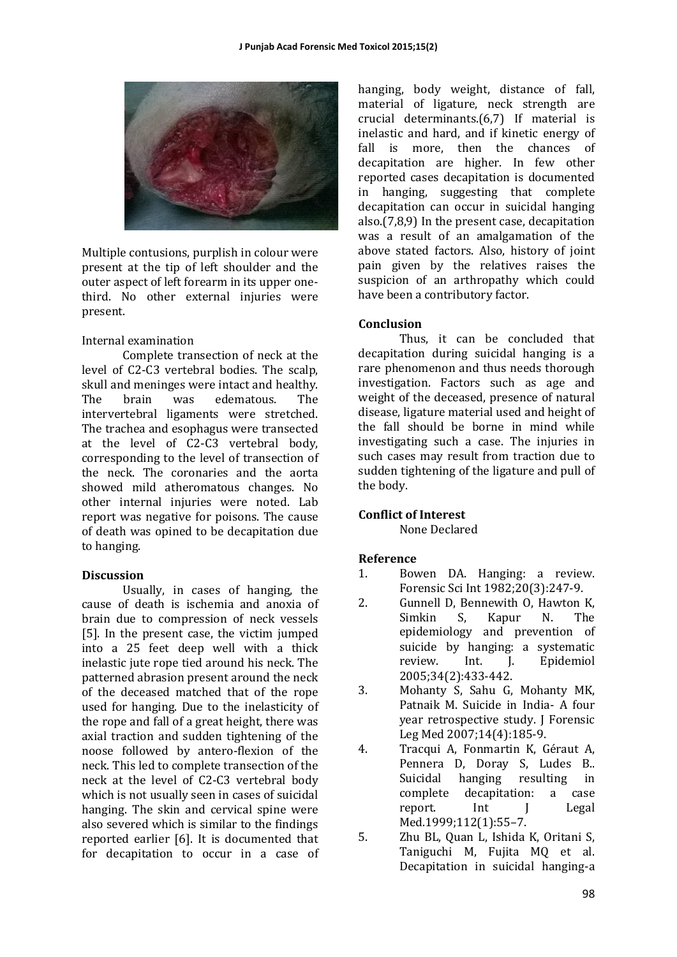

Multiple contusions, purplish in colour were present at the tip of left shoulder and the outer aspect of left forearm in its upper onethird. No other external injuries were present. 

#### Internal examination

Complete transection of neck at the level of C2-C3 vertebral bodies. The scalp, skull and meninges were intact and healthy. The brain was edematous. The intervertebral ligaments were stretched. The trachea and esophagus were transected at the level of C2-C3 vertebral body, corresponding to the level of transection of the neck. The coronaries and the aorta showed mild atheromatous changes. No other internal injuries were noted. Lab report was negative for poisons. The cause of death was opined to be decapitation due to hanging.

## **Discussion**

Usually, in cases of hanging, the cause of death is ischemia and anoxia of brain due to compression of neck vessels [5]. In the present case, the victim jumped into a 25 feet deep well with a thick inelastic jute rope tied around his neck. The patterned abrasion present around the neck of the deceased matched that of the rope used for hanging. Due to the inelasticity of the rope and fall of a great height, there was axial traction and sudden tightening of the noose followed by antero-flexion of the neck. This led to complete transection of the neck at the level of C2-C3 vertebral body which is not usually seen in cases of suicidal hanging. The skin and cervical spine were also severed which is similar to the findings reported earlier [6]. It is documented that for decapitation to occur in a case of

hanging, body weight, distance of fall, material of ligature, neck strength are crucial determinants. $(6,7)$  If material is inelastic and hard, and if kinetic energy of fall is more, then the chances of decapitation are higher. In few other reported cases decapitation is documented in hanging, suggesting that complete decapitation can occur in suicidal hanging also. $(7,8,9)$  In the present case, decapitation was a result of an amalgamation of the above stated factors. Also, history of joint pain given by the relatives raises the suspicion of an arthropathy which could have been a contributory factor.

## **Conclusion**

Thus, it can be concluded that decapitation during suicidal hanging is a rare phenomenon and thus needs thorough investigation. Factors such as age and weight of the deceased, presence of natural disease, ligature material used and height of the fall should be borne in mind while investigating such a case. The injuries in such cases may result from traction due to sudden tightening of the ligature and pull of the body.

## **Conflict of Interest**

None Declared 

## **Reference**

- 1. Bowen DA. Hanging: a review. Forensic Sci Int 1982;20(3):247-9.
- 2. Gunnell D, Bennewith O, Hawton K, Simkin S. Kapur N. The epidemiology and prevention of suicide by hanging: a systematic review. Int. J. Epidemiol 2005;34(2):433-442.
- 3. Mohanty S, Sahu G, Mohanty MK, Patnaik M. Suicide in India- A four year retrospective study. J Forensic Leg Med 2007;14(4):185-9.
- 4. Tracqui A, Fonmartin K, Géraut A, Pennera D, Doray S, Ludes B.. Suicidal hanging resulting in complete decapitation: a case report. Int I Legal Med.1999;112(1):55–7.
- 5. Zhu BL, Quan L, Ishida K, Oritani S, Taniguchi M, Fujita MQ et al. Decapitation in suicidal hanging-a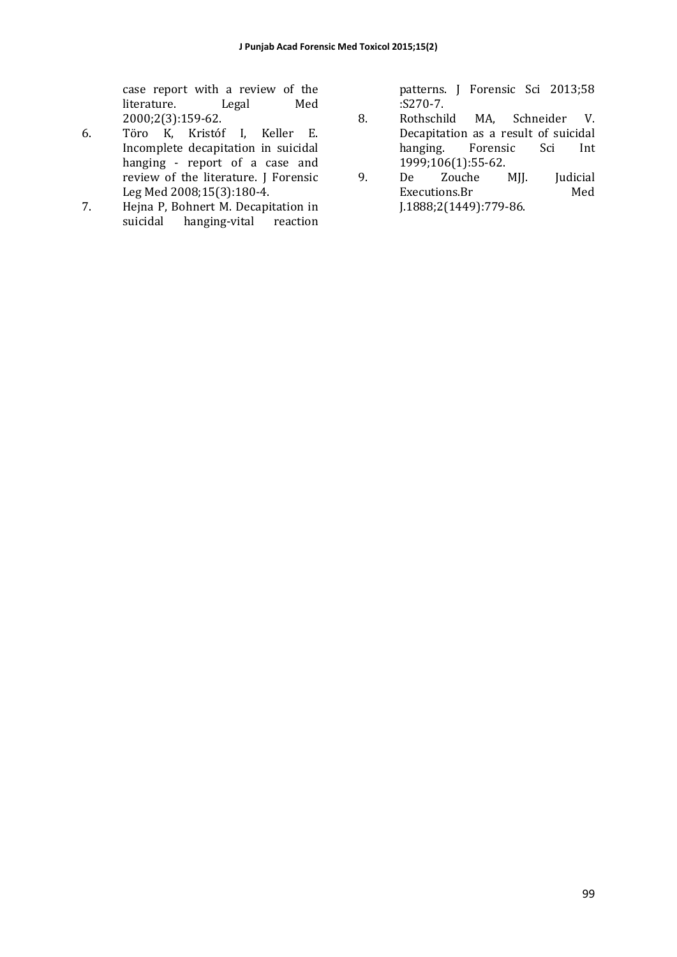case report with a review of the literature. Legal Med 2000;2(3):159-62. 

- 6. Töro K, Kristóf I, Keller E. Incomplete decapitation in suicidal hanging - report of a case and review of the literature. J Forensic Leg Med 2008;15(3):180-4.
- 7. Hejna P, Bohnert M. Decapitation in suicidal hanging-vital reaction

patterns. J Forensic Sci 2013;58 :S270-7. 

- 8. Rothschild MA, Schneider V. Decapitation as a result of suicidal hanging. Forensic Sci Int 1999;106(1):55-62.
- 9. De Zouche MJJ. Judicial Executions.Br Med J.1888;2(1449):779-86.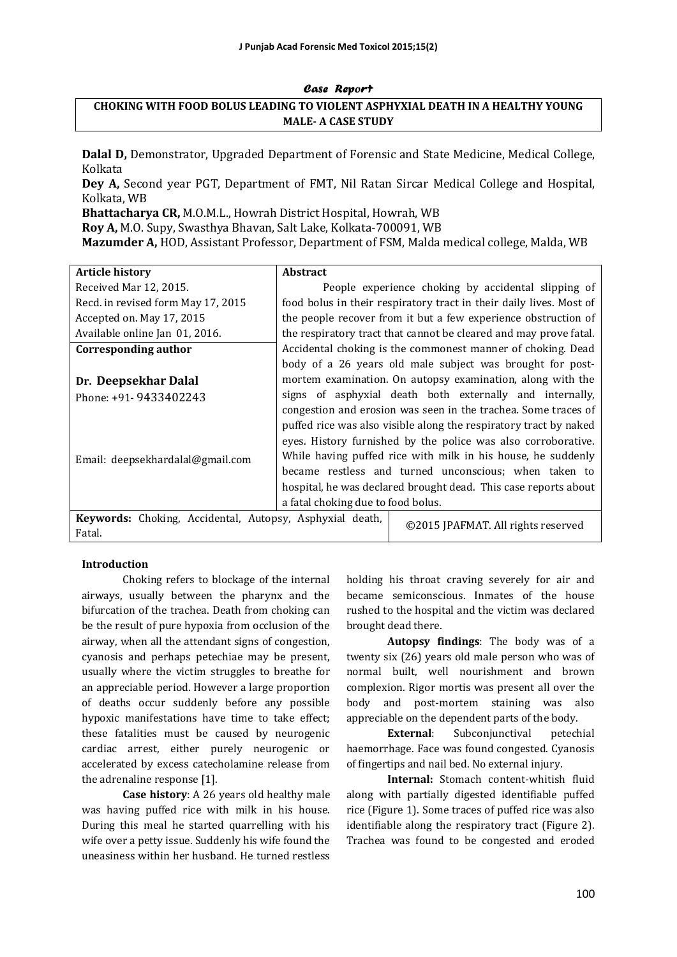#### Case Report

## **CHOKING WITH FOOD BOLUS LEADING TO VIOLENT ASPHYXIAL DEATH IN A HEALTHY YOUNG MALE- A CASE STUDY**

**Dalal D, Demonstrator, Upgraded Department of Forensic and State Medicine, Medical College,** Kolkata

**Dey A,** Second year PGT, Department of FMT, Nil Ratan Sircar Medical College and Hospital, Kolkata, WB

**Bhattacharya CR, M.O.M.L., Howrah District Hospital, Howrah, WB Roy A, M.O. Supy, Swasthya Bhavan, Salt Lake, Kolkata-700091, WB Mazumder A, HOD, Assistant Professor, Department of FSM, Malda medical college, Malda, WB** 

| <b>Article history</b>                                   | <b>Abstract</b>                                               |                                                                     |  |
|----------------------------------------------------------|---------------------------------------------------------------|---------------------------------------------------------------------|--|
| Received Mar 12, 2015.                                   |                                                               | People experience choking by accidental slipping of                 |  |
| Recd. in revised form May 17, 2015                       |                                                               | food bolus in their respiratory tract in their daily lives. Most of |  |
| Accepted on. May 17, 2015                                |                                                               | the people recover from it but a few experience obstruction of      |  |
| Available online Jan 01, 2016.                           |                                                               | the respiratory tract that cannot be cleared and may prove fatal.   |  |
| Corresponding author                                     |                                                               | Accidental choking is the commonest manner of choking. Dead         |  |
|                                                          |                                                               | body of a 26 years old male subject was brought for post-           |  |
| Dr. Deepsekhar Dalal                                     |                                                               | mortem examination. On autopsy examination, along with the          |  |
| Phone: +91- 9433402243                                   |                                                               | signs of asphyxial death both externally and internally,            |  |
|                                                          |                                                               | congestion and erosion was seen in the trachea. Some traces of      |  |
|                                                          |                                                               | puffed rice was also visible along the respiratory tract by naked   |  |
|                                                          | eyes. History furnished by the police was also corroborative. |                                                                     |  |
| Email: deepsekhardalal@gmail.com                         | While having puffed rice with milk in his house, he suddenly  |                                                                     |  |
|                                                          |                                                               | became restless and turned unconscious; when taken to               |  |
|                                                          |                                                               | hospital, he was declared brought dead. This case reports about     |  |
|                                                          | a fatal choking due to food bolus.                            |                                                                     |  |
| Keywords: Choking, Accidental, Autopsy, Asphyxial death, |                                                               | ©2015 JPAFMAT. All rights reserved                                  |  |
| Fatal.                                                   |                                                               |                                                                     |  |

#### **Introduction**

Choking refers to blockage of the internal airways, usually between the pharynx and the bifurcation of the trachea. Death from choking can be the result of pure hypoxia from occlusion of the airway, when all the attendant signs of congestion, cyanosis and perhaps petechiae may be present, usually where the victim struggles to breathe for an appreciable period. However a large proportion of deaths occur suddenly before any possible hypoxic manifestations have time to take effect; these fatalities must be caused by neurogenic cardiac arrest, either purely neurogenic or accelerated by excess catecholamine release from the adrenaline response [1].

**Case history**: A 26 years old healthy male was having puffed rice with milk in his house. During this meal he started quarrelling with his wife over a petty issue. Suddenly his wife found the uneasiness within her husband. He turned restless holding his throat craving severely for air and became semiconscious. Inmates of the house rushed to the hospital and the victim was declared brought dead there.

**Autopsy findings:** The body was of a twenty six (26) years old male person who was of normal built, well nourishment and brown complexion. Rigor mortis was present all over the body and post-mortem staining was also appreciable on the dependent parts of the body.

**External:** Subconjunctival petechial haemorrhage. Face was found congested. Cyanosis of fingertips and nail bed. No external injury.

**Internal:** Stomach content-whitish fluid along with partially digested identifiable puffed rice (Figure 1). Some traces of puffed rice was also identifiable along the respiratory tract (Figure 2). Trachea was found to be congested and eroded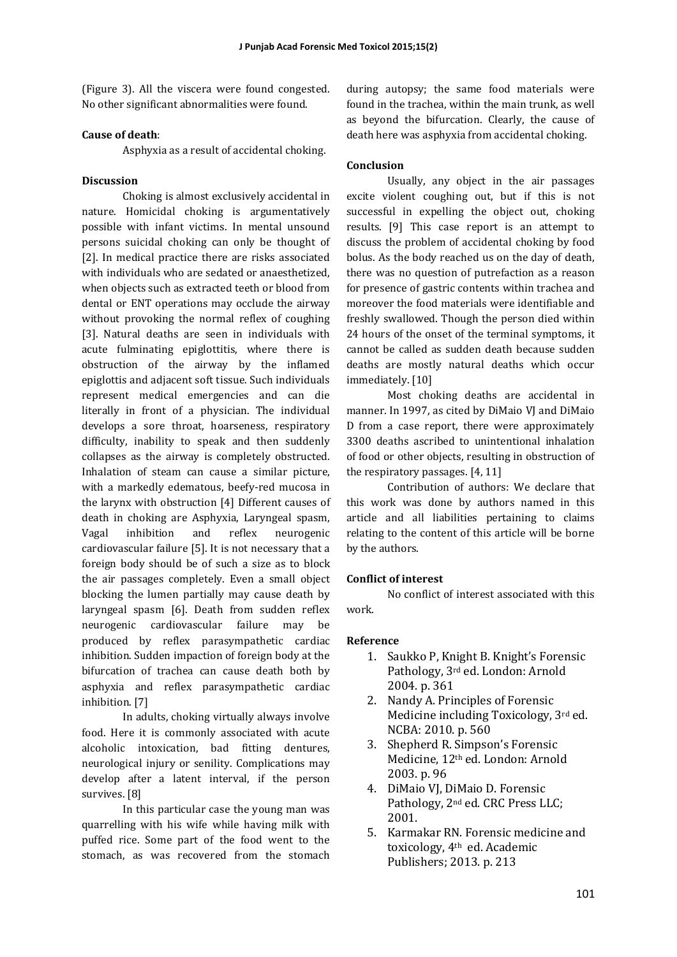(Figure 3). All the viscera were found congested. No other significant abnormalities were found.

#### **Cause of death**:

Asphyxia as a result of accidental choking.

#### **Discussion**

Choking is almost exclusively accidental in nature. Homicidal choking is argumentatively possible with infant victims. In mental unsound persons suicidal choking can only be thought of [2]. In medical practice there are risks associated with individuals who are sedated or anaesthetized, when objects such as extracted teeth or blood from dental or ENT operations may occlude the airway without provoking the normal reflex of coughing [3]. Natural deaths are seen in individuals with acute fulminating epiglottitis, where there is obstruction of the airway by the inflamed epiglottis and adjacent soft tissue. Such individuals represent medical emergencies and can die literally in front of a physician. The individual develops a sore throat, hoarseness, respiratory difficulty, inability to speak and then suddenly collapses as the airway is completely obstructed. Inhalation of steam can cause a similar picture, with a markedly edematous, beefy-red mucosa in the larynx with obstruction [4] Different causes of death in choking are Asphyxia, Laryngeal spasm, Vagal inhibition and reflex neurogenic cardiovascular failure [5]. It is not necessary that a foreign body should be of such a size as to block the air passages completely. Even a small object blocking the lumen partially may cause death by laryngeal spasm [6]. Death from sudden reflex neurogenic cardiovascular failure may be produced by reflex parasympathetic cardiac inhibition. Sudden impaction of foreign body at the bifurcation of trachea can cause death both by asphyxia and reflex parasympathetic cardiac inhibition. [7]

In adults, choking virtually always involve food. Here it is commonly associated with acute alcoholic intoxication, bad fitting dentures, neurological injury or senility. Complications may develop after a latent interval, if the person survives. [8]

In this particular case the young man was quarrelling with his wife while having milk with puffed rice. Some part of the food went to the stomach, as was recovered from the stomach

during autopsy; the same food materials were found in the trachea, within the main trunk, as well as beyond the bifurcation. Clearly, the cause of death here was asphyxia from accidental choking.

#### **Conclusion**

Usually, any object in the air passages excite violent coughing out, but if this is not successful in expelling the object out, choking results.  $[9]$  This case report is an attempt to discuss the problem of accidental choking by food bolus. As the body reached us on the day of death, there was no question of putrefaction as a reason for presence of gastric contents within trachea and moreover the food materials were identifiable and freshly swallowed. Though the person died within 24 hours of the onset of the terminal symptoms, it cannot be called as sudden death because sudden deaths are mostly natural deaths which occur immediately. [10]

Most choking deaths are accidental in manner. In 1997, as cited by DiMaio VJ and DiMaio D from a case report, there were approximately 3300 deaths ascribed to unintentional inhalation of food or other objects, resulting in obstruction of the respiratory passages. [4, 11]

Contribution of authors: We declare that this work was done by authors named in this article and all liabilities pertaining to claims relating to the content of this article will be borne by the authors.

#### **Conflict of interest**

No conflict of interest associated with this work. 

#### **Reference**

- 1. Saukko P, Knight B. Knight's Forensic Pathology, 3<sup>rd</sup> ed. London: Arnold 2004. p. 361
- 2. Nandy A. Principles of Forensic Medicine including  $Toxicology$ ,  $3<sup>rd</sup>$  ed. NCBA: 2010. p. 560
- 3. Shepherd R. Simpson's Forensic Medicine, 12<sup>th</sup> ed. London: Arnold 2003. p. 96
- 4. DiMaio VJ, DiMaio D. Forensic Pathology, 2<sup>nd</sup> ed. CRC Press LLC: 2001.
- 5. Karmakar RN. Forensic medicine and toxicology, 4<sup>th</sup> ed. Academic Publishers; 2013. p. 213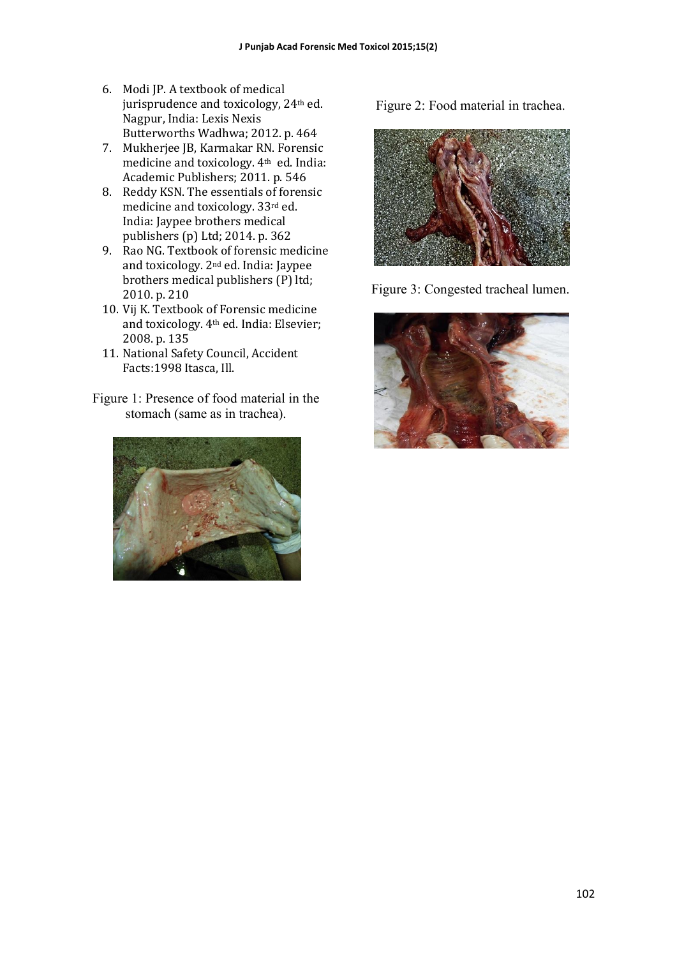- 6. Modi JP. A textbook of medical jurisprudence and toxicology, 24<sup>th</sup> ed. Nagpur, India: Lexis Nexis Butterworths Wadhwa; 2012. p. 464
- 7. Mukherjee JB, Karmakar RN. Forensic medicine and toxicology. 4<sup>th</sup> ed. India: Academic Publishers; 2011. p. 546
- 8. Reddy KSN. The essentials of forensic medicine and toxicology. 33rd ed. India: Jaypee brothers medical publishers (p) Ltd; 2014. p. 362
- 9. Rao NG. Textbook of forensic medicine and toxicology. 2<sup>nd</sup> ed. India: Jaypee brothers medical publishers (P) ltd; 2010. p. 210
- 10. Vij K. Textbook of Forensic medicine and toxicology. 4<sup>th</sup> ed. India: Elsevier; 2008. p. 135
- 11. National Safety Council, Accident Facts: 1998 Itasca, Ill.
- Figure 1: Presence of food material in the stomach (same as in trachea).



Figure 2: Food material in trachea.



Figure 3: Congested tracheal lumen.

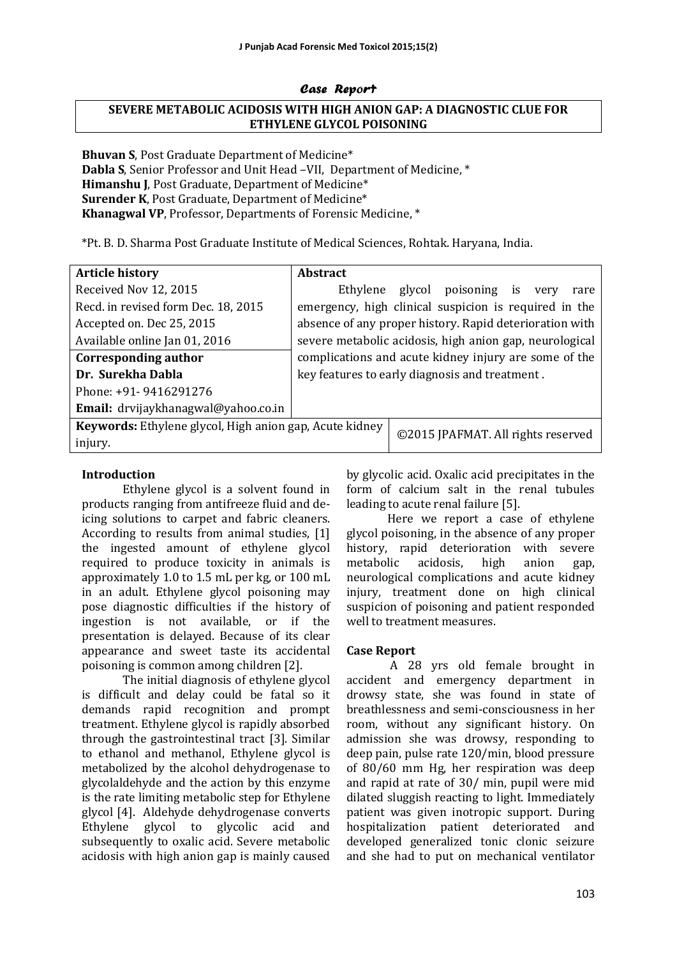#### Case Report

# **SEVERE METABOLIC ACIDOSIS WITH HIGH ANION GAP: A DIAGNOSTIC CLUE FOR ETHYLENE GLYCOL POISONING**

**Bhuvan S**, Post Graduate Department of Medicine\* **Dabla S**, Senior Professor and Unit Head -VII, Department of Medicine, \* **Himanshu I.** Post Graduate, Department of Medicine\* **Surender K**, Post Graduate, Department of Medicine\* **Khanagwal VP**, Professor, Departments of Forensic Medicine,  $*$ 

\*Pt. B. D. Sharma Post Graduate Institute of Medical Sciences, Rohtak. Haryana, India. 

| <b>Article history</b>                                  | <b>Abstract</b>                                         |                                    |                              |  |      |      |
|---------------------------------------------------------|---------------------------------------------------------|------------------------------------|------------------------------|--|------|------|
| Received Nov 12, 2015                                   |                                                         |                                    | Ethylene glycol poisoning is |  | very | rare |
| Recd. in revised form Dec. 18, 2015                     | emergency, high clinical suspicion is required in the   |                                    |                              |  |      |      |
| Accepted on. Dec 25, 2015                               | absence of any proper history. Rapid deterioration with |                                    |                              |  |      |      |
| Available online Jan 01, 2016                           | severe metabolic acidosis, high anion gap, neurological |                                    |                              |  |      |      |
| Corresponding author                                    | complications and acute kidney injury are some of the   |                                    |                              |  |      |      |
| Dr. Surekha Dabla                                       | key features to early diagnosis and treatment.          |                                    |                              |  |      |      |
| Phone: +91- 9416291276                                  |                                                         |                                    |                              |  |      |      |
| Email: drvijaykhanagwal@yahoo.co.in                     |                                                         |                                    |                              |  |      |      |
| Keywords: Ethylene glycol, High anion gap, Acute kidney |                                                         | ©2015 JPAFMAT. All rights reserved |                              |  |      |      |
| injury.                                                 |                                                         |                                    |                              |  |      |      |

#### **Introduction**

Ethylene glycol is a solvent found in products ranging from antifreeze fluid and deicing solutions to carpet and fabric cleaners. According to results from animal studies, [1] the ingested amount of ethylene glycol required to produce toxicity in animals is approximately 1.0 to 1.5 mL per kg, or 100 mL in an adult. Ethylene glycol poisoning may pose diagnostic difficulties if the history of ingestion is not available, or if the presentation is delayed. Because of its clear appearance and sweet taste its accidental poisoning is common among children [2].

The initial diagnosis of ethylene glycol is difficult and delay could be fatal so it demands rapid recognition and prompt treatment. Ethylene glycol is rapidly absorbed through the gastrointestinal tract [3]. Similar to ethanol and methanol, Ethylene glycol is metabolized by the alcohol dehydrogenase to glycolaldehyde and the action by this enzyme is the rate limiting metabolic step for Ethylene glycol [4]. Aldehyde dehydrogenase converts Ethylene glycol to glycolic acid and subsequently to oxalic acid. Severe metabolic acidosis with high anion gap is mainly caused by glycolic acid. Oxalic acid precipitates in the form of calcium salt in the renal tubules leading to acute renal failure [5].

Here we report a case of ethylene glycol poisoning, in the absence of any proper history, rapid deterioration with severe metabolic acidosis, high anion gap, neurological complications and acute kidney injury, treatment done on high clinical suspicion of poisoning and patient responded well to treatment measures.

#### **Case Report**

 A 28 yrs old female brought in accident and emergency department in drowsy state, she was found in state of breathlessness and semi-consciousness in her room, without any significant history. On admission she was drowsy, responding to deep pain, pulse rate 120/min, blood pressure of 80/60 mm Hg, her respiration was deep and rapid at rate of  $30/$  min, pupil were mid dilated sluggish reacting to light. Immediately patient was given inotropic support. During hospitalization patient deteriorated and developed generalized tonic clonic seizure and she had to put on mechanical ventilator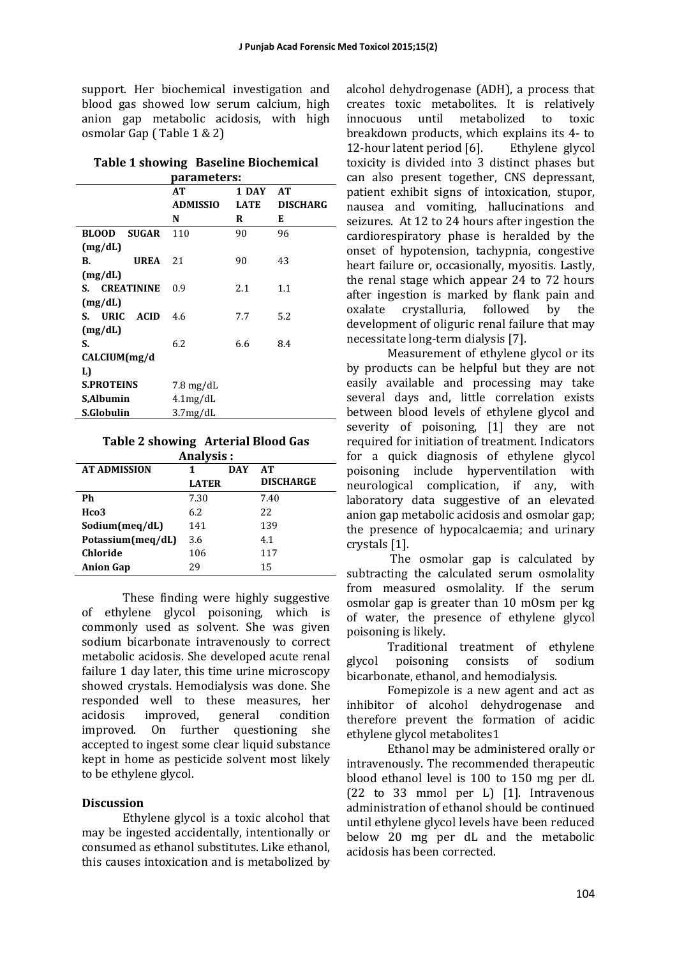support. Her biochemical investigation and blood gas showed low serum calcium, high anion gap metabolic acidosis, with high osmolar Gap (Table  $1 & 2$ )

| parameters:                  |                       |             |                 |  |  |
|------------------------------|-----------------------|-------------|-----------------|--|--|
|                              | AT                    | 1 DAY       | AT              |  |  |
|                              | <b>ADMISSIO</b>       | <b>LATE</b> | <b>DISCHARG</b> |  |  |
|                              | N                     | R           | E               |  |  |
| <b>BLOOD</b><br><b>SUGAR</b> | 110                   | 90          | 96              |  |  |
| (mg/dL)                      |                       |             |                 |  |  |
| <b>UREA</b><br>В.            | 21                    | 90          | 43              |  |  |
| (mg/dL)                      |                       |             |                 |  |  |
| S. <b>CREATININE</b>         | 0.9                   | 2.1         | 1.1             |  |  |
| (mg/dL)                      |                       |             |                 |  |  |
| S. URIC ACID                 | 4.6                   | 7.7         | 5.2             |  |  |
| (mg/dL)                      |                       |             |                 |  |  |
| S.                           | 6.2                   | 6.6         | 8.4             |  |  |
| CALCIUM(mg/d                 |                       |             |                 |  |  |
| L)                           |                       |             |                 |  |  |
| <b>S.PROTEINS</b>            | $7.8 \text{ mg/dL}$   |             |                 |  |  |
| S,Albumin                    | $4.1$ mg/dL           |             |                 |  |  |
| S.Globulin                   | 3.7 <sub>mg</sub> /dL |             |                 |  |  |

# **Table 1 showing Baseline Biochemical**

## **Table 2 showing Arterial Blood Gas**

| Analysis:           |              |            |                  |  |  |  |  |
|---------------------|--------------|------------|------------------|--|--|--|--|
| <b>AT ADMISSION</b> | 1            | <b>DAY</b> | <b>AT</b>        |  |  |  |  |
|                     | <b>LATER</b> |            | <b>DISCHARGE</b> |  |  |  |  |
| Ph                  | 7.30         |            | 7.40             |  |  |  |  |
| Hco <sub>3</sub>    | 6.2          |            | 22               |  |  |  |  |
| Sodium(meg/dL)      | 141          |            | 139              |  |  |  |  |
| Potassium(meg/dL)   | 3.6          |            | 4.1              |  |  |  |  |
| Chloride            | 106          |            | 117              |  |  |  |  |
| <b>Anion Gap</b>    | 29           |            | 15               |  |  |  |  |

These finding were highly suggestive of ethylene glycol poisoning, which is commonly used as solvent. She was given sodium bicarbonate intravenously to correct metabolic acidosis. She developed acute renal failure 1 day later, this time urine microscopy showed crystals. Hemodialysis was done. She responded well to these measures, her acidosis improved, general condition improved. On further questioning she accepted to ingest some clear liquid substance kept in home as pesticide solvent most likely to be ethylene glycol.

#### **Discussion**

Ethylene glycol is a toxic alcohol that may be ingested accidentally, intentionally or consumed as ethanol substitutes. Like ethanol, this causes intoxication and is metabolized by

alcohol dehydrogenase (ADH), a process that creates toxic metabolites. It is relatively innocuous until metabolized to toxic breakdown products, which explains its 4- to 12-hour latent period [6]. Ethylene glycol toxicity is divided into 3 distinct phases but can also present together, CNS depressant, patient exhibit signs of intoxication, stupor, nausea and vomiting, hallucinations and seizures. At 12 to 24 hours after ingestion the cardiorespiratory phase is heralded by the onset of hypotension, tachypnia, congestive heart failure or, occasionally, myositis. Lastly, the renal stage which appear  $24$  to  $72$  hours after ingestion is marked by flank pain and oxalate crystalluria, followed by the development of oliguric renal failure that may necessitate long-term dialysis [7].

Measurement of ethylene glycol or its by products can be helpful but they are not easily available and processing may take several days and, little correlation exists between blood levels of ethylene glycol and severity of poisoning, [1] they are not required for initiation of treatment. Indicators for a quick diagnosis of ethylene glycol poisoning include hyperventilation with neurological complication, if any, with laboratory data suggestive of an elevated anion gap metabolic acidosis and osmolar gap; the presence of hypocalcaemia; and urinary crystals [1].

The osmolar gap is calculated by subtracting the calculated serum osmolality from measured osmolality. If the serum osmolar gap is greater than 10 mOsm per kg of water, the presence of ethylene glycol poisoning is likely.

Traditional treatment of ethylene glycol poisoning consists of sodium bicarbonate, ethanol, and hemodialysis.

Fomepizole is a new agent and act as inhibitor of alcohol dehydrogenase and therefore prevent the formation of acidic ethylene glycol metabolites1

Ethanol may be administered orally or intravenously. The recommended therapeutic blood ethanol level is 100 to 150 mg per dL  $(22 \text{ to } 33 \text{ mmol per L})$  [1]. Intravenous administration of ethanol should be continued until ethylene glycol levels have been reduced below 20 mg per dL and the metabolic acidosis has been corrected.